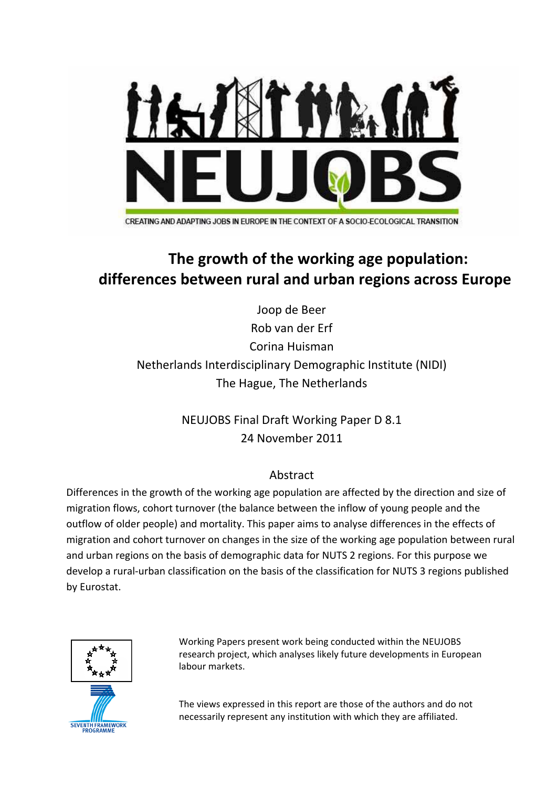

CREATING AND ADAPTING JOBS IN EUROPE IN THE CONTEXT OF A SOCIO-ECOLOGICAL TRANSITION

# **The growth of the working age population: differences between rural and urban regions across Europe**

Joop de Beer Rob van der Erf Corina Huisman Netherlands Interdisciplinary Demographic Institute (NIDI) The Hague, The Netherlands

> NEUJOBS Final Draft Working Paper D 8.1 24 November 2011

### Abstract

Differences in the growth of the working age population are affected by the direction and size of migration flows, cohort turnover (the balance between the inflow of young people and the outflow of older people) and mortality. This paper aims to analyse differences in the effects of migration and cohort turnover on changes in the size of the working age population between rural and urban regions on the basis of demographic data for NUTS 2 regions. For this purpose we develop a rural‐urban classification on the basis of the classification for NUTS 3 regions published by Eurostat.



Working Papers present work being conducted within the NEUJOBS research project, which analyses likely future developments in European labour markets.

The views expressed in this report are those of the authors and do not necessarily represent any institution with which they are affiliated.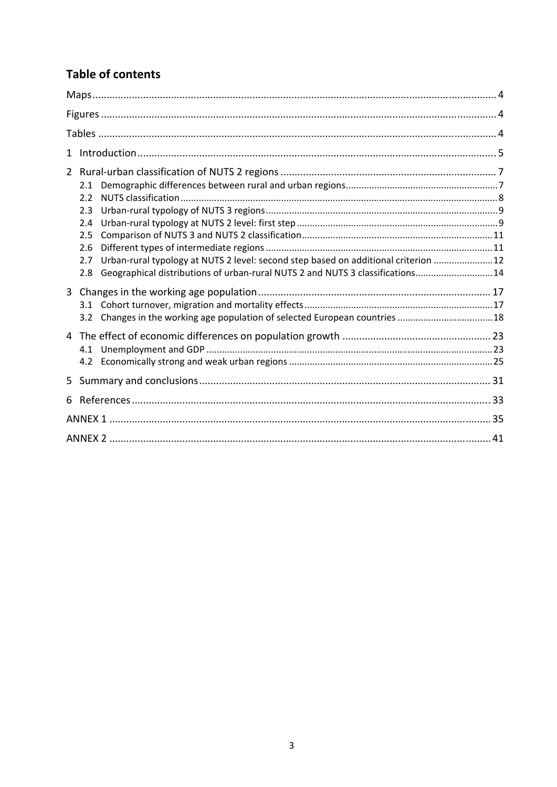## **Table of contents**

| $\mathbf{1}$ |                                                                                                                                                                                    |  |
|--------------|------------------------------------------------------------------------------------------------------------------------------------------------------------------------------------|--|
| $2^{\circ}$  | 2.1                                                                                                                                                                                |  |
|              | 2.2<br>2.3<br>2.4                                                                                                                                                                  |  |
|              | 2.5<br>2.6                                                                                                                                                                         |  |
|              | Urban-rural typology at NUTS 2 level: second step based on additional criterion 12<br>2.7<br>Geographical distributions of urban-rural NUTS 2 and NUTS 3 classifications 14<br>2.8 |  |
| $\mathbf{3}$ | Changes in the working age population of selected European countries  18<br>3.2                                                                                                    |  |
|              | 4.1<br>4.2                                                                                                                                                                         |  |
| 5            |                                                                                                                                                                                    |  |
| 6.           |                                                                                                                                                                                    |  |
|              |                                                                                                                                                                                    |  |
|              |                                                                                                                                                                                    |  |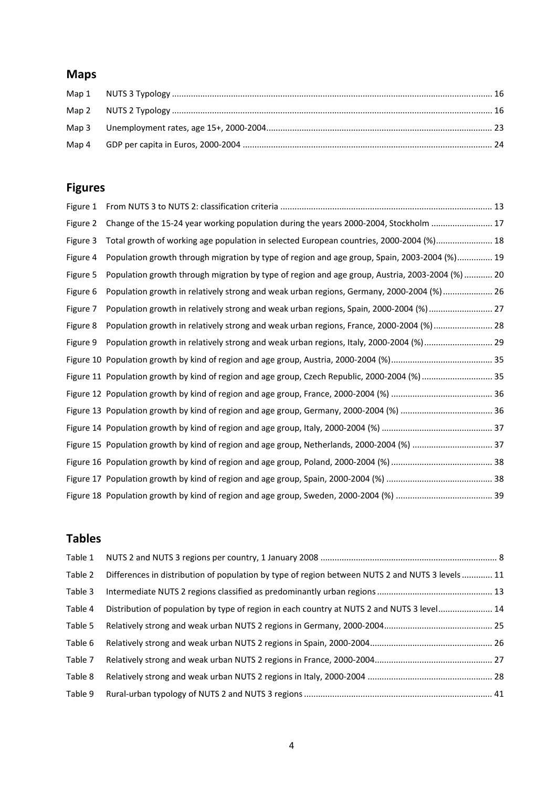## **Maps**

## **Figures**

| Figure 1 |                                                                                                 |
|----------|-------------------------------------------------------------------------------------------------|
| Figure 2 | Change of the 15-24 year working population during the years 2000-2004, Stockholm  17           |
| Figure 3 | Total growth of working age population in selected European countries, 2000-2004 (%) 18         |
| Figure 4 | Population growth through migration by type of region and age group, Spain, 2003-2004 (%) 19    |
| Figure 5 | Population growth through migration by type of region and age group, Austria, 2003-2004 (%)  20 |
| Figure 6 | Population growth in relatively strong and weak urban regions, Germany, 2000-2004 (%)  26       |
| Figure 7 | Population growth in relatively strong and weak urban regions, Spain, 2000-2004 (%) 27          |
| Figure 8 | Population growth in relatively strong and weak urban regions, France, 2000-2004 (%)  28        |
| Figure 9 | Population growth in relatively strong and weak urban regions, Italy, 2000-2004 (%) 29          |
|          |                                                                                                 |
|          | Figure 11 Population growth by kind of region and age group, Czech Republic, 2000-2004 (%)  35  |
|          |                                                                                                 |
|          |                                                                                                 |
|          |                                                                                                 |
|          | Figure 15 Population growth by kind of region and age group, Netherlands, 2000-2004 (%)  37     |
|          |                                                                                                 |
|          |                                                                                                 |
|          |                                                                                                 |

### **Tables**

| Table 1 |                                                                                                  |  |
|---------|--------------------------------------------------------------------------------------------------|--|
| Table 2 | Differences in distribution of population by type of region between NUTS 2 and NUTS 3 levels  11 |  |
| Table 3 |                                                                                                  |  |
| Table 4 | Distribution of population by type of region in each country at NUTS 2 and NUTS 3 level 14       |  |
| Table 5 |                                                                                                  |  |
| Table 6 |                                                                                                  |  |
| Table 7 |                                                                                                  |  |
| Table 8 |                                                                                                  |  |
| Table 9 |                                                                                                  |  |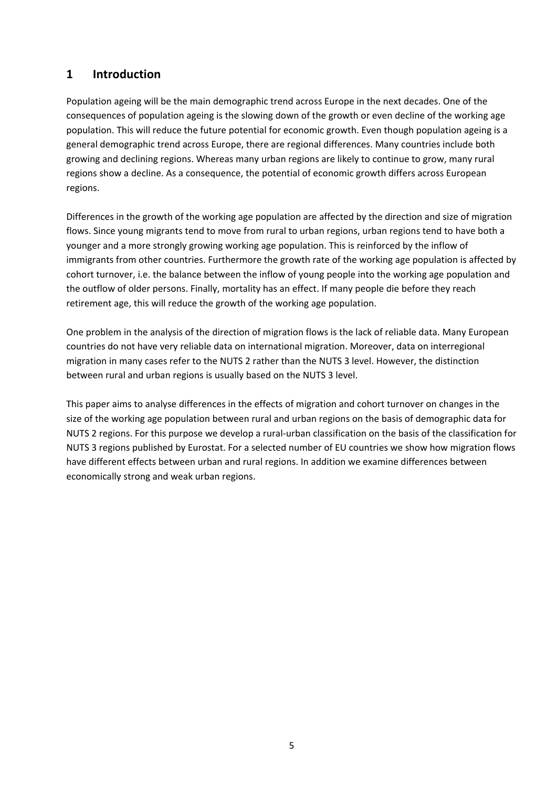### **1 Introduction**

Population ageing will be the main demographic trend across Europe in the next decades. One of the consequences of population ageing is the slowing down of the growth or even decline of the working age population. This will reduce the future potential for economic growth. Even though population ageing is a general demographic trend across Europe, there are regional differences. Many countries include both growing and declining regions. Whereas many urban regions are likely to continue to grow, many rural regions show a decline. As a consequence, the potential of economic growth differs across European regions.

Differences in the growth of the working age population are affected by the direction and size of migration flows. Since young migrants tend to move from rural to urban regions, urban regions tend to have both a younger and a more strongly growing working age population. This is reinforced by the inflow of immigrants from other countries. Furthermore the growth rate of the working age population is affected by cohort turnover, i.e. the balance between the inflow of young people into the working age population and the outflow of older persons. Finally, mortality has an effect. If many people die before they reach retirement age, this will reduce the growth of the working age population.

One problem in the analysis of the direction of migration flows is the lack of reliable data. Many European countries do not have very reliable data on international migration. Moreover, data on interregional migration in many cases refer to the NUTS 2 rather than the NUTS 3 level. However, the distinction between rural and urban regions is usually based on the NUTS 3 level.

This paper aims to analyse differences in the effects of migration and cohort turnover on changes in the size of the working age population between rural and urban regions on the basis of demographic data for NUTS 2 regions. For this purpose we develop a rural‐urban classification on the basis of the classification for NUTS 3 regions published by Eurostat. For a selected number of EU countries we show how migration flows have different effects between urban and rural regions. In addition we examine differences between economically strong and weak urban regions.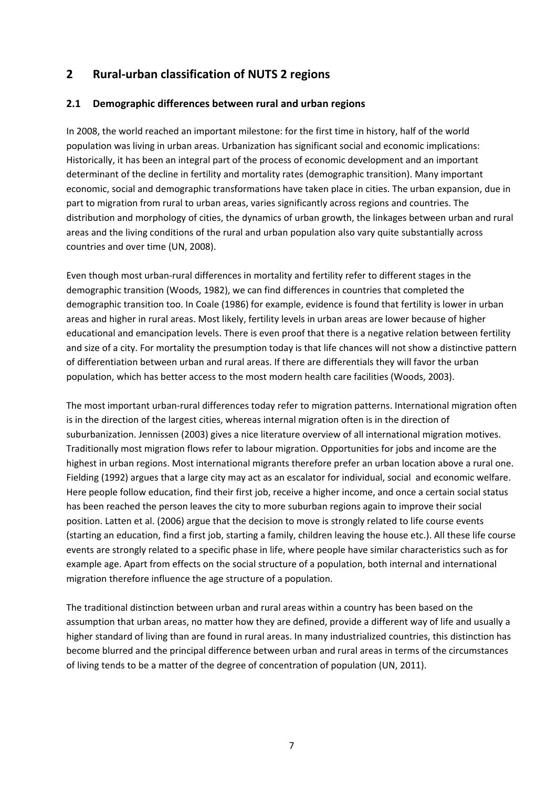### **2 Rural‐urban classification of NUTS 2 regions**

#### **2.1 Demographic differences between rural and urban regions**

In 2008, the world reached an important milestone: for the first time in history, half of the world population was living in urban areas. Urbanization has significant social and economic implications: Historically, it has been an integral part of the process of economic development and an important determinant of the decline in fertility and mortality rates (demographic transition). Many important economic, social and demographic transformations have taken place in cities. The urban expansion, due in part to migration from rural to urban areas, varies significantly across regions and countries. The distribution and morphology of cities, the dynamics of urban growth, the linkages between urban and rural areas and the living conditions of the rural and urban population also vary quite substantially across countries and over time (UN, 2008).

Even though most urban‐rural differences in mortality and fertility refer to different stages in the demographic transition (Woods, 1982), we can find differences in countries that completed the demographic transition too. In Coale (1986) for example, evidence is found that fertility is lower in urban areas and higher in rural areas. Most likely, fertility levels in urban areas are lower because of higher educational and emancipation levels. There is even proof that there is a negative relation between fertility and size of a city. For mortality the presumption today is that life chances will not show a distinctive pattern of differentiation between urban and rural areas. If there are differentials they will favor the urban population, which has better access to the most modern health care facilities (Woods, 2003).

The most important urban‐rural differences today refer to migration patterns. International migration often is in the direction of the largest cities, whereas internal migration often is in the direction of suburbanization. Jennissen (2003) gives a nice literature overview of all international migration motives. Traditionally most migration flows refer to labour migration. Opportunities for jobs and income are the highest in urban regions. Most international migrants therefore prefer an urban location above a rural one. Fielding (1992) argues that a large city may act as an escalator for individual, social and economic welfare. Here people follow education, find their first job, receive a higher income, and once a certain social status has been reached the person leaves the city to more suburban regions again to improve their social position. Latten et al. (2006) argue that the decision to move is strongly related to life course events (starting an education, find a first job, starting a family, children leaving the house etc.). All these life course events are strongly related to a specific phase in life, where people have similar characteristics such as for example age. Apart from effects on the social structure of a population, both internal and international migration therefore influence the age structure of a population.

The traditional distinction between urban and rural areas within a country has been based on the assumption that urban areas, no matter how they are defined, provide a different way of life and usually a higher standard of living than are found in rural areas. In many industrialized countries, this distinction has become blurred and the principal difference between urban and rural areas in terms of the circumstances of living tends to be a matter of the degree of concentration of population (UN, 2011).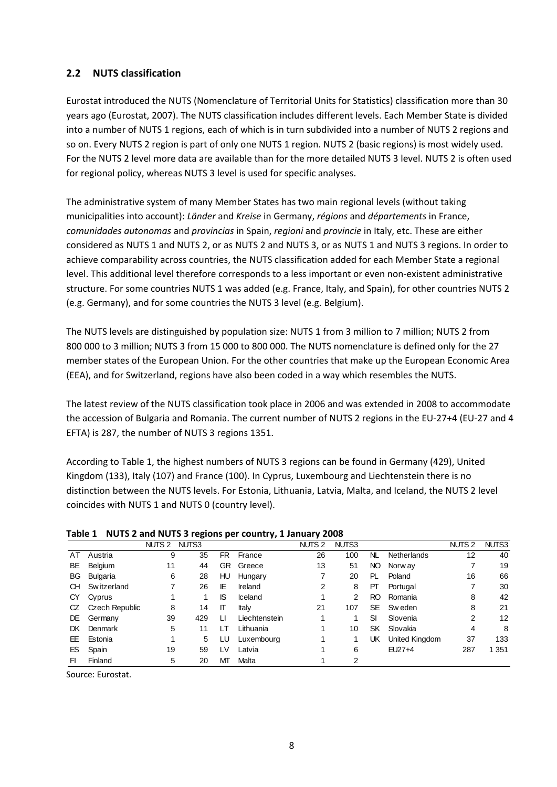#### **2.2 NUTS classification**

Eurostat introduced the NUTS (Nomenclature of Territorial Units for Statistics) classification more than 30 years ago (Eurostat, 2007). The NUTS classification includes different levels. Each Member State is divided into a number of NUTS 1 regions, each of which is in turn subdivided into a number of NUTS 2 regions and so on. Every NUTS 2 region is part of only one NUTS 1 region. NUTS 2 (basic regions) is most widely used. For the NUTS 2 level more data are available than for the more detailed NUTS 3 level. NUTS 2 is often used for regional policy, whereas NUTS 3 level is used for specific analyses.

The administrative system of many Member States has two main regional levels (without taking municipalities into account): *Länder* and *Kreise* in Germany, *régions* and *départements* in France, *comunidades autonomas* and *provincias* in Spain, *regioni* and *provincie* in Italy, etc. These are either considered as NUTS 1 and NUTS 2, or as NUTS 2 and NUTS 3, or as NUTS 1 and NUTS 3 regions. In order to achieve comparability across countries, the NUTS classification added for each Member State a regional level. This additional level therefore corresponds to a less important or even non‐existent administrative structure. For some countries NUTS 1 was added (e.g. France, Italy, and Spain), for other countries NUTS 2 (e.g. Germany), and for some countries the NUTS 3 level (e.g. Belgium).

The NUTS levels are distinguished by population size: NUTS 1 from 3 million to 7 million; NUTS 2 from 800 000 to 3 million; NUTS 3 from 15 000 to 800 000. The NUTS nomenclature is defined only for the 27 member states of the European Union. For the other countries that make up the European Economic Area (EEA), and for Switzerland, regions have also been coded in a way which resembles the NUTS.

The latest review of the NUTS classification took place in 2006 and was extended in 2008 to accommodate the accession of Bulgaria and Romania. The current number of NUTS 2 regions in the EU-27+4 (EU-27 and 4 EFTA) is 287, the number of NUTS 3 regions 1351.

According to Table 1, the highest numbers of NUTS 3 regions can be found in Germany (429), United Kingdom (133), Italy (107) and France (100). In Cyprus, Luxembourg and Liechtenstein there is no distinction between the NUTS levels. For Estonia, Lithuania, Latvia, Malta, and Iceland, the NUTS 2 level coincides with NUTS 1 and NUTS 0 (country level).

| $18000 + 18013$ $\pm 0.0010$ $18013$ $\pm 0.0010$ $\pm 0.0010$ $\pm 0.0000$ |                |              |     |     |               |                   |       |           |                |                   |       |
|-----------------------------------------------------------------------------|----------------|--------------|-----|-----|---------------|-------------------|-------|-----------|----------------|-------------------|-------|
|                                                                             |                | NUTS 2 NUTS3 |     |     |               | NUTS <sub>2</sub> | NUTS3 |           |                | NUTS <sub>2</sub> | NUTS3 |
| AT                                                                          | Austria        | 9            | 35  | FR  | France        | 26                | 100   | NL.       | Netherlands    | 12                | 40    |
| BE                                                                          | Belgium        | 11           | 44  | GR. | Greece        | 13                | 51    | NO.       | Norw ay        |                   | 19    |
| BG                                                                          | Bulgaria       | 6            | 28  | HU  | Hungary       |                   | 20    | PL.       | Poland         | 16                | 66    |
| CH.                                                                         | Sw itzerland   |              | 26  | IE  | Ireland       | 2                 | 8     | PТ        | Portugal       |                   | 30    |
| СY                                                                          | Cyprus         |              |     | IS  | Iceland       |                   | 2     | RO.       | Romania        | 8                 | 42    |
| CZ                                                                          | Czech Republic | 8            | 14  | П   | Italv         | 21                | 107   | <b>SE</b> | Sw eden        | 8                 | 21    |
| DE.                                                                         | Germany        | 39           | 429 | LI  | Liechtenstein |                   |       | SI        | Slovenia       | 2                 | 12    |
| DK.                                                                         | Denmark        | 5.           | 11  | LТ  | Lithuania     |                   | 10    | SK        | Slovakia       | 4                 | 8     |
| EE.                                                                         | Estonia        |              | 5   | LU  | Luxembourg    |                   |       | UK        | United Kingdom | 37                | 133   |
| ES                                                                          | Spain          | 19           | 59  | LV  | Latvia        |                   | 6     |           | $EU27+4$       | 287               | 1 351 |
| FI                                                                          | Finland        | 5            | 20  | ΜТ  | Malta         |                   | 2     |           |                |                   |       |

**Table 1 NUTS 2 and NUTS 3 regions per country, 1 January 2008**

Source: Eurostat.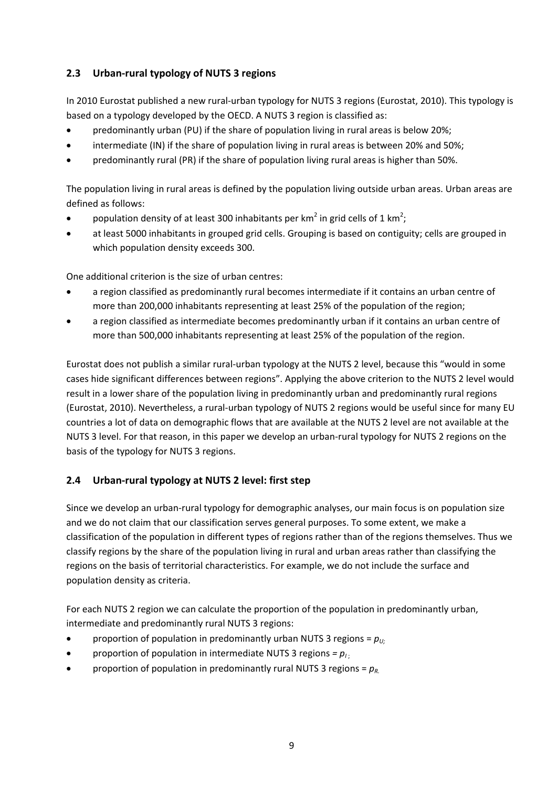### **2.3 Urban‐rural typology of NUTS 3 regions**

In 2010 Eurostat published a new rural-urban typology for NUTS 3 regions (Eurostat, 2010). This typology is based on a typology developed by the OECD. A NUTS 3 region is classified as:

- predominantly urban (PU) if the share of population living in rural areas is below 20%;
- intermediate (IN) if the share of population living in rural areas is between 20% and 50%;
- predominantly rural (PR) if the share of population living rural areas is higher than 50%.

The population living in rural areas is defined by the population living outside urban areas. Urban areas are defined as follows:

- population density of at least 300 inhabitants per km<sup>2</sup> in grid cells of 1 km<sup>2</sup>;
- at least 5000 inhabitants in grouped grid cells. Grouping is based on contiguity; cells are grouped in which population density exceeds 300.

One additional criterion is the size of urban centres:

- a region classified as predominantly rural becomes intermediate if it contains an urban centre of more than 200,000 inhabitants representing at least 25% of the population of the region;
- a region classified as intermediate becomes predominantly urban if it contains an urban centre of more than 500,000 inhabitants representing at least 25% of the population of the region.

Eurostat does not publish a similar rural‐urban typology at the NUTS 2 level, because this "would in some cases hide significant differences between regions". Applying the above criterion to the NUTS 2 level would result in a lower share of the population living in predominantly urban and predominantly rural regions (Eurostat, 2010). Nevertheless, a rural‐urban typology of NUTS 2 regions would be useful since for many EU countries a lot of data on demographic flows that are available at the NUTS 2 level are not available at the NUTS 3 level. For that reason, in this paper we develop an urban-rural typology for NUTS 2 regions on the basis of the typology for NUTS 3 regions.

### **2.4 Urban‐rural typology at NUTS 2 level: first step**

Since we develop an urban‐rural typology for demographic analyses, our main focus is on population size and we do not claim that our classification serves general purposes. To some extent, we make a classification of the population in different types of regions rather than of the regions themselves. Thus we classify regions by the share of the population living in rural and urban areas rather than classifying the regions on the basis of territorial characteristics. For example, we do not include the surface and population density as criteria.

For each NUTS 2 region we can calculate the proportion of the population in predominantly urban, intermediate and predominantly rural NUTS 3 regions:

- **•** proportion of population in predominantly urban NUTS 3 regions =  $p_{U_i}$
- proportion of population in intermediate NUTS 3 regions  $= p_{1}$ .
- proportion of population in predominantly rural NUTS 3 regions =  $p_{R}$ .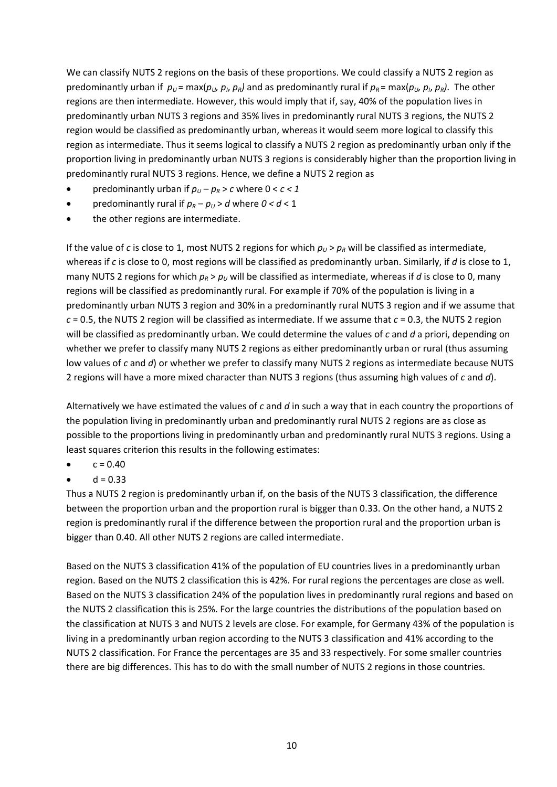We can classify NUTS 2 regions on the basis of these proportions. We could classify a NUTS 2 region as predominantly urban if  $p_U = max(p_U, p_I, p_R)$  and as predominantly rural if  $p_R = max(p_U, p_I, p_R)$ . The other regions are then intermediate. However, this would imply that if, say, 40% of the population lives in predominantly urban NUTS 3 regions and 35% lives in predominantly rural NUTS 3 regions, the NUTS 2 region would be classified as predominantly urban, whereas it would seem more logical to classify this region as intermediate. Thus it seems logical to classify a NUTS 2 region as predominantly urban only if the proportion living in predominantly urban NUTS 3 regions is considerably higher than the proportion living in predominantly rural NUTS 3 regions. Hence, we define a NUTS 2 region as

- predominantly urban if  $p_U p_R > c$  where  $0 < c < 1$
- predominantly rural if  $p_R p_U > d$  where  $0 < d < 1$
- the other regions are intermediate.

If the value of *c* is close to 1, most NUTS 2 regions for which  $p_U > p_R$  will be classified as intermediate, whereas if *c* is close to 0, most regions will be classified as predominantly urban. Similarly, if *d* is close to 1, many NUTS 2 regions for which  $p_R > p_U$  will be classified as intermediate, whereas if *d* is close to 0, many regions will be classified as predominantly rural. For example if 70% of the population is living in a predominantly urban NUTS 3 region and 30% in a predominantly rural NUTS 3 region and if we assume that *c* = 0.5, the NUTS 2 region will be classified as intermediate. If we assume that *c* = 0.3, the NUTS 2 region will be classified as predominantly urban. We could determine the values of *c* and *d* a priori, depending on whether we prefer to classify many NUTS 2 regions as either predominantly urban or rural (thus assuming low values of *c* and *d*) or whether we prefer to classify many NUTS 2 regions as intermediate because NUTS 2 regions will have a more mixed character than NUTS 3 regions (thus assuming high values of *c* and *d*).

Alternatively we have estimated the values of *c* and *d* in such a way that in each country the proportions of the population living in predominantly urban and predominantly rural NUTS 2 regions are as close as possible to the proportions living in predominantly urban and predominantly rural NUTS 3 regions. Using a least squares criterion this results in the following estimates:

- $c = 0.40$
- $d = 0.33$

Thus a NUTS 2 region is predominantly urban if, on the basis of the NUTS 3 classification, the difference between the proportion urban and the proportion rural is bigger than 0.33. On the other hand, a NUTS 2 region is predominantly rural if the difference between the proportion rural and the proportion urban is bigger than 0.40. All other NUTS 2 regions are called intermediate.

Based on the NUTS 3 classification 41% of the population of EU countries lives in a predominantly urban region. Based on the NUTS 2 classification this is 42%. For rural regions the percentages are close as well. Based on the NUTS 3 classification 24% of the population lives in predominantly rural regions and based on the NUTS 2 classification this is 25%. For the large countries the distributions of the population based on the classification at NUTS 3 and NUTS 2 levels are close. For example, for Germany 43% of the population is living in a predominantly urban region according to the NUTS 3 classification and 41% according to the NUTS 2 classification. For France the percentages are 35 and 33 respectively. For some smaller countries there are big differences. This has to do with the small number of NUTS 2 regions in those countries.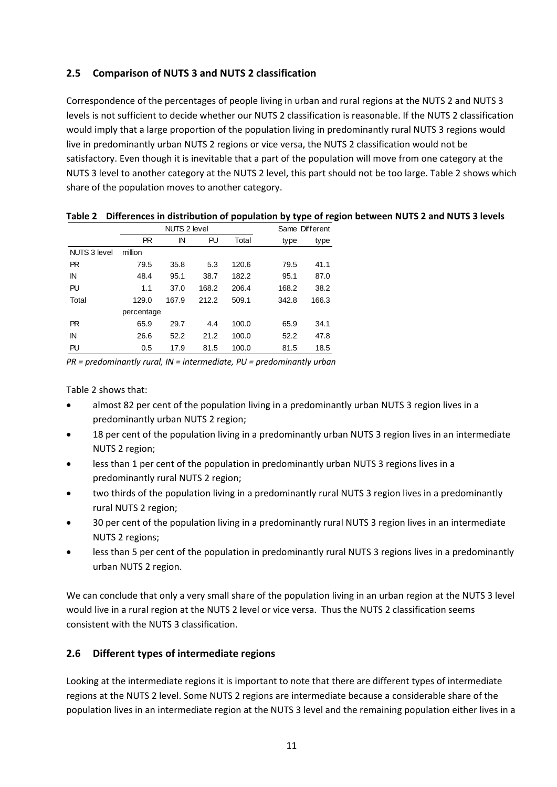### **2.5 Comparison of NUTS 3 and NUTS 2 classification**

Correspondence of the percentages of people living in urban and rural regions at the NUTS 2 and NUTS 3 levels is not sufficient to decide whether our NUTS 2 classification is reasonable. If the NUTS 2 classification would imply that a large proportion of the population living in predominantly rural NUTS 3 regions would live in predominantly urban NUTS 2 regions or vice versa, the NUTS 2 classification would not be satisfactory. Even though it is inevitable that a part of the population will move from one category at the NUTS 3 level to another category at the NUTS 2 level, this part should not be too large. Table 2 shows which share of the population moves to another category.

|                     |            | <b>NUTS 2 level</b> |       |       | Same Different |       |
|---------------------|------------|---------------------|-------|-------|----------------|-------|
|                     | <b>PR</b>  | IN                  | PU    | Total | type           | type  |
| <b>NUTS 3 level</b> | million    |                     |       |       |                |       |
| <b>PR</b>           | 79.5       | 35.8                | 5.3   | 120.6 | 79.5           | 41.1  |
| ΙN                  | 48.4       | 95.1                | 38.7  | 182.2 | 95.1           | 87.0  |
| PU                  | 1.1        | 37.0                | 168.2 | 206.4 | 168.2          | 38.2  |
| Total               | 129.0      | 167.9               | 212.2 | 509.1 | 342.8          | 166.3 |
|                     | percentage |                     |       |       |                |       |
| PR.                 | 65.9       | 29.7                | 4.4   | 100.0 | 65.9           | 34.1  |
| IN                  | 26.6       | 52.2                | 21.2  | 100.0 | 52.2           | 47.8  |
| PU                  | 0.5        | 17.9                | 81.5  | 100.0 | 81.5           | 18.5  |

#### Table 2 Differences in distribution of population by type of region between NUTS 2 and NUTS 3 levels

*PR = predominantly rural, IN = intermediate, PU = predominantly urban*

Table 2 shows that:

- almost 82 per cent of the population living in a predominantly urban NUTS 3 region lives in a predominantly urban NUTS 2 region;
- 18 per cent of the population living in a predominantly urban NUTS 3 region lives in an intermediate NUTS 2 region;
- less than 1 per cent of the population in predominantly urban NUTS 3 regions lives in a predominantly rural NUTS 2 region;
- two thirds of the population living in a predominantly rural NUTS 3 region lives in a predominantly rural NUTS 2 region;
- 30 per cent of the population living in a predominantly rural NUTS 3 region lives in an intermediate NUTS 2 regions;
- less than 5 per cent of the population in predominantly rural NUTS 3 regions lives in a predominantly urban NUTS 2 region.

We can conclude that only a very small share of the population living in an urban region at the NUTS 3 level would live in a rural region at the NUTS 2 level or vice versa. Thus the NUTS 2 classification seems consistent with the NUTS 3 classification.

### **2.6 Different types of intermediate regions**

Looking at the intermediate regions it is important to note that there are different types of intermediate regions at the NUTS 2 level. Some NUTS 2 regions are intermediate because a considerable share of the population lives in an intermediate region at the NUTS 3 level and the remaining population either lives in a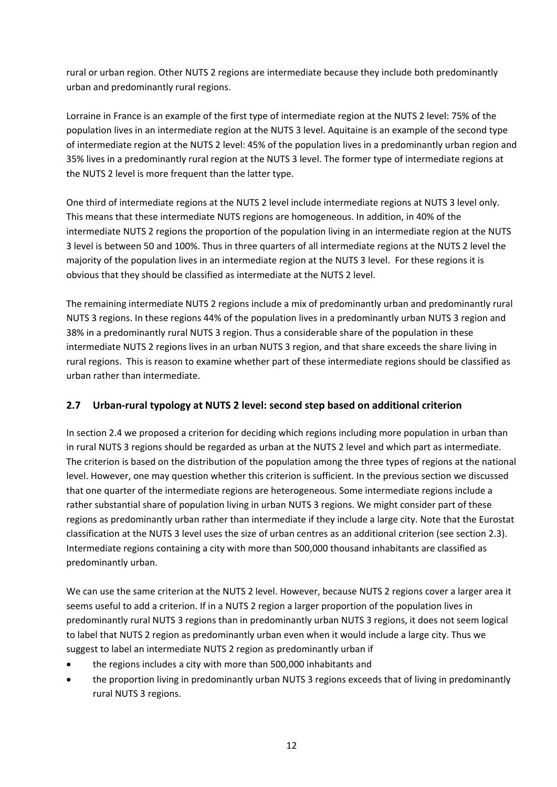rural or urban region. Other NUTS 2 regions are intermediate because they include both predominantly urban and predominantly rural regions.

Lorraine in France is an example of the first type of intermediate region at the NUTS 2 level: 75% of the population lives in an intermediate region at the NUTS 3 level. Aquitaine is an example of the second type of intermediate region at the NUTS 2 level: 45% of the population lives in a predominantly urban region and 35% lives in a predominantly rural region at the NUTS 3 level. The former type of intermediate regions at the NUTS 2 level is more frequent than the latter type.

One third of intermediate regions at the NUTS 2 level include intermediate regions at NUTS 3 level only. This means that these intermediate NUTS regions are homogeneous. In addition, in 40% of the intermediate NUTS 2 regions the proportion of the population living in an intermediate region at the NUTS 3 level is between 50 and 100%. Thus in three quarters of all intermediate regions at the NUTS 2 level the majority of the population lives in an intermediate region at the NUTS 3 level. For these regions it is obvious that they should be classified as intermediate at the NUTS 2 level.

The remaining intermediate NUTS 2 regions include a mix of predominantly urban and predominantly rural NUTS 3 regions. In these regions 44% of the population lives in a predominantly urban NUTS 3 region and 38% in a predominantly rural NUTS 3 region. Thus a considerable share of the population in these intermediate NUTS 2 regions lives in an urban NUTS 3 region, and that share exceeds the share living in rural regions. This is reason to examine whether part of these intermediate regions should be classified as urban rather than intermediate.

### **2.7 Urban‐rural typology at NUTS 2 level: second step based on additional criterion**

In section 2.4 we proposed a criterion for deciding which regions including more population in urban than in rural NUTS 3 regions should be regarded as urban at the NUTS 2 level and which part as intermediate. The criterion is based on the distribution of the population among the three types of regions at the national level. However, one may question whether this criterion is sufficient. In the previous section we discussed that one quarter of the intermediate regions are heterogeneous. Some intermediate regions include a rather substantial share of population living in urban NUTS 3 regions. We might consider part of these regions as predominantly urban rather than intermediate if they include a large city. Note that the Eurostat classification at the NUTS 3 level uses the size of urban centres as an additional criterion (see section 2.3). Intermediate regions containing a city with more than 500,000 thousand inhabitants are classified as predominantly urban.

We can use the same criterion at the NUTS 2 level. However, because NUTS 2 regions cover a larger area it seems useful to add a criterion. If in a NUTS 2 region a larger proportion of the population lives in predominantly rural NUTS 3 regions than in predominantly urban NUTS 3 regions, it does not seem logical to label that NUTS 2 region as predominantly urban even when it would include a large city. Thus we suggest to label an intermediate NUTS 2 region as predominantly urban if

- the regions includes a city with more than 500,000 inhabitants and
- the proportion living in predominantly urban NUTS 3 regions exceeds that of living in predominantly rural NUTS 3 regions.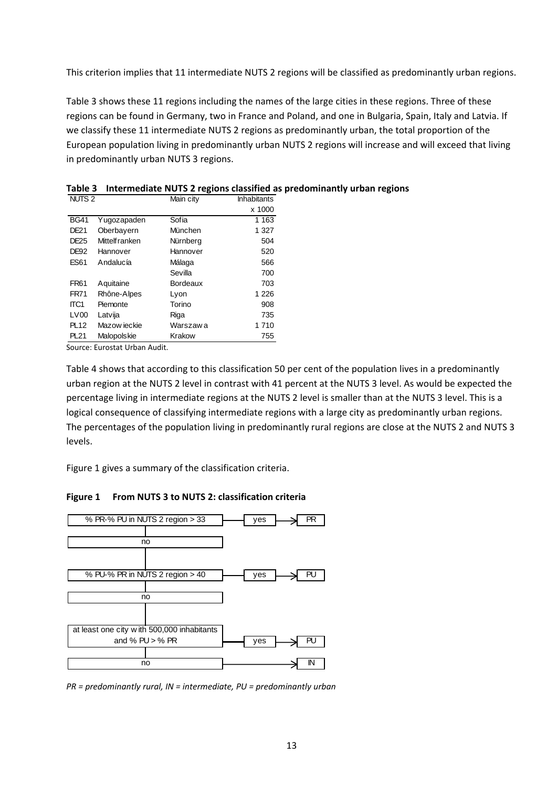This criterion implies that 11 intermediate NUTS 2 regions will be classified as predominantly urban regions.

Table 3 shows these 11 regions including the names of the large cities in these regions. Three of these regions can be found in Germany, two in France and Poland, and one in Bulgaria, Spain, Italy and Latvia. If we classify these 11 intermediate NUTS 2 regions as predominantly urban, the total proportion of the European population living in predominantly urban NUTS 2 regions will increase and will exceed that living in predominantly urban NUTS 3 regions.

| NUTS <sub>2</sub> |                       | Main city | <b>Inhabitants</b> |
|-------------------|-----------------------|-----------|--------------------|
|                   |                       |           | x 1000             |
| <b>BG41</b>       | Yugozapaden           | Sofia     | 1 1 6 3            |
| DE21              | Oberbayern            | München   | 1 327              |
| DE25              | <b>Mittelf ranken</b> | Nürnberg  | 504                |
| <b>DE92</b>       | Hannover              | Hannover  | 520                |
| <b>ES61</b>       | Andalucía             | Málaga    | 566                |
|                   |                       | Sevilla   | 700                |
| FR61              | Aquitaine             | Bordeaux  | 703                |
| <b>FR71</b>       | Rhône-Alpes           | Lyon      | 1 2 2 6            |
| ITC1              | Piemonte              | Torino    | 908                |
| LV <sub>00</sub>  | Latvija               | Riga      | 735                |
| <b>PL12</b>       | Mazow jeckie          | Warszaw a | 1710               |
| <b>PL21</b>       | Malopolskie           | Krakow    | 755                |
|                   |                       |           |                    |

**Table 3 Intermediate NUTS 2 regions classified as predominantly urban regions**

Source: Eurostat Urban Audit.

Table 4 shows that according to this classification 50 per cent of the population lives in a predominantly urban region at the NUTS 2 level in contrast with 41 percent at the NUTS 3 level. As would be expected the percentage living in intermediate regions at the NUTS 2 level is smaller than at the NUTS 3 level. This is a logical consequence of classifying intermediate regions with a large city as predominantly urban regions. The percentages of the population living in predominantly rural regions are close at the NUTS 2 and NUTS 3 levels.

Figure 1 gives a summary of the classification criteria.

#### **Figure 1 From NUTS 3 to NUTS 2: classification criteria**



*PR = predominantly rural, IN = intermediate, PU = predominantly urban*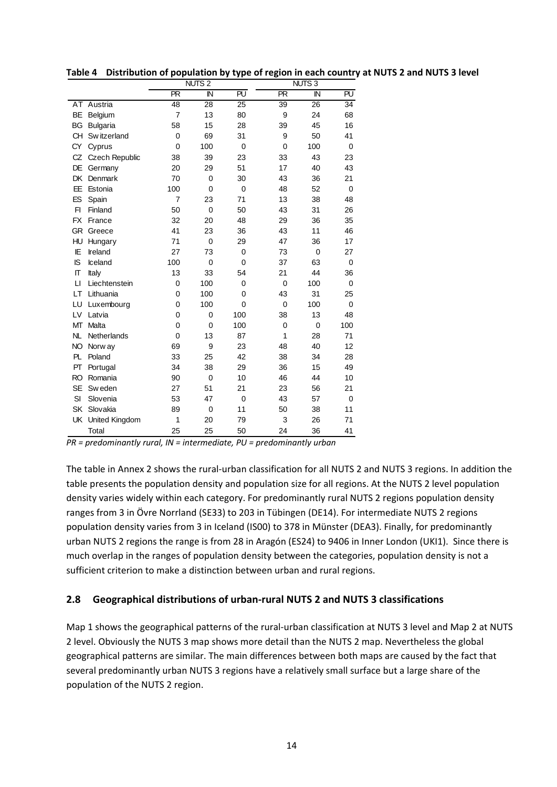|           |                       |                | NUTS <sub>2</sub> |             |           | <b>NUTS3</b>   |             |
|-----------|-----------------------|----------------|-------------------|-------------|-----------|----------------|-------------|
|           |                       | <b>PR</b>      | $\mathbb N$       | <b>PU</b>   | <b>PR</b> | IN             | <b>PU</b>   |
| AT        | Austria               | 48             | 28                | 25          | 39        | 26             | 34          |
| BE        | Belgium               | $\overline{7}$ | 13                | 80          | 9         | 24             | 68          |
| BG        | <b>Bulgaria</b>       | 58             | 15                | 28          | 39        | 45             | 16          |
| CН        | Sw itzerland          | 0              | 69                | 31          | 9         | 50             | 41          |
| СY        | Cyprus                | $\overline{0}$ | 100               | $\mathbf 0$ | 0         | 100            | $\mathbf 0$ |
| CZ        | <b>Czech Republic</b> | 38             | 39                | 23          | 33        | 43             | 23          |
| DE        | Germany               | 20             | 29                | 51          | 17        | 40             | 43          |
| DK        | Denmark               | 70             | 0                 | 30          | 43        | 36             | 21          |
| EE        | Estonia               | 100            | $\Omega$          | $\mathbf 0$ | 48        | 52             | $\mathbf 0$ |
| ES        | Spain                 | $\overline{7}$ | 23                | 71          | 13        | 38             | 48          |
| F1        | Finland               | 50             | $\Omega$          | 50          | 43        | 31             | 26          |
| <b>FX</b> | France                | 32             | 20                | 48          | 29        | 36             | 35          |
| <b>GR</b> | Greece                | 41             | 23                | 36          | 43        | 11             | 46          |
| HU        | Hungary               | 71             | $\overline{0}$    | 29          | 47        | 36             | 17          |
| IE        | Ireland               | 27             | 73                | $\mathbf 0$ | 73        | $\overline{0}$ | 27          |
| IS        | Iceland               | 100            | 0                 | $\mathbf 0$ | 37        | 63             | $\mathbf 0$ |
| П         | Italy                 | 13             | 33                | 54          | 21        | 44             | 36          |
| $\Box$    | Liechtenstein         | 0              | 100               | $\Omega$    | 0         | 100            | $\Omega$    |
| LT        | Lithuania             | 0              | 100               | $\Omega$    | 43        | 31             | 25          |
| LU        | Luxembourg            | 0              | 100               | $\Omega$    | 0         | 100            | $\mathbf 0$ |
| LV        | Latvia                | 0              | 0                 | 100         | 38        | 13             | 48          |
| МT        | Malta                 | 0              | $\overline{0}$    | 100         | 0         | $\overline{0}$ | 100         |
| NL        | Netherlands           | 0              | 13                | 87          | 1         | 28             | 71          |
| <b>NO</b> | Norw ay               | 69             | 9                 | 23          | 48        | 40             | 12          |
| PL        | Poland                | 33             | 25                | 42          | 38        | 34             | 28          |
| PT        | Portugal              | 34             | 38                | 29          | 36        | 15             | 49          |
| <b>RO</b> | Romania               | 90             | $\mathbf 0$       | 10          | 46        | 44             | 10          |
| <b>SE</b> | Sw eden               | 27             | 51                | 21          | 23        | 56             | 21          |
| SI        | Slovenia              | 53             | 47                | $\mathbf 0$ | 43        | 57             | $\mathbf 0$ |
| SK        | Slovakia              | 89             | $\mathbf 0$       | 11          | 50        | 38             | 11          |
| <b>UK</b> | United Kingdom        | 1              | 20                | 79          | 3         | 26             | 71          |
|           | Total                 | 25             | 25                | 50          | 24        | 36             | 41          |

Table 4 Distribution of population by type of region in each country at NUTS 2 and NUTS 3 level

*PR = predominantly rural, IN = intermediate, PU = predominantly urban*

The table in Annex 2 shows the rural‐urban classification for all NUTS 2 and NUTS 3 regions. In addition the table presents the population density and population size for all regions. At the NUTS 2 level population density varies widely within each category. For predominantly rural NUTS 2 regions population density ranges from 3 in Övre Norrland (SE33) to 203 in Tübingen (DE14). For intermediate NUTS 2 regions population density varies from 3 in Iceland (IS00) to 378 in Münster (DEA3). Finally, for predominantly urban NUTS 2 regions the range is from 28 in Aragón (ES24) to 9406 in Inner London (UKI1). Since there is much overlap in the ranges of population density between the categories, population density is not a sufficient criterion to make a distinction between urban and rural regions.

#### **2.8 Geographical distributions of urban‐rural NUTS 2 and NUTS 3 classifications**

Map 1 shows the geographical patterns of the rural-urban classification at NUTS 3 level and Map 2 at NUTS 2 level. Obviously the NUTS 3 map shows more detail than the NUTS 2 map. Nevertheless the global geographical patterns are similar. The main differences between both maps are caused by the fact that several predominantly urban NUTS 3 regions have a relatively small surface but a large share of the population of the NUTS 2 region.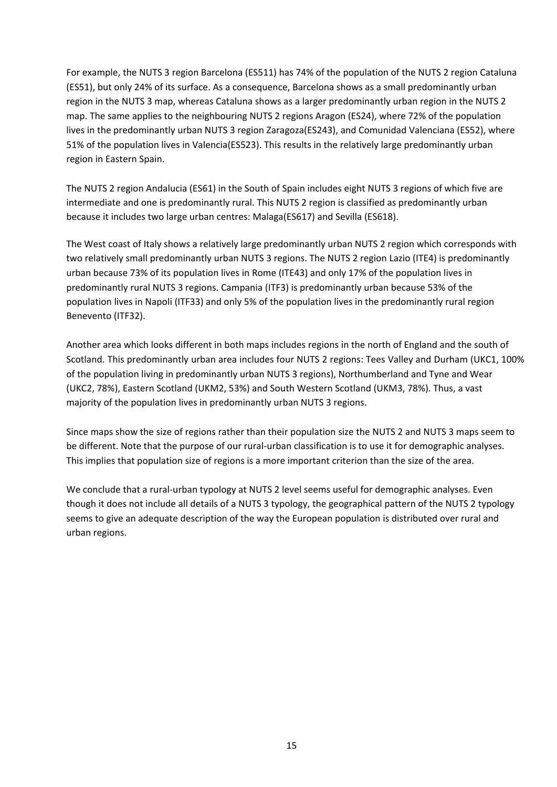For example, the NUTS 3 region Barcelona (ES511) has 74% of the population of the NUTS 2 region Cataluna (ES51), but only 24% of its surface. As a consequence, Barcelona shows as a small predominantly urban region in the NUTS 3 map, whereas Cataluna shows as a larger predominantly urban region in the NUTS 2 map. The same applies to the neighbouring NUTS 2 regions Aragon (ES24), where 72% of the population lives in the predominantly urban NUTS 3 region Zaragoza(ES243), and Comunidad Valenciana (ES52), where 51% of the population lives in Valencia(ES523). This results in the relatively large predominantly urban region in Eastern Spain.

The NUTS 2 region Andalucia (ES61) in the South of Spain includes eight NUTS 3 regions of which five are intermediate and one is predominantly rural. This NUTS 2 region is classified as predominantly urban because it includes two large urban centres: Malaga(ES617) and Sevilla (ES618).

The West coast of Italy shows a relatively large predominantly urban NUTS 2 region which corresponds with two relatively small predominantly urban NUTS 3 regions. The NUTS 2 region Lazio (ITE4) is predominantly urban because 73% of its population lives in Rome (ITE43) and only 17% of the population lives in predominantly rural NUTS 3 regions. Campania (ITF3) is predominantly urban because 53% of the population lives in Napoli (ITF33) and only 5% of the population lives in the predominantly rural region Benevento (ITF32).

Another area which looks different in both maps includes regions in the north of England and the south of Scotland. This predominantly urban area includes four NUTS 2 regions: Tees Valley and Durham (UKC1, 100% of the population living in predominantly urban NUTS 3 regions), Northumberland and Tyne and Wear (UKC2, 78%), Eastern Scotland (UKM2, 53%) and South Western Scotland (UKM3, 78%). Thus, a vast majority of the population lives in predominantly urban NUTS 3 regions.

Since maps show the size of regions rather than their population size the NUTS 2 and NUTS 3 maps seem to be different. Note that the purpose of our rural-urban classification is to use it for demographic analyses. This implies that population size of regions is a more important criterion than the size of the area.

We conclude that a rural-urban typology at NUTS 2 level seems useful for demographic analyses. Even though it does not include all details of a NUTS 3 typology, the geographical pattern of the NUTS 2 typology seems to give an adequate description of the way the European population is distributed over rural and urban regions.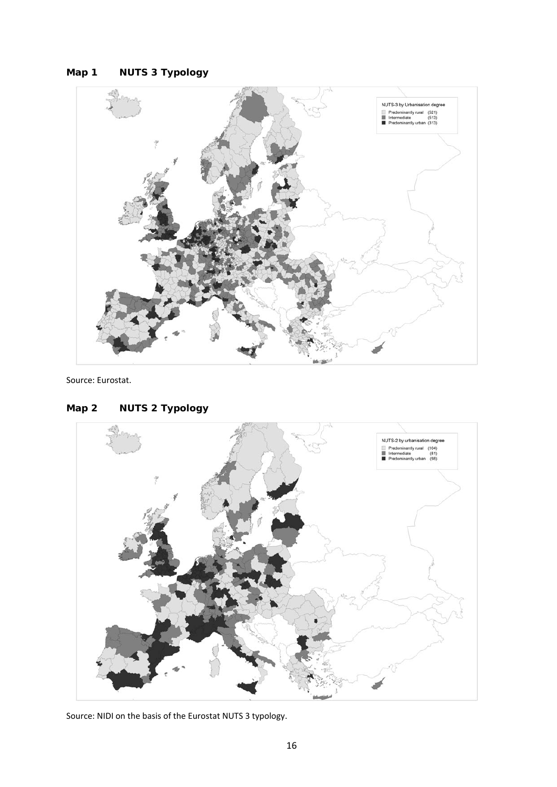### **Map 1 NUTS 3 Typology**



Source: Eurostat.



### **Map 2 NUTS 2 Typology**

Source: NIDI on the basis of the Eurostat NUTS 3 typology.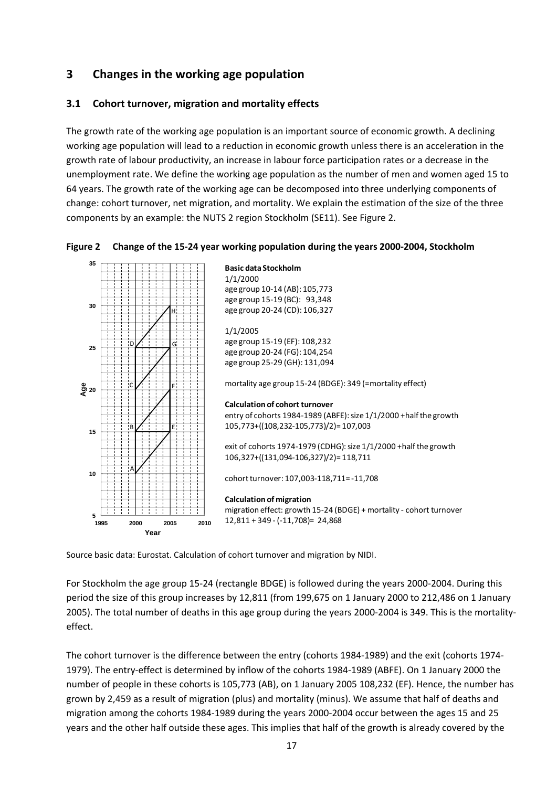### **3 Changes in the working age population**

#### **3.1 Cohort turnover, migration and mortality effects**

The growth rate of the working age population is an important source of economic growth. A declining working age population will lead to a reduction in economic growth unless there is an acceleration in the growth rate of labour productivity, an increase in labour force participation rates or a decrease in the unemployment rate. We define the working age population as the number of men and women aged 15 to 64 years. The growth rate of the working age can be decomposed into three underlying components of change: cohort turnover, net migration, and mortality. We explain the estimation of the size of the three components by an example: the NUTS 2 region Stockholm (SE11). See Figure 2.



**Figure 2 Change of the 15‐24 year working population during the years 2000‐2004, Stockholm**

Source basic data: Eurostat. Calculation of cohort turnover and migration by NIDI.

For Stockholm the age group 15‐24 (rectangle BDGE) is followed during the years 2000‐2004. During this period the size of this group increases by 12,811 (from 199,675 on 1 January 2000 to 212,486 on 1 January 2005). The total number of deaths in this age group during the years 2000‐2004 is 349. This is the mortality‐ effect.

The cohort turnover is the difference between the entry (cohorts 1984‐1989) and the exit (cohorts 1974‐ 1979). The entry‐effect is determined by inflow of the cohorts 1984‐1989 (ABFE). On 1 January 2000 the number of people in these cohorts is 105,773 (AB), on 1 January 2005 108,232 (EF). Hence, the number has grown by 2,459 as a result of migration (plus) and mortality (minus). We assume that half of deaths and migration among the cohorts 1984‐1989 during the years 2000‐2004 occur between the ages 15 and 25 years and the other half outside these ages. This implies that half of the growth is already covered by the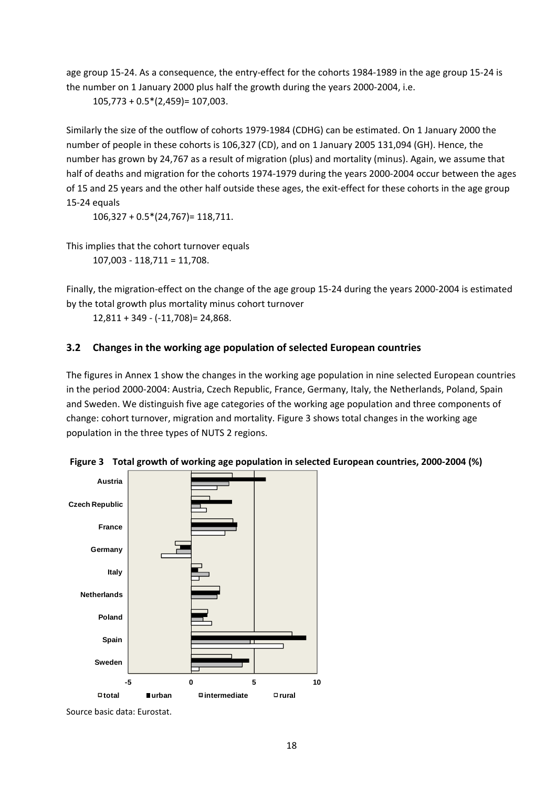age group 15-24. As a consequence, the entry-effect for the cohorts 1984-1989 in the age group 15-24 is the number on 1 January 2000 plus half the growth during the years 2000‐2004, i.e.

105,773 + 0.5\*(2,459)= 107,003.

Similarly the size of the outflow of cohorts 1979‐1984 (CDHG) can be estimated. On 1 January 2000 the number of people in these cohorts is 106,327 (CD), and on 1 January 2005 131,094 (GH). Hence, the number has grown by 24,767 as a result of migration (plus) and mortality (minus). Again, we assume that half of deaths and migration for the cohorts 1974‐1979 during the years 2000‐2004 occur between the ages of 15 and 25 years and the other half outside these ages, the exit-effect for these cohorts in the age group 15‐24 equals

106,327 + 0.5\*(24,767)= 118,711.

This implies that the cohort turnover equals 107,003 ‐ 118,711 = 11,708.

Finally, the migration‐effect on the change of the age group 15‐24 during the years 2000‐2004 is estimated by the total growth plus mortality minus cohort turnover

12,811 + 349 ‐ (‐11,708)= 24,868.

### **3.2 Changes in the working age population of selected European countries**

The figures in Annex 1 show the changes in the working age population in nine selected European countries in the period 2000‐2004: Austria, Czech Republic, France, Germany, Italy, the Netherlands, Poland, Spain and Sweden. We distinguish five age categories of the working age population and three components of change: cohort turnover, migration and mortality. Figure 3 shows total changes in the working age population in the three types of NUTS 2 regions.





Source basic data: Eurostat.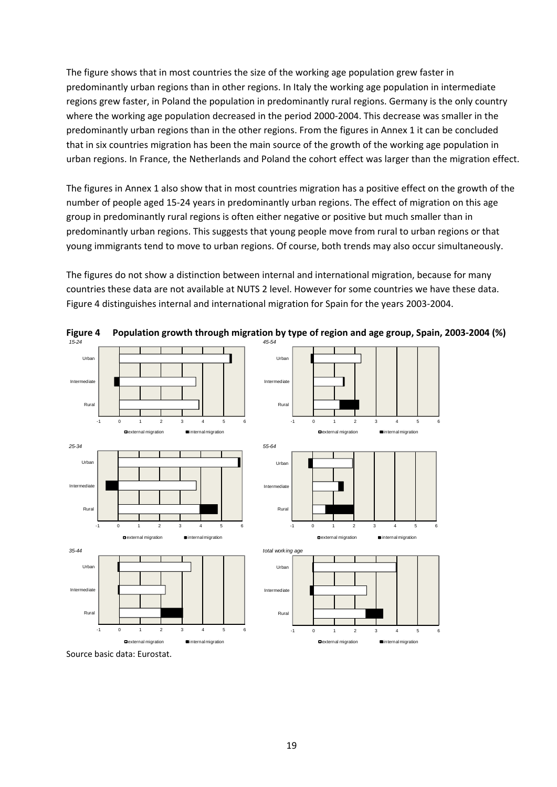The figure shows that in most countries the size of the working age population grew faster in predominantly urban regions than in other regions. In Italy the working age population in intermediate regions grew faster, in Poland the population in predominantly rural regions. Germany is the only country where the working age population decreased in the period 2000‐2004. This decrease was smaller in the predominantly urban regions than in the other regions. From the figures in Annex 1 it can be concluded that in six countries migration has been the main source of the growth of the working age population in urban regions. In France, the Netherlands and Poland the cohort effect was larger than the migration effect.

The figures in Annex 1 also show that in most countries migration has a positive effect on the growth of the number of people aged 15‐24 years in predominantly urban regions. The effect of migration on this age group in predominantly rural regions is often either negative or positive but much smaller than in predominantly urban regions. This suggests that young people move from rural to urban regions or that young immigrants tend to move to urban regions. Of course, both trends may also occur simultaneously.

The figures do not show a distinction between internal and international migration, because for many countries these data are not available at NUTS 2 level. However for some countries we have these data. Figure 4 distinguishes internal and international migration for Spain for the years 2003‐2004.



**Figure 4 Population growth through migration by type of region and age group, Spain, 2003‐2004 (%)**

Source basic data: Eurostat.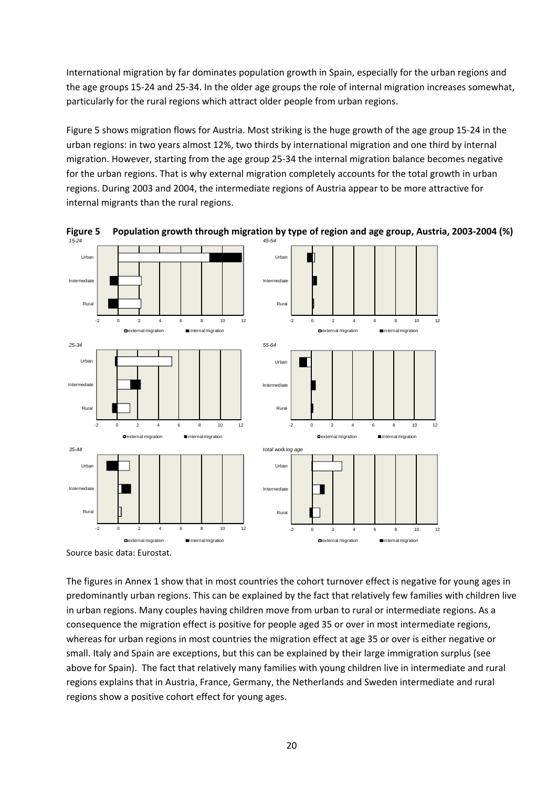International migration by far dominates population growth in Spain, especially for the urban regions and the age groups 15‐24 and 25‐34. In the older age groups the role of internal migration increases somewhat, particularly for the rural regions which attract older people from urban regions.

Figure 5 shows migration flows for Austria. Most striking is the huge growth of the age group 15‐24 in the urban regions: in two years almost 12%, two thirds by international migration and one third by internal migration. However, starting from the age group 25‐34 the internal migration balance becomes negative for the urban regions. That is why external migration completely accounts for the total growth in urban regions. During 2003 and 2004, the intermediate regions of Austria appear to be more attractive for internal migrants than the rural regions.



Figure 5 Population growth through migration by type of region and age group, Austria, 2003-2004 (%)

The figures in Annex 1 show that in most countries the cohort turnover effect is negative for young ages in predominantly urban regions. This can be explained by the fact that relatively few families with children live in urban regions. Many couples having children move from urban to rural or intermediate regions. As a consequence the migration effect is positive for people aged 35 or over in most intermediate regions, whereas for urban regions in most countries the migration effect at age 35 or over is either negative or small. Italy and Spain are exceptions, but this can be explained by their large immigration surplus (see above for Spain). The fact that relatively many families with young children live in intermediate and rural regions explains that in Austria, France, Germany, the Netherlands and Sweden intermediate and rural regions show a positive cohort effect for young ages.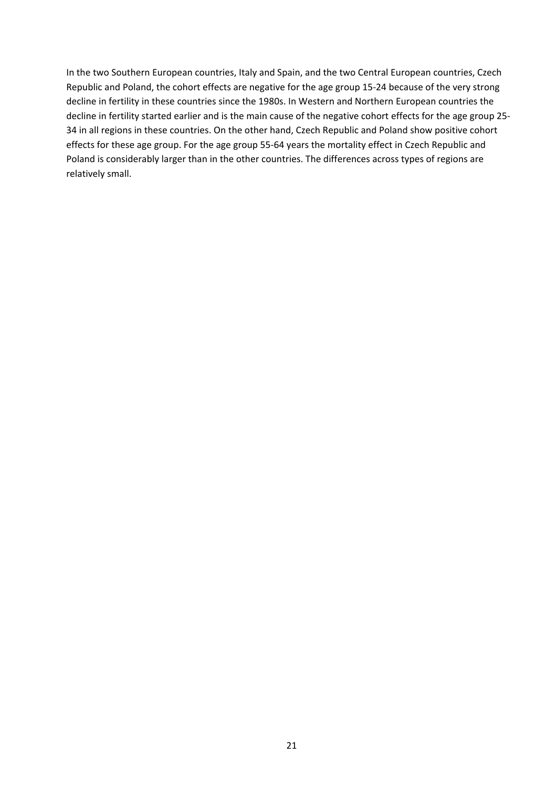In the two Southern European countries, Italy and Spain, and the two Central European countries, Czech Republic and Poland, the cohort effects are negative for the age group 15‐24 because of the very strong decline in fertility in these countries since the 1980s. In Western and Northern European countries the decline in fertility started earlier and is the main cause of the negative cohort effects for the age group 25‐ 34 in all regions in these countries. On the other hand, Czech Republic and Poland show positive cohort effects for these age group. For the age group 55‐64 years the mortality effect in Czech Republic and Poland is considerably larger than in the other countries. The differences across types of regions are relatively small.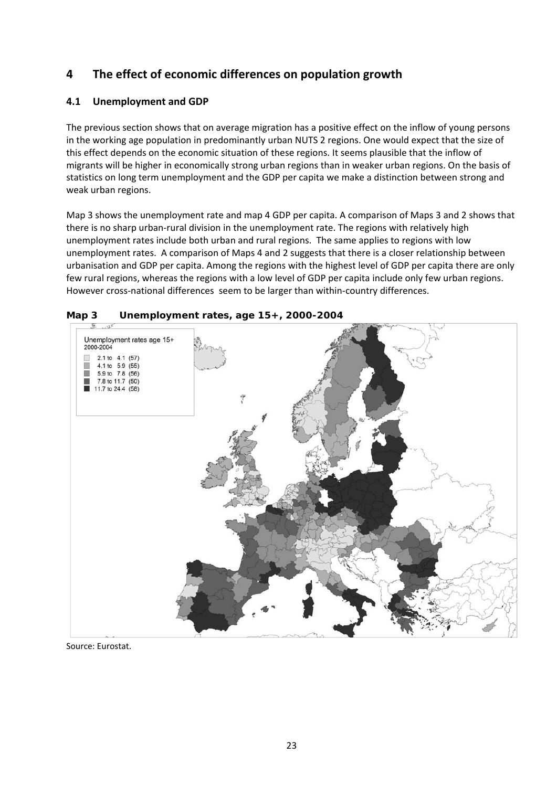### **4 The effect of economic differences on population growth**

### **4.1 Unemployment and GDP**

The previous section shows that on average migration has a positive effect on the inflow of young persons in the working age population in predominantly urban NUTS 2 regions. One would expect that the size of this effect depends on the economic situation of these regions. It seems plausible that the inflow of migrants will be higher in economically strong urban regions than in weaker urban regions. On the basis of statistics on long term unemployment and the GDP per capita we make a distinction between strong and weak urban regions.

Map 3 shows the unemployment rate and map 4 GDP per capita. A comparison of Maps 3 and 2 shows that there is no sharp urban‐rural division in the unemployment rate. The regions with relatively high unemployment rates include both urban and rural regions. The same applies to regions with low unemployment rates. A comparison of Maps 4 and 2 suggests that there is a closer relationship between urbanisation and GDP per capita. Among the regions with the highest level of GDP per capita there are only few rural regions, whereas the regions with a low level of GDP per capita include only few urban regions. However cross-national differences seem to be larger than within-country differences.



**Map 3 Unemployment rates, age 15+, 2000-2004** 

Source: Eurostat.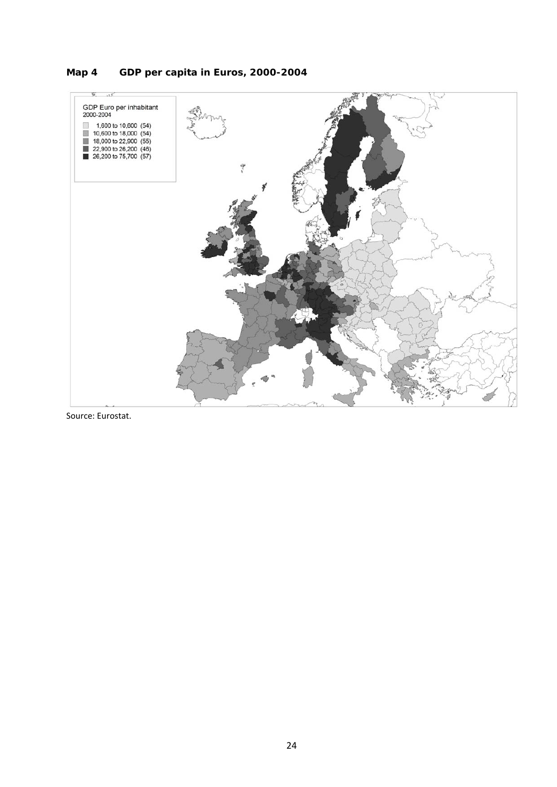### **Map 4 GDP per capita in Euros, 2000-2004**



Source: Eurostat.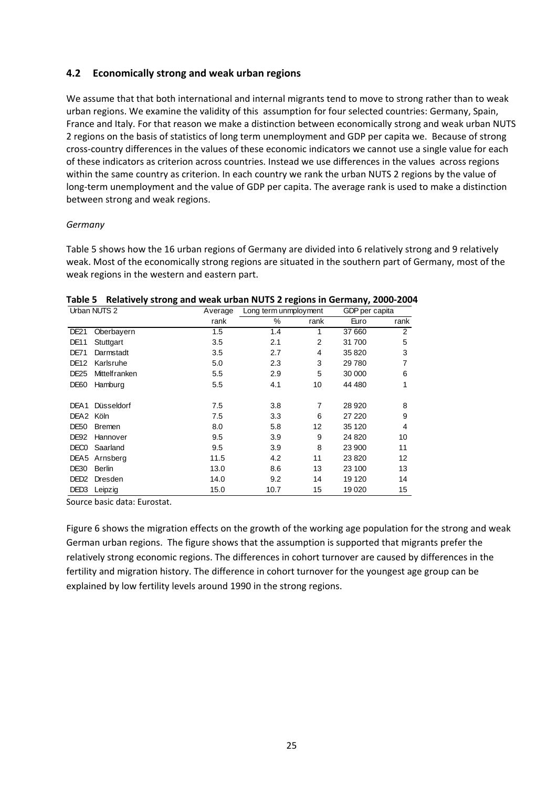#### **4.2 Economically strong and weak urban regions**

We assume that that both international and internal migrants tend to move to strong rather than to weak urban regions. We examine the validity of this assumption for four selected countries: Germany, Spain, France and Italy. For that reason we make a distinction between economically strong and weak urban NUTS 2 regions on the basis of statistics of long term unemployment and GDP per capita we. Because of strong cross‐country differences in the values of these economic indicators we cannot use a single value for each of these indicators as criterion across countries. Instead we use differences in the values across regions within the same country as criterion. In each country we rank the urban NUTS 2 regions by the value of long-term unemployment and the value of GDP per capita. The average rank is used to make a distinction between strong and weak regions.

#### *Germany*

Table 5 shows how the 16 urban regions of Germany are divided into 6 relatively strong and 9 relatively weak. Most of the economically strong regions are situated in the southern part of Germany, most of the weak regions in the western and eastern part.

| Urban NUTS 2          |                       | Average | Long term unmployment |                | GDP per capita |                |
|-----------------------|-----------------------|---------|-----------------------|----------------|----------------|----------------|
|                       |                       | rank    | %                     | rank           | Euro           | rank           |
| <b>DE21</b>           | Oberbayern            | 1.5     | 1.4                   |                | 37 660         | $\overline{2}$ |
| <b>DE11</b>           | Stuttgart             | 3.5     | 2.1                   | $\overline{2}$ | 31 700         | 5              |
| <b>DE71</b>           | Darmstadt             | 3.5     | 2.7                   | 4              | 35 820         | 3              |
| <b>DE12</b>           | Karlsruhe             | 5.0     | 2.3                   | 3              | 29780          |                |
| <b>DE25</b>           | <b>Mittelf ranken</b> | 5.5     | 2.9                   | 5              | 30 000         | 6              |
| <b>DE60</b>           | Hamburg               | 5.5     | 4.1                   | 10             | 44 480         | 1              |
|                       |                       |         |                       |                |                |                |
| DEA1                  | Düsseldorf            | 7.5     | 3.8                   | 7              | 28 9 20        | 8              |
| DEA <sub>2</sub> Köln |                       | 7.5     | 3.3                   | 6              | 27 220         | 9              |
| DE50                  | <b>Bremen</b>         | 8.0     | 5.8                   | 12             | 35 120         | 4              |
| DE <sub>92</sub>      | Hannover              | 9.5     | 3.9                   | 9              | 24 8 20        | 10             |
| DEC <sub>0</sub>      | Saarland              | 9.5     | 3.9                   | 8              | 23 900         | 11             |
| DEA <sub>5</sub>      | Arnsberg              | 11.5    | 4.2                   | 11             | 23820          | 12             |
| DE30                  | Berlin                | 13.0    | 8.6                   | 13             | 23 100         | 13             |
| DED <sub>2</sub>      | Dresden               | 14.0    | 9.2                   | 14             | 19 120         | 14             |
| DED3                  | Leipzig               | 15.0    | 10.7                  | 15             | 19 0 20        | 15             |

**Table 5 Relatively strong and weak urban NUTS 2 regions in Germany, 2000‐2004**

Source basic data: Eurostat.

Figure 6 shows the migration effects on the growth of the working age population for the strong and weak German urban regions. The figure shows that the assumption is supported that migrants prefer the relatively strong economic regions. The differences in cohort turnover are caused by differences in the fertility and migration history. The difference in cohort turnover for the youngest age group can be explained by low fertility levels around 1990 in the strong regions.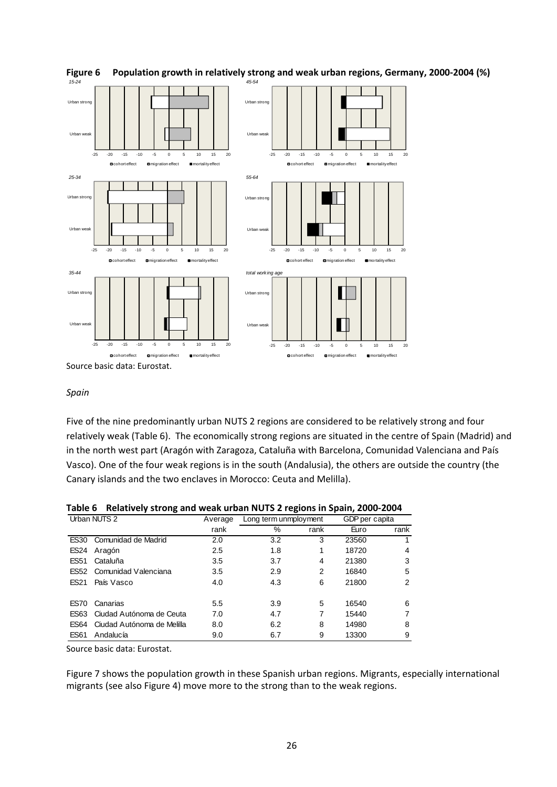

#### **Figure 6 Population growth in relatively strong and weak urban regions, Germany, 2000‐2004 (%)**

#### *Spain*

Five of the nine predominantly urban NUTS 2 regions are considered to be relatively strong and four relatively weak (Table 6). The economically strong regions are situated in the centre of Spain (Madrid) and in the north west part (Aragón with Zaragoza, Cataluña with Barcelona, Comunidad Valenciana and País Vasco). One of the four weak regions is in the south (Andalusia), the others are outside the country (the Canary islands and the two enclaves in Morocco: Ceuta and Melilla).

|              | -                          |         |                       |      |                |      |
|--------------|----------------------------|---------|-----------------------|------|----------------|------|
| Urban NUTS 2 |                            | Average | Long term unmployment |      | GDP per capita |      |
|              |                            | rank    | %                     | rank | Euro           | rank |
| <b>ES30</b>  | Comunidad de Madrid        | 2.0     | 3.2                   | 3    | 23560          |      |
| <b>ES24</b>  | Aragón                     | 2.5     | 1.8                   |      | 18720          | 4    |
| <b>ES51</b>  | Cataluña                   | 3.5     | 3.7                   | 4    | 21380          | 3    |
| <b>ES52</b>  | Comunidad Valenciana       | 3.5     | 2.9                   | 2    | 16840          | 5    |
| <b>ES21</b>  | País Vasco                 | 4.0     | 4.3                   | 6    | 21800          | 2    |
| <b>ES70</b>  | Canarias                   | 5.5     | 3.9                   | 5    | 16540          | 6    |
| ES63         | Ciudad Autónoma de Ceuta   | 7.0     | 4.7                   |      | 15440          | 7    |
| <b>ES64</b>  | Ciudad Autónoma de Melilla | 8.0     | 6.2                   | 8    | 14980          | 8    |
| <b>ES61</b>  | Andalucía                  | 9.0     | 6.7                   | 9    | 13300          | 9    |

Source basic data: Eurostat.

Figure 7 shows the population growth in these Spanish urban regions. Migrants, especially international migrants (see also Figure 4) move more to the strong than to the weak regions.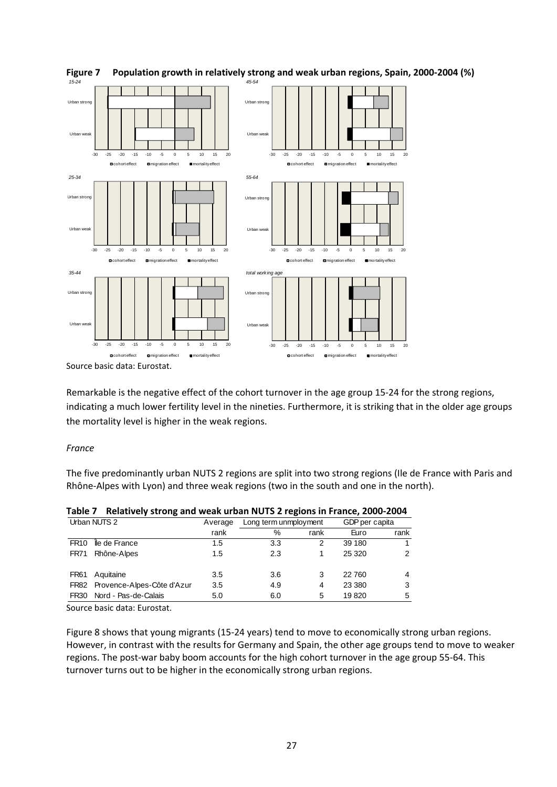

**Figure 7 Population growth in relatively strong and weak urban regions, Spain, 2000‐2004 (%)**

Source basic data: Eurostat.

Remarkable is the negative effect of the cohort turnover in the age group 15‐24 for the strong regions, indicating a much lower fertility level in the nineties. Furthermore, it is striking that in the older age groups the mortality level is higher in the weak regions.

#### *France*

The five predominantly urban NUTS 2 regions are split into two strong regions (Ile de France with Paris and Rhône‐Alpes with Lyon) and three weak regions (two in the south and one in the north).

| Tanic T      | <b>Relatively Strong and weak drivan NOTS Z regions in France, 2000-2004</b> |         |                       |      |                |      |
|--------------|------------------------------------------------------------------------------|---------|-----------------------|------|----------------|------|
| Urban NUTS 2 |                                                                              | Average | Long term unmployment |      | GDP per capita |      |
|              |                                                                              | rank    | %                     | rank | Euro           | rank |
| <b>FR10</b>  | lle de France                                                                | 1.5     | 3.3                   |      | 39 180         |      |
| <b>FR71</b>  | Rhône-Alpes                                                                  | 1.5     | 2.3                   |      | 25 3 20        | 2    |
| <b>FR61</b>  | Aquitaine                                                                    | 3.5     | 3.6                   | 3    | 22760          | 4    |
|              | FR82 Provence-Alpes-Côte d'Azur                                              | 3.5     | 4.9                   | 4    | 23 3 8 0       | 3    |
| FR30         | Nord - Pas-de-Calais                                                         | 5.0     | 6.0                   | 5    | 19820          | 5    |

**Table 7 Relatively strong and weak urban NUTS 2 regions in France, 2000‐2004**

Source basic data: Eurostat.

Figure 8 shows that young migrants (15‐24 years) tend to move to economically strong urban regions. However, in contrast with the results for Germany and Spain, the other age groups tend to move to weaker regions. The post‐war baby boom accounts for the high cohort turnover in the age group 55‐64. This turnover turns out to be higher in the economically strong urban regions.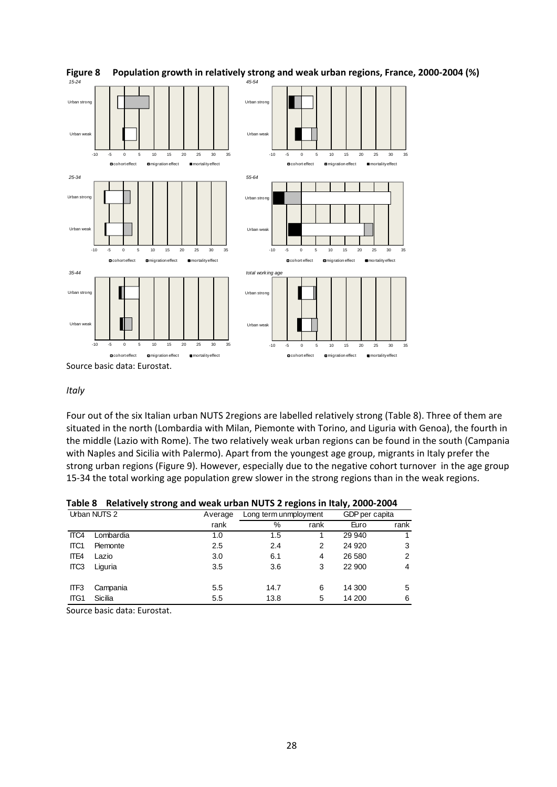

**Figure 8 Population growth in relatively strong and weak urban regions, France, 2000‐2004 (%)**

*Italy*

Four out of the six Italian urban NUTS 2regions are labelled relatively strong (Table 8). Three of them are situated in the north (Lombardia with Milan, Piemonte with Torino, and Liguria with Genoa), the fourth in the middle (Lazio with Rome). The two relatively weak urban regions can be found in the south (Campania with Naples and Sicilia with Palermo). Apart from the youngest age group, migrants in Italy prefer the strong urban regions (Figure 9). However, especially due to the negative cohort turnover in the age group 15-34 the total working age population grew slower in the strong regions than in the weak regions.

| Table 8 Relatively strong and weak urban NUTS 2 regions in Italy, 2000-2004 |  |  |  |  |
|-----------------------------------------------------------------------------|--|--|--|--|
|                                                                             |  |  |  |  |

|                          | Urban NUTS 2                                     | Average | Long term unmployment |      | GDP per capita |                |  |
|--------------------------|--------------------------------------------------|---------|-----------------------|------|----------------|----------------|--|
|                          |                                                  | rank    | %                     | rank | Euro           | rank           |  |
| ITC4                     | Lombardia                                        | 1.0     | 1.5                   |      | 29 940         | 1              |  |
| ITC <sub>1</sub>         | Piemonte                                         | 2.5     | 2.4                   | 2    | 24 9 20        | 3              |  |
| ITE4                     | Lazio                                            | 3.0     | 6.1                   | 4    | 26 580         | 2              |  |
| ITC <sub>3</sub>         | Liguria                                          | 3.5     | 3.6                   | 3    | 22 900         | $\overline{4}$ |  |
| ITF <sub>3</sub>         | Campania                                         | 5.5     | 14.7                  | 6    | 14 300         | 5              |  |
| ITG1                     | Sicilia                                          | 5.5     | 13.8                  | 5    | 14 200         | 6              |  |
| $\overline{\phantom{0}}$ | .<br>$\overline{\phantom{0}}$<br>$\cdot$ $\cdot$ |         |                       |      |                |                |  |

Source basic data: Eurostat.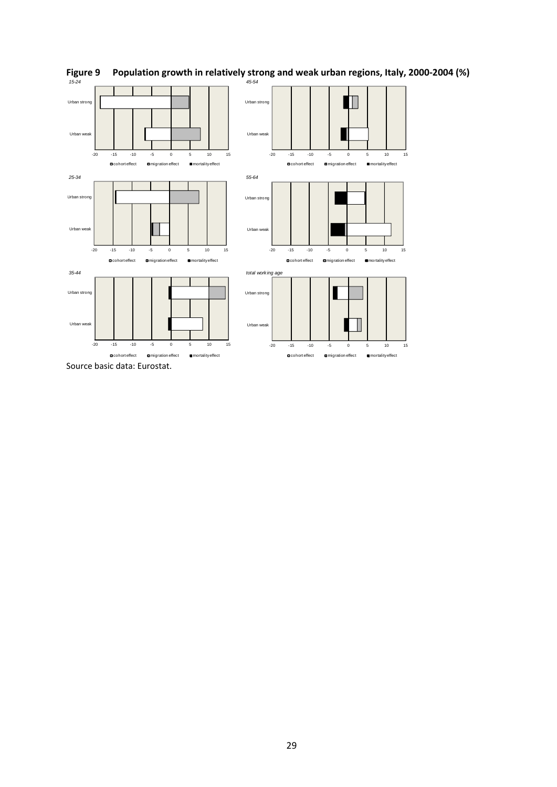

## Figure 9 Population growth in relatively strong and weak urban regions, Italy, 2000-2004 (%)<br> $1524$

Source basic data: Eurostat.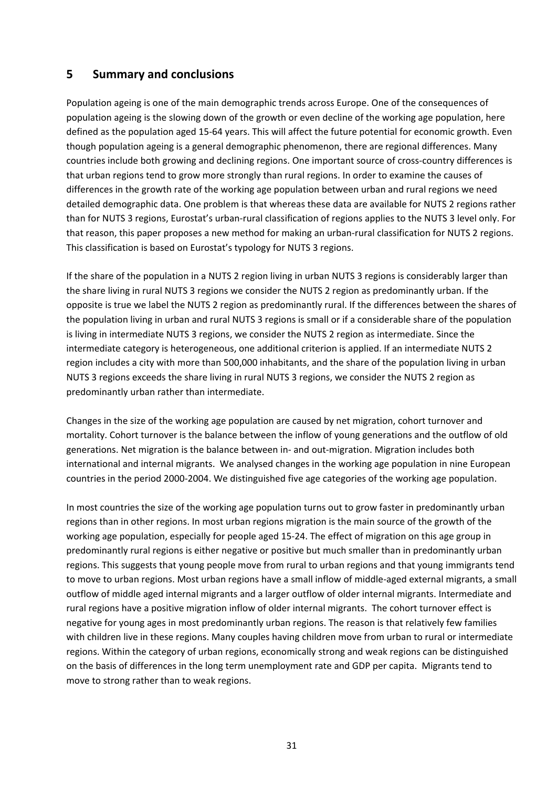### **5 Summary and conclusions**

Population ageing is one of the main demographic trends across Europe. One of the consequences of population ageing is the slowing down of the growth or even decline of the working age population, here defined as the population aged 15‐64 years. This will affect the future potential for economic growth. Even though population ageing is a general demographic phenomenon, there are regional differences. Many countries include both growing and declining regions. One important source of cross‐country differences is that urban regions tend to grow more strongly than rural regions. In order to examine the causes of differences in the growth rate of the working age population between urban and rural regions we need detailed demographic data. One problem is that whereas these data are available for NUTS 2 regions rather than for NUTS 3 regions, Eurostat's urban‐rural classification of regions applies to the NUTS 3 level only. For that reason, this paper proposes a new method for making an urban-rural classification for NUTS 2 regions. This classification is based on Eurostat's typology for NUTS 3 regions.

If the share of the population in a NUTS 2 region living in urban NUTS 3 regions is considerably larger than the share living in rural NUTS 3 regions we consider the NUTS 2 region as predominantly urban. If the opposite is true we label the NUTS 2 region as predominantly rural. If the differences between the shares of the population living in urban and rural NUTS 3 regions is small or if a considerable share of the population is living in intermediate NUTS 3 regions, we consider the NUTS 2 region as intermediate. Since the intermediate category is heterogeneous, one additional criterion is applied. If an intermediate NUTS 2 region includes a city with more than 500,000 inhabitants, and the share of the population living in urban NUTS 3 regions exceeds the share living in rural NUTS 3 regions, we consider the NUTS 2 region as predominantly urban rather than intermediate.

Changes in the size of the working age population are caused by net migration, cohort turnover and mortality. Cohort turnover is the balance between the inflow of young generations and the outflow of old generations. Net migration is the balance between in‐ and out‐migration. Migration includes both international and internal migrants. We analysed changes in the working age population in nine European countries in the period 2000‐2004. We distinguished five age categories of the working age population.

In most countries the size of the working age population turns out to grow faster in predominantly urban regions than in other regions. In most urban regions migration is the main source of the growth of the working age population, especially for people aged 15‐24. The effect of migration on this age group in predominantly rural regions is either negative or positive but much smaller than in predominantly urban regions. This suggests that young people move from rural to urban regions and that young immigrants tend to move to urban regions. Most urban regions have a small inflow of middle-aged external migrants, a small outflow of middle aged internal migrants and a larger outflow of older internal migrants. Intermediate and rural regions have a positive migration inflow of older internal migrants. The cohort turnover effect is negative for young ages in most predominantly urban regions. The reason is that relatively few families with children live in these regions. Many couples having children move from urban to rural or intermediate regions. Within the category of urban regions, economically strong and weak regions can be distinguished on the basis of differences in the long term unemployment rate and GDP per capita. Migrants tend to move to strong rather than to weak regions.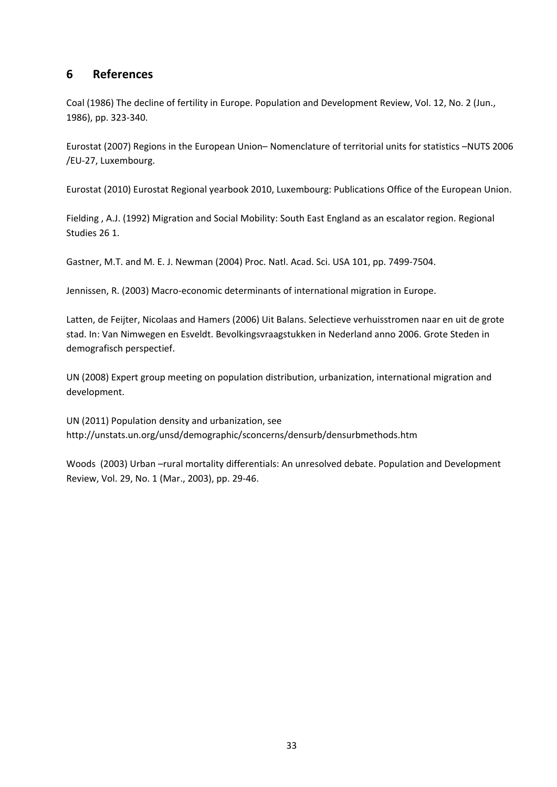### **6 References**

Coal (1986) The decline of fertility in Europe. Population and Development Review, Vol. 12, No. 2 (Jun., 1986), pp. 323‐340.

Eurostat (2007) Regions in the European Union– Nomenclature of territorial units for statistics –NUTS 2006 /EU‐27, Luxembourg.

Eurostat (2010) Eurostat Regional yearbook 2010, Luxembourg: Publications Office of the European Union.

Fielding , A.J. (1992) Migration and Social Mobility: South East England as an escalator region. Regional Studies 26 1.

Gastner, M.T. and M. E. J. Newman (2004) Proc. Natl. Acad. Sci. USA 101, pp. 7499‐7504.

Jennissen, R. (2003) Macro-economic determinants of international migration in Europe.

Latten, de Feijter, Nicolaas and Hamers (2006) Uit Balans. Selectieve verhuisstromen naar en uit de grote stad. In: Van Nimwegen en Esveldt. Bevolkingsvraagstukken in Nederland anno 2006. Grote Steden in demografisch perspectief.

UN (2008) Expert group meeting on population distribution, urbanization, international migration and development.

UN (2011) Population density and urbanization, see http://unstats.un.org/unsd/demographic/sconcerns/densurb/densurbmethods.htm

Woods (2003) Urban –rural mortality differentials: An unresolved debate. Population and Development Review, Vol. 29, No. 1 (Mar., 2003), pp. 29‐46.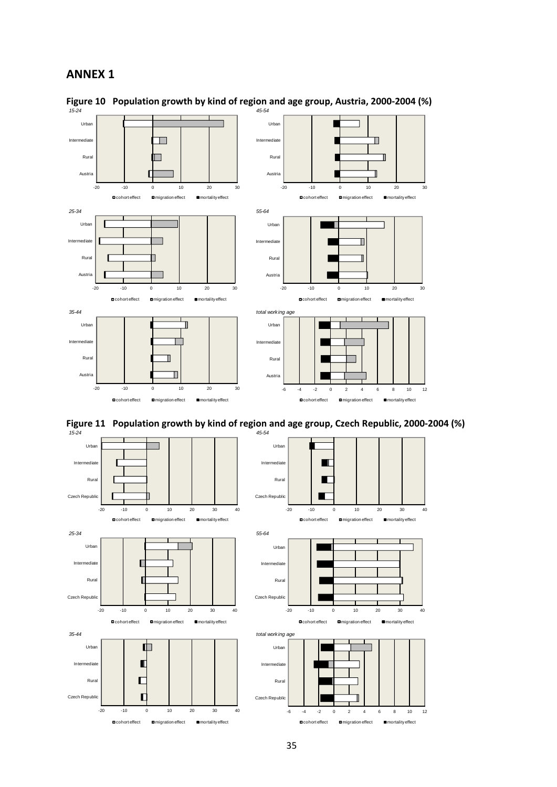#### **ANNEX 1**



# **Figure 10 Population growth by kind of region and age group, Austria, 2000‐2004 (%)**



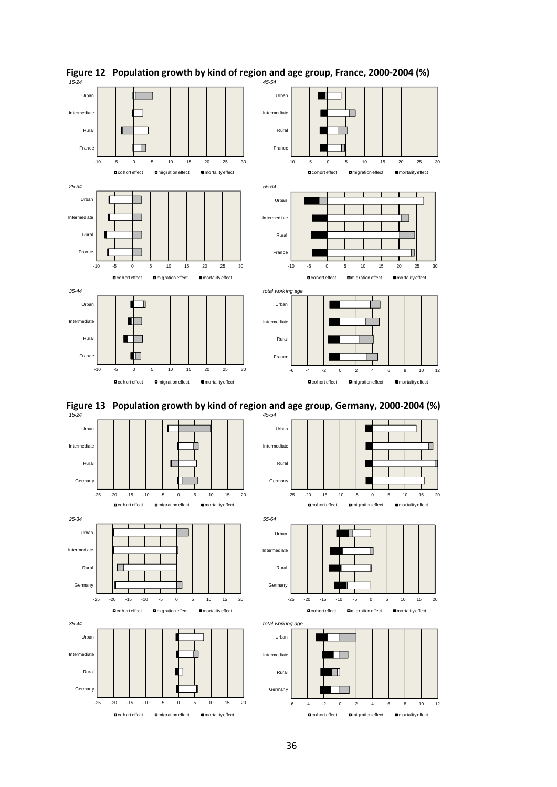

# **Figure 12 Population growth by kind of region and age group, France, 2000‐2004 (%)**



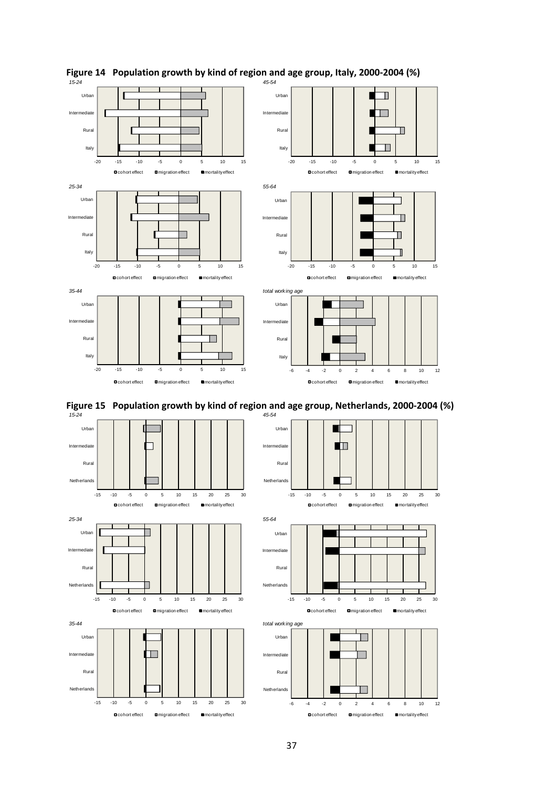

# **Figure 14 Population growth by kind of region and age group, Italy, 2000‐2004 (%)**



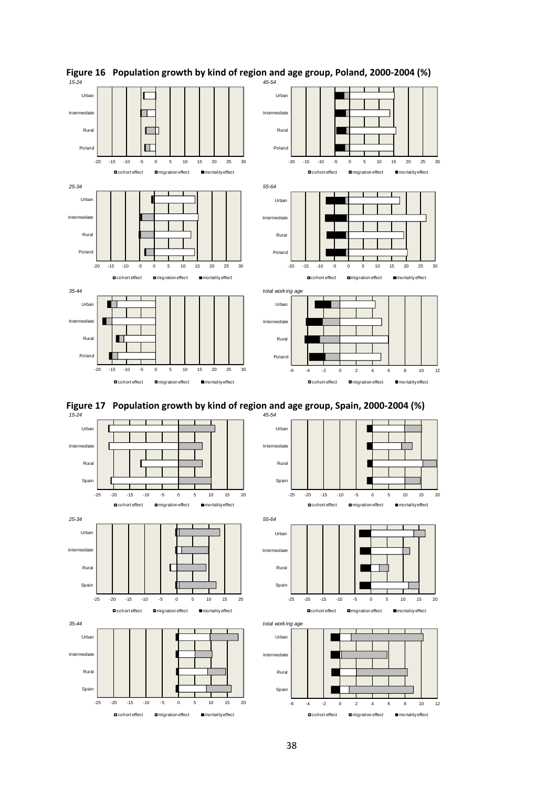

# **Figure 16 Population growth by kind of region and age group, Poland, 2000‐2004 (%)**



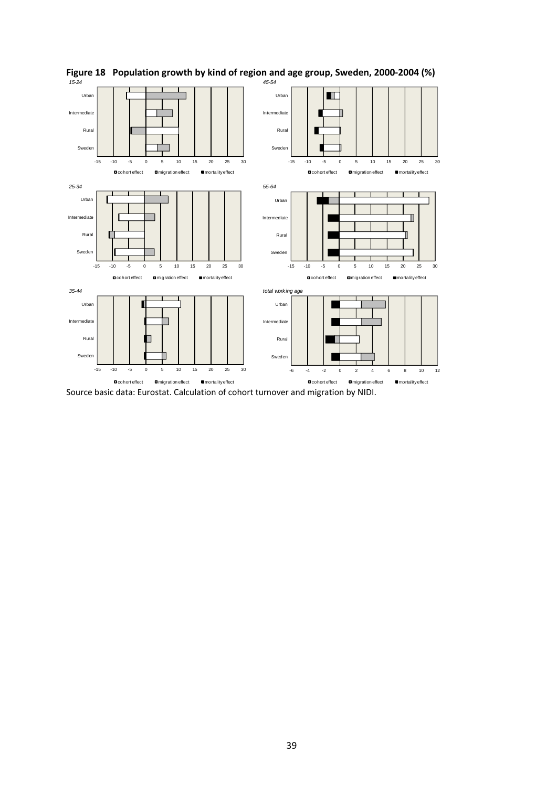

## **Figure 18 Population growth by kind of region and age group, Sweden, 2000‐2004 (%)** *15-24 45-54*

Source basic data: Eurostat. Calculation of cohort turnover and migration by NIDI.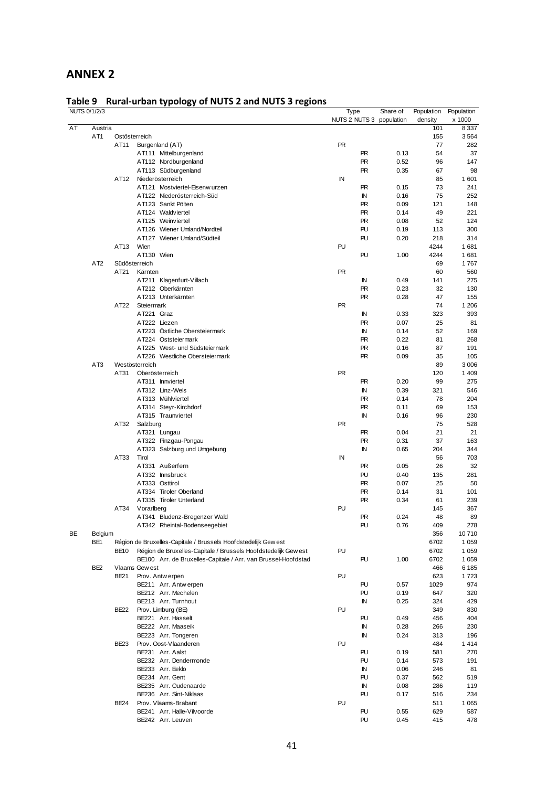### **ANNEX 2**

### **Table 9 Rural‐urban typology of NUTS 2 and NUTS 3 regions**

|    | NUTS 0/1/2/3    |                |                                                                 |           | Type        | Share of                 | Population | Population |
|----|-----------------|----------------|-----------------------------------------------------------------|-----------|-------------|--------------------------|------------|------------|
|    |                 |                |                                                                 |           |             | NUTS 2 NUTS 3 population | density    | x 1000     |
| AT | Austria         |                |                                                                 |           |             |                          | 101        | 8 3 3 7    |
|    | AT <sub>1</sub> | Ostösterreich  |                                                                 |           |             |                          | 155        | 3564       |
|    |                 | AT11           | Burgenland (AT)                                                 | <b>PR</b> |             |                          | 77         | 282        |
|    |                 |                | AT111 Mittelburgenland                                          |           | <b>PR</b>   | 0.13                     | 54         | 37         |
|    |                 |                | AT112 Nordburgenland                                            |           | <b>PR</b>   | 0.52                     | 96         | 147        |
|    |                 |                | AT113 Südburgenland                                             |           | <b>PR</b>   | 0.35                     | 67         | 98         |
|    |                 | AT12           | Niederösterreich                                                | IN        |             |                          | 85         | 1 601      |
|    |                 |                | AT121 Mostviertel-Eisenw urzen                                  |           | <b>PR</b>   | 0.15                     | 73         | 241        |
|    |                 |                | AT122 Niederösterreich-Süd                                      |           | IN          | 0.16                     | 75         | 252        |
|    |                 |                | AT123 Sankt Pölten                                              |           | <b>PR</b>   | 0.09                     | 121        | 148        |
|    |                 |                | AT124 Waldviertel                                               |           | <b>PR</b>   | 0.14                     | 49         | 221        |
|    |                 |                | AT125 Weinviertel                                               |           | <b>PR</b>   | 0.08                     | 52         | 124        |
|    |                 |                | AT126 Wiener Umland/Nordteil                                    |           | PU          | 0.19                     | 113        | 300        |
|    |                 |                | AT127 Wiener Umland/Südteil                                     |           | PU          | 0.20                     | 218        | 314        |
|    |                 | AT13           | Wien                                                            | PU        |             |                          | 4244       | 1681       |
|    |                 |                | AT130 Wien                                                      |           | PU          | 1.00                     | 4244       | 1681       |
|    | AT <sub>2</sub> | Südösterreich  |                                                                 |           |             |                          | 69         | 1767       |
|    |                 | AT21           | Kärnten                                                         | <b>PR</b> |             |                          | 60         | 560        |
|    |                 |                | AT211 Klagenfurt-Villach                                        |           | IN          | 0.49                     | 141        | 275        |
|    |                 |                | AT212 Oberkärnten                                               |           | <b>PR</b>   | 0.23                     | 32         | 130        |
|    |                 |                | AT213 Unterkärnten                                              |           | <b>PR</b>   | 0.28                     | 47         | 155        |
|    |                 | AT22           | Steiermark                                                      | <b>PR</b> |             |                          | 74         | 1 206      |
|    |                 |                | AT221 Graz                                                      |           | IN          | 0.33                     | 323        | 393        |
|    |                 |                | AT222 Liezen                                                    |           | <b>PR</b>   | 0.07                     | 25         | 81         |
|    |                 |                | AT223 Östliche Obersteiermark                                   |           | IN          | 0.14                     | 52         | 169        |
|    |                 |                | AT224 Oststeiermark                                             |           | <b>PR</b>   | 0.22                     | 81         | 268        |
|    |                 |                | AT225 West- und Südsteiermark                                   |           | <b>PR</b>   | 0.16                     | 87         | 191        |
|    |                 |                | AT226 Westliche Obersteiermark                                  |           | <b>PR</b>   | 0.09                     | 35         | 105        |
|    | AT <sub>3</sub> | Westösterreich |                                                                 |           |             |                          | 89         | 3 0 0 6    |
|    |                 | AT31           | Oberösterreich                                                  | <b>PR</b> |             |                          | 120        | 1 4 0 9    |
|    |                 |                | AT311 Innviertel                                                |           | <b>PR</b>   | 0.20                     | 99         | 275        |
|    |                 |                | AT312 Linz-Wels                                                 |           | IN          | 0.39                     | 321        | 546        |
|    |                 |                | AT313 Mühlviertel                                               |           | <b>PR</b>   | 0.14                     | 78         | 204        |
|    |                 |                | AT314 Steyr-Kirchdorf                                           |           | <b>PR</b>   | 0.11                     | 69         | 153        |
|    |                 |                | AT315 Traunviertel                                              |           | IN          | 0.16                     | 96         | 230        |
|    |                 | AT32           | Salzburg                                                        | <b>PR</b> |             |                          | 75         | 528        |
|    |                 |                | AT321 Lungau                                                    |           | <b>PR</b>   | 0.04                     | 21         | 21         |
|    |                 |                | AT322 Pinzgau-Pongau                                            |           | <b>PR</b>   | 0.31                     | 37         | 163        |
|    |                 |                | AT323 Salzburg und Umgebung                                     |           | $\mathbb N$ | 0.65                     | 204        | 344        |
|    |                 | AT33           | Tirol                                                           | IN        |             |                          | 56         | 703        |
|    |                 |                | AT331 Außerfern                                                 |           | <b>PR</b>   | 0.05                     | 26         | 32         |
|    |                 |                | AT332 Innsbruck                                                 |           | PU          | 0.40                     | 135        | 281        |
|    |                 |                | AT333 Osttirol                                                  |           | <b>PR</b>   | 0.07                     | 25         | 50         |
|    |                 |                | AT334 Tiroler Oberland                                          |           | <b>PR</b>   | 0.14                     | 31         | 101        |
|    |                 |                | AT335 Tiroler Unterland                                         |           | <b>PR</b>   | 0.34                     | 61         | 239        |
|    |                 | AT34           | Vorarlberg                                                      | PU        |             |                          | 145        | 367        |
|    |                 |                | AT341 Bludenz-Bregenzer Wald                                    |           | <b>PR</b>   | 0.24                     | 48         | 89         |
|    |                 |                | AT342 Rheintal-Bodenseegebiet                                   |           | PU          | 0.76                     | 409        | 278        |
| BE | Belgium         |                |                                                                 |           |             |                          | 356        | 10710      |
|    | BE <sub>1</sub> |                | Région de Bruxelles-Capitale / Brussels Hoof dstedelijk Gew est |           |             |                          | 6702       | 1 0 5 9    |
|    |                 | <b>BE10</b>    | Région de Bruxelles-Capitale / Brussels Hoofdstedelijk Gew est  | PU        |             |                          | 6702       | 1 0 5 9    |
|    |                 |                | BE100 Arr. de Bruxelles-Capitale / Arr. van Brussel-Hoofdstad   |           | PU          | 1.00                     | 6702       | 1 0 5 9    |
|    | BE <sub>2</sub> |                | Vlaams Gewest                                                   |           |             |                          | 466        | 6 185      |
|    |                 | <b>BE21</b>    | Prov. Antwerpen                                                 | PU        |             |                          | 623        | 1723       |
|    |                 |                | BE211 Arr. Antwerpen                                            |           | PU          | 0.57                     | 1029       | 974        |
|    |                 |                | BE212 Arr. Mechelen                                             |           | PU          | 0.19                     | 647        | 320        |
|    |                 |                | BE213 Arr. Turnhout                                             |           | IN          | 0.25                     | 324        | 429        |
|    |                 | BE22           | Prov. Limburg (BE)                                              | PU        |             |                          | 349        | 830        |
|    |                 |                | BE221 Arr. Hasselt                                              |           | PU          | 0.49                     | 456        | 404        |
|    |                 |                | BE222 Arr. Maaseik                                              |           | ΙN          | 0.28                     | 266        | 230        |
|    |                 |                | BE223 Arr. Tongeren                                             |           | IN          | 0.24                     | 313        | 196        |
|    |                 | BE23           | Prov. Oost-Vlaanderen                                           | PU        |             |                          | 484        | 1414       |
|    |                 |                | BE231 Arr. Aalst                                                |           | PU          | 0.19                     | 581        | 270        |
|    |                 |                | BE232 Arr. Dendermonde                                          |           | PU          | 0.14                     | 573        | 191        |
|    |                 |                | BE233 Arr. Eeklo                                                |           | IN          | 0.06                     | 246        | 81         |
|    |                 |                | BE234 Arr. Gent                                                 |           | PU          | 0.37                     | 562        | 519        |
|    |                 |                | BE235 Arr. Oudenaarde                                           |           | IN          | 0.08                     | 286        | 119        |
|    |                 |                | BE236 Arr. Sint-Niklaas                                         |           | PU          | 0.17                     | 516        | 234        |
|    |                 | <b>BE24</b>    | Prov. Vlaams-Brabant                                            | PU        |             |                          | 511        | 1 0 6 5    |
|    |                 |                | BE241 Arr. Halle-Vilvoorde                                      |           | PU          | 0.55                     | 629        | 587        |
|    |                 |                | BE242 Arr. Leuven                                               |           | PU          | 0.45                     | 415        | 478        |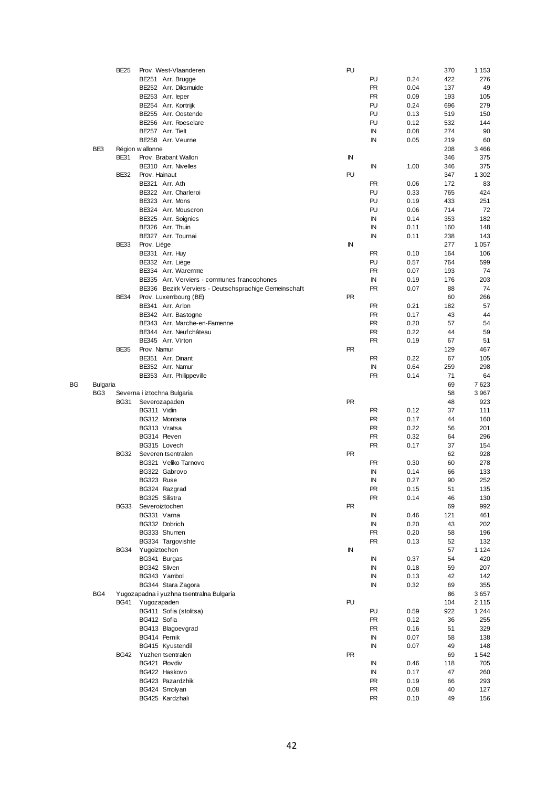|    |                 | <b>BE25</b> | Prov. West-Vlaanderen                                 | PU        |           |              | 370      | 1 1 5 3    |
|----|-----------------|-------------|-------------------------------------------------------|-----------|-----------|--------------|----------|------------|
|    |                 |             | BE251 Arr. Brugge                                     |           | PU        | 0.24         | 422      | 276        |
|    |                 |             | BE252 Arr. Diksmuide                                  |           | <b>PR</b> | 0.04         | 137      | 49         |
|    |                 |             |                                                       |           |           |              |          |            |
|    |                 |             | BE253 Arr. leper                                      |           | <b>PR</b> | 0.09         | 193      | 105        |
|    |                 |             | BE254 Arr. Kortrijk                                   |           | PU        | 0.24         | 696      | 279        |
|    |                 |             | BE255 Arr. Oostende                                   |           | PU        | 0.13         | 519      | 150        |
|    |                 |             | BE256 Arr. Roeselare                                  |           | PU        | 0.12         | 532      | 144        |
|    |                 |             | BE257 Arr. Tielt                                      |           | ΙN        | 0.08         | 274      | 90         |
|    |                 |             |                                                       |           |           |              |          |            |
|    |                 |             | BE258 Arr. Veurne                                     |           | ΙN        | 0.05         | 219      | 60         |
|    | BE3             |             | Région w allonne                                      |           |           |              | 208      | 3466       |
|    |                 | <b>BE31</b> | Prov. Brabant Wallon                                  | IN        |           |              | 346      | 375        |
|    |                 |             | BE310 Arr. Nivelles                                   |           | ΙN        | 1.00         | 346      | 375        |
|    |                 | <b>BE32</b> | Prov. Hainaut                                         | PU        |           |              | 347      | 1 302      |
|    |                 |             |                                                       |           |           |              |          |            |
|    |                 |             | BE321 Arr. Ath                                        |           | PR        | 0.06         | 172      | 83         |
|    |                 |             | BE322 Arr. Charleroi                                  |           | PU        | 0.33         | 765      | 424        |
|    |                 |             | BE323 Arr. Mons                                       |           | PU        | 0.19         | 433      | 251        |
|    |                 |             | BE324 Arr. Mouscron                                   |           | PU        | 0.06         | 714      | 72         |
|    |                 |             |                                                       |           |           |              |          |            |
|    |                 |             | BE325 Arr. Soignies                                   |           | ΙN        | 0.14         | 353      | 182        |
|    |                 |             | BE326 Arr. Thuin                                      |           | ΙN        | 0.11         | 160      | 148        |
|    |                 |             | BE327 Arr. Tournai                                    |           | ΙN        | 0.11         | 238      | 143        |
|    |                 | <b>BE33</b> | Prov. Liège                                           | IN        |           |              | 277      | 1 0 5 7    |
|    |                 |             | BE331 Arr. Huy                                        |           | PR        | 0.10         | 164      | 106        |
|    |                 |             |                                                       |           |           |              |          |            |
|    |                 |             | BE332 Arr. Liège                                      |           | PU        | 0.57         | 764      | 599        |
|    |                 |             | BE334 Arr. Waremme                                    |           | PR        | 0.07         | 193      | 74         |
|    |                 |             | BE335 Arr. Verviers - communes francophones           |           | IN        | 0.19         | 176      | 203        |
|    |                 |             | BE336 Bezirk Verviers - Deutschsprachige Gemeinschaft |           | <b>PR</b> | 0.07         | 88       | 74         |
|    |                 | <b>BE34</b> | Prov. Luxembourg (BE)                                 | <b>PR</b> |           |              | 60       | 266        |
|    |                 |             |                                                       |           |           |              |          |            |
|    |                 |             | BE341 Arr. Arlon                                      |           | PR        | 0.21         | 182      | 57         |
|    |                 |             | BE342 Arr. Bastogne                                   |           | <b>PR</b> | 0.17         | 43       | 44         |
|    |                 |             | BE343 Arr. Marche-en-Famenne                          |           | <b>PR</b> | 0.20         | 57       | 54         |
|    |                 |             | BE344 Arr. Neufchâteau                                |           | <b>PR</b> | 0.22         | 44       | 59         |
|    |                 |             | BE345 Arr. Virton                                     |           | PR        | 0.19         | 67       | 51         |
|    |                 |             |                                                       |           |           |              |          |            |
|    |                 | <b>BE35</b> | Prov. Namur                                           | <b>PR</b> |           |              | 129      | 467        |
|    |                 |             | BE351 Arr. Dinant                                     |           | PR        | 0.22         | 67       | 105        |
|    |                 |             | BE352 Arr. Namur                                      |           | ΙN        | 0.64         | 259      | 298        |
|    |                 |             | BE353 Arr. Philippeville                              |           | PR        | 0.14         | 71       | 64         |
|    |                 |             |                                                       |           |           |              |          |            |
| ВG | <b>Bulgaria</b> |             |                                                       |           |           |              | 69       | 7623       |
|    |                 |             |                                                       |           |           |              |          |            |
|    | BG <sub>3</sub> |             | Severna i iztochna Bulgaria                           |           |           |              | 58       | 3967       |
|    |                 | <b>BG31</b> | Severozapaden                                         | <b>PR</b> |           |              | 48       | 923        |
|    |                 |             |                                                       |           |           |              |          |            |
|    |                 |             | BG311 Vidin                                           |           | PR        | 0.12         | 37       | 111        |
|    |                 |             | BG312 Montana                                         |           | PR        | 0.17         | 44       | 160        |
|    |                 |             | BG313 Vratsa                                          |           | PR        | 0.22         | 56       | 201        |
|    |                 |             | BG314 Pleven                                          |           | <b>PR</b> | 0.32         | 64       | 296        |
|    |                 |             | BG315 Lovech                                          |           | PR        | 0.17         | 37       | 154        |
|    |                 |             |                                                       |           |           |              |          |            |
|    |                 | BG32        | Severen tsentralen                                    | <b>PR</b> |           |              | 62       | 928        |
|    |                 |             | BG321 Veliko Tarnovo                                  |           | PR        | 0.30         | 60       | 278        |
|    |                 |             | BG322 Gabrovo                                         |           | IN        | 0.14         | 66       | 133        |
|    |                 |             | BG323 Ruse                                            |           | IN        | 0.27         | 90       | 252        |
|    |                 |             | BG324 Razgrad                                         |           | PR        | 0.15         | 51       | 135        |
|    |                 |             |                                                       |           |           |              |          |            |
|    |                 |             | BG325 Silistra                                        |           | <b>PR</b> | 0.14         | 46       | 130        |
|    |                 | <b>BG33</b> | Severoiztochen                                        | PR        |           |              | 69       | 992        |
|    |                 |             | BG331 Varna                                           |           | ΙN        | 0.46         | 121      | 461        |
|    |                 |             | BG332 Dobrich                                         |           | IN        | 0.20         | 43       | 202        |
|    |                 |             | BG333 Shumen                                          |           | PR.       | 0.20         | 58       | 196        |
|    |                 |             |                                                       |           |           |              |          |            |
|    |                 |             | BG334 Targovishte                                     |           | <b>PR</b> | 0.13         | 52       | 132        |
|    |                 | <b>BG34</b> | Yugoiztochen                                          | IN        |           |              | 57       | 1 1 2 4    |
|    |                 |             | BG341 Burgas                                          |           | ΙN        | 0.37         | 54       | 420        |
|    |                 |             | BG342 Sliven                                          |           | ΙN        | 0.18         | 59       | 207        |
|    |                 |             | BG343 Yambol                                          |           | ΙN        | 0.13         | 42       | 142        |
|    |                 |             |                                                       |           |           |              |          |            |
|    |                 |             | BG344 Stara Zagora                                    |           | ΙN        | 0.32         | 69       | 355        |
|    | BG4             |             | Yugozapadna i yuzhna tsentralna Bulgaria              |           |           |              | 86       | 3657       |
|    |                 | <b>BG41</b> | Yugozapaden                                           | PU        |           |              | 104      | 2 1 1 5    |
|    |                 |             | BG411 Sofia (stolitsa)                                |           | PU        | 0.59         | 922      | 1 2 4 4    |
|    |                 |             | BG412 Sofia                                           |           | PR.       | 0.12         | 36       | 255        |
|    |                 |             |                                                       |           |           |              |          |            |
|    |                 |             | BG413 Blagoevgrad                                     |           | <b>PR</b> | 0.16         | 51       | 329        |
|    |                 |             | BG414 Pernik                                          |           | IN        | 0.07         | 58       | 138        |
|    |                 |             | BG415 Kyustendil                                      |           | ΙN        | 0.07         | 49       | 148        |
|    |                 | BG42        | Yuzhen tsentralen                                     | PR        |           |              | 69       | 1542       |
|    |                 |             | BG421 Plovdiv                                         |           | IN        | 0.46         | 118      | 705        |
|    |                 |             |                                                       |           |           |              |          |            |
|    |                 |             | BG422 Haskovo                                         |           | IN        | 0.17         | 47       | 260        |
|    |                 |             | BG423 Pazardzhik                                      |           | <b>PR</b> | 0.19         | 66       | 293        |
|    |                 |             | BG424 Smolyan<br>BG425 Kardzhali                      |           | PR<br>PR  | 0.08<br>0.10 | 40<br>49 | 127<br>156 |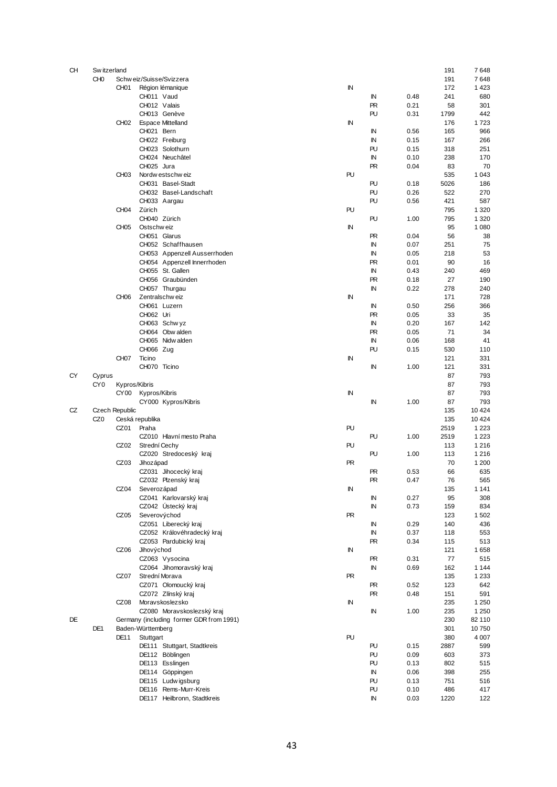| CН | Sw itzerland    |                  |                                          |           |           |      | 191  | 7648    |
|----|-----------------|------------------|------------------------------------------|-----------|-----------|------|------|---------|
|    | CH <sub>0</sub> |                  | Schw eiz/Suisse/Svizzera                 |           |           |      | 191  | 7648    |
|    |                 | CH <sub>01</sub> | Région lémanique                         | IN        |           |      | 172  | 1423    |
|    |                 |                  |                                          |           |           |      |      |         |
|    |                 |                  | CH011 Vaud                               |           | IN        | 0.48 | 241  | 680     |
|    |                 |                  | CH012 Valais                             |           | <b>PR</b> | 0.21 | 58   | 301     |
|    |                 |                  | CH013 Genève                             |           | PU        | 0.31 | 1799 | 442     |
|    |                 | CH <sub>02</sub> | <b>Espace Mittelland</b>                 | IN        |           |      | 176  | 1723    |
|    |                 |                  | CH021 Bern                               |           | ΙN        | 0.56 | 165  | 966     |
|    |                 |                  | CH022 Freiburg                           |           | IN        | 0.15 | 167  | 266     |
|    |                 |                  |                                          |           | PU        |      |      |         |
|    |                 |                  | CH023 Solothurn                          |           |           | 0.15 | 318  | 251     |
|    |                 |                  | CH024 Neuchâtel                          |           | IN        | 0.10 | 238  | 170     |
|    |                 |                  | CH025 Jura                               |           | <b>PR</b> | 0.04 | 83   | 70      |
|    |                 | CH <sub>03</sub> | Nordw estschw eiz                        | PU        |           |      | 535  | 1 0 4 3 |
|    |                 |                  | CH031 Basel-Stadt                        |           | PU        | 0.18 | 5026 | 186     |
|    |                 |                  | CH032 Basel-Landschaft                   |           | PU        | 0.26 | 522  | 270     |
|    |                 |                  |                                          |           |           |      |      |         |
|    |                 |                  | CH033 Aargau                             |           | PU        | 0.56 | 421  | 587     |
|    |                 | CH <sub>04</sub> | Zürich                                   | PU        |           |      | 795  | 1 3 2 0 |
|    |                 |                  | CH040 Zürich                             |           | PU        | 1.00 | 795  | 1 3 2 0 |
|    |                 | CH <sub>05</sub> | Ostschw eiz                              | IN        |           |      | 95   | 1 0 8 0 |
|    |                 |                  | CH051 Glarus                             |           | <b>PR</b> | 0.04 | 56   | 38      |
|    |                 |                  | CH052 Schaffhausen                       |           | IN        | 0.07 | 251  | 75      |
|    |                 |                  |                                          |           |           |      |      |         |
|    |                 |                  | CH053 Appenzell Ausserrhoden             |           | IN        | 0.05 | 218  | 53      |
|    |                 |                  | CH054 Appenzell Innerrhoden              |           | <b>PR</b> | 0.01 | 90   | 16      |
|    |                 |                  | CH055 St. Gallen                         |           | IN        | 0.43 | 240  | 469     |
|    |                 |                  | CH056 Graubünden                         |           | <b>PR</b> | 0.18 | 27   | 190     |
|    |                 |                  | CH057 Thurgau                            |           | IN        | 0.22 | 278  | 240     |
|    |                 | CH <sub>06</sub> | Zentralschweiz                           | ΙN        |           |      | 171  | 728     |
|    |                 |                  |                                          |           |           |      |      |         |
|    |                 |                  | CH061 Luzern                             |           | IN        | 0.50 | 256  | 366     |
|    |                 |                  | CH062 Uri                                |           | <b>PR</b> | 0.05 | 33   | 35      |
|    |                 |                  | CH063 Schwyz                             |           | IN        | 0.20 | 167  | 142     |
|    |                 |                  | CH064 Obw alden                          |           | <b>PR</b> | 0.05 | 71   | 34      |
|    |                 |                  | CH065 Nidwalden                          |           | ΙN        | 0.06 | 168  | 41      |
|    |                 |                  | CH066 Zug                                |           | PU        | 0.15 | 530  | 110     |
|    |                 |                  |                                          |           |           |      |      |         |
|    |                 | CH <sub>07</sub> | Ticino                                   | IN        |           |      | 121  | 331     |
|    |                 |                  | CH070 Ticino                             |           | IN        | 1.00 | 121  | 331     |
| CY | Cyprus          |                  |                                          |           |           |      | 87   | 793     |
|    | CY <sub>0</sub> | Kypros/Kibris    |                                          |           |           |      | 87   | 793     |
|    |                 | CY <sub>00</sub> | Kypros/Kibris                            | IN        |           |      | 87   | 793     |
|    |                 |                  |                                          |           |           |      | 87   | 793     |
|    |                 |                  | CY000 Kypros/Kibris                      |           | IN        | 1.00 |      |         |
| CZ |                 | Czech Republic   |                                          |           |           |      | 135  | 10 4 24 |
|    | CZ <sub>0</sub> | Ceská republika  |                                          |           |           |      | 135  | 10 4 24 |
|    |                 | CZ01             | Praha                                    | PU        |           |      | 2519 | 1 2 2 3 |
|    |                 |                  | CZ010 Hlavní mesto Praha                 |           | PU        | 1.00 | 2519 | 1 2 2 3 |
|    |                 | CZ02             | Strední Cechy                            | PU        |           |      | 113  | 1 2 1 6 |
|    |                 |                  |                                          |           |           |      |      |         |
|    |                 |                  | CZ020 Stredoceský kraj                   |           | PU        | 1.00 | 113  | 1216    |
|    |                 | CZ03             | Jihozápad                                | PR        |           |      | 70   | 1 200   |
|    |                 |                  | CZ031 Jihocecký kraj                     |           | <b>PR</b> | 0.53 | 66   | 635     |
|    |                 |                  | CZ032 Plzenský kraj                      |           | <b>PR</b> | 0.47 | 76   | 565     |
|    |                 | CZ04             | Severozápad                              | IN        |           |      | 135  | 1 1 4 1 |
|    |                 |                  | CZ041 Karlovarský kraj                   |           | IN        | 0.27 | 95   | 308     |
|    |                 |                  | CZ042 Ústecký kraj                       |           |           |      |      | 834     |
|    |                 |                  |                                          |           | IN        | 0.73 | 159  |         |
|    |                 | CZ05             | Severovýchod                             | <b>PR</b> |           |      | 123  | 1502    |
|    |                 |                  | CZ051 Liberecký kraj                     |           | IN        | 0.29 | 140  | 436     |
|    |                 |                  | CZ052 Královéhradecký kraj               |           | IN        | 0.37 | 118  | 553     |
|    |                 |                  | CZ053 Pardubický kraj                    |           | <b>PR</b> | 0.34 | 115  | 513     |
|    |                 | CZ <sub>06</sub> | Jihovýchod                               | ΙN        |           |      | 121  | 1658    |
|    |                 |                  |                                          |           |           |      |      |         |
|    |                 |                  | CZ063 Vysocina                           |           | PR        | 0.31 | 77   | 515     |
|    |                 |                  | CZ064 Jihomoravský kraj                  |           | IN        | 0.69 | 162  | 1 1 4 4 |
|    |                 | CZ07             | Strední Morava                           | PR        |           |      | 135  | 1 2 3 3 |
|    |                 |                  | CZ071 Olomoucký kraj                     |           | PR.       | 0.52 | 123  | 642     |
|    |                 |                  | CZ072 Zlínský kraj                       |           | <b>PR</b> | 0.48 | 151  | 591     |
|    |                 |                  | CZ08 Moravskoslezsko                     | ΙN        |           |      | 235  | 1 2 5 0 |
|    |                 |                  |                                          |           |           |      |      |         |
|    |                 |                  | CZ080 Moravskoslezský kraj               |           | IN        | 1.00 | 235  | 1 2 5 0 |
| DE |                 |                  | Germany (including former GDR from 1991) |           |           |      | 230  | 82 110  |
|    | DE1             |                  | Baden-Württemberg                        |           |           |      | 301  | 10750   |
|    |                 | DE <sub>11</sub> | Stuttgart                                | PU        |           |      | 380  | 4 0 0 7 |
|    |                 |                  | DE111 Stuttgart, Stadtkreis              |           | PU        | 0.15 | 2887 | 599     |
|    |                 |                  | DE112 Böblingen                          |           | PU        | 0.09 | 603  | 373     |
|    |                 |                  |                                          |           |           |      |      |         |
|    |                 |                  | DE113 Esslingen                          |           | PU        | 0.13 | 802  | 515     |
|    |                 |                  | DE114 Göppingen                          |           | IN        | 0.06 | 398  | 255     |
|    |                 |                  | DE115 Ludwigsburg                        |           | PU        | 0.13 | 751  | 516     |
|    |                 |                  | DE116 Rems-Murr-Kreis                    |           | PU        | 0.10 | 486  | 417     |
|    |                 |                  | DE117 Heilbronn, Stadtkreis              |           | IN        | 0.03 | 1220 | 122     |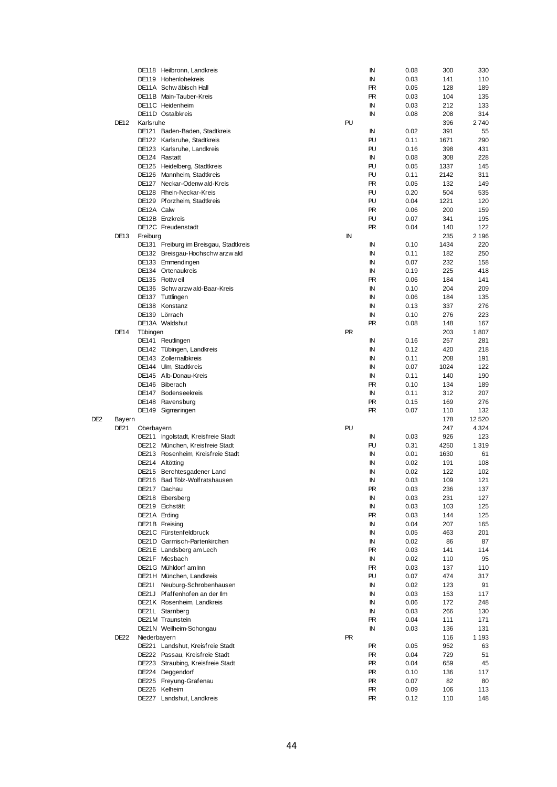|     |                  |              | DE118 Heilbronn, Landkreis             |           | ΙN        | 0.08 | 300  | 330       |
|-----|------------------|--------------|----------------------------------------|-----------|-----------|------|------|-----------|
|     |                  |              | DE119 Hohenlohekreis                   |           | IN        | 0.03 | 141  | 110       |
|     |                  |              | DE11A Schwäbisch Hall                  |           | <b>PR</b> | 0.05 | 128  | 189       |
|     |                  |              | DE11B Main-Tauber-Kreis                |           | <b>PR</b> | 0.03 | 104  | 135       |
|     |                  |              | DE11C Heidenheim                       |           | IN        | 0.03 | 212  | 133       |
|     |                  |              | DE11D Ostalbkreis                      |           | IN        | 0.08 | 208  | 314       |
|     | <b>DE12</b>      |              |                                        | PU        |           |      | 396  | 2740      |
|     |                  | Karlsruhe    |                                        |           |           |      |      |           |
|     |                  |              | DE121 Baden-Baden, Stadtkreis          |           | IN        | 0.02 | 391  | 55        |
|     |                  |              | DE122 Karlsruhe, Stadtkreis            |           | PU        | 0.11 | 1671 | 290       |
|     |                  |              | DE123 Karlsruhe, Landkreis             |           | PU        | 0.16 | 398  | 431       |
|     |                  |              | DE124 Rastatt                          |           | IN        | 0.08 | 308  | 228       |
|     |                  |              | DE125 Heidelberg, Stadtkreis           |           | PU        | 0.05 | 1337 | 145       |
|     |                  |              | DE126 Mannheim, Stadtkreis             |           | PU        | 0.11 | 2142 | 311       |
|     |                  |              | DE127 Neckar-Odenwald-Kreis            |           | <b>PR</b> | 0.05 | 132  | 149       |
|     |                  |              | DE128 Rhein-Neckar-Kreis               |           | PU        | 0.20 | 504  | 535       |
|     |                  |              |                                        |           |           |      |      |           |
|     |                  |              | DE129 Pforzheim, Stadtkreis            |           | PU        | 0.04 | 1221 | 120       |
|     |                  | DE12A Calw   |                                        |           | PR.       | 0.06 | 200  | 159       |
|     |                  |              | DE12B Enzkreis                         |           | PU        | 0.07 | 341  | 195       |
|     |                  |              | DE12C Freudenstadt                     |           | <b>PR</b> | 0.04 | 140  | 122       |
|     | DE <sub>13</sub> | Freiburg     |                                        | IN        |           |      | 235  | 2 1 9 6   |
|     |                  |              | DE131 Freiburg im Breisgau, Stadtkreis |           | IN        | 0.10 | 1434 | 220       |
|     |                  |              | DE132 Breisgau-Hochschw arzw ald       |           | IN        | 0.11 | 182  | 250       |
|     |                  |              | DE133 Emmendingen                      |           | IN        | 0.07 | 232  | 158       |
|     |                  |              | DE134 Ortenaukreis                     |           | IN        | 0.19 | 225  | 418       |
|     |                  |              |                                        |           |           |      |      |           |
|     |                  |              | DE135 Rottweil                         |           | <b>PR</b> | 0.06 | 184  | 141       |
|     |                  |              | DE136 Schw arzw ald-Baar-Kreis         |           | IN        | 0.10 | 204  | 209       |
|     |                  |              | DE137 Tuttlingen                       |           | IN        | 0.06 | 184  | 135       |
|     |                  |              | DE138 Konstanz                         |           | IN        | 0.13 | 337  | 276       |
|     |                  |              | DE139 Lörrach                          |           | IN        | 0.10 | 276  | 223       |
|     |                  |              | DE13A Waldshut                         |           | <b>PR</b> | 0.08 | 148  | 167       |
|     | DE14             | Tübingen     |                                        | <b>PR</b> |           |      | 203  | 1807      |
|     |                  |              | DE141 Reutlingen                       |           | IN        | 0.16 | 257  | 281       |
|     |                  |              |                                        |           | IN        | 0.12 | 420  |           |
|     |                  |              | DE142 Tübingen, Landkreis              |           |           |      |      | 218       |
|     |                  |              | DE143 Zollernalbkreis                  |           | IN        | 0.11 | 208  | 191       |
|     |                  |              | DE144 Ulm, Stadtkreis                  |           | IN        | 0.07 | 1024 | 122       |
|     |                  |              | DE145 Alb-Donau-Kreis                  |           | IN        | 0.11 | 140  | 190       |
|     |                  |              | DE146 Biberach                         |           | <b>PR</b> | 0.10 | 134  | 189       |
|     |                  |              | DE147 Bodenseekreis                    |           | IN        | 0.11 | 312  | 207       |
|     |                  |              | DE148 Ravensburg                       |           | PR.       | 0.15 | 169  | 276       |
|     |                  |              | DE149 Sigmaringen                      |           | PR.       | 0.07 | 110  | 132       |
| DE2 |                  |              |                                        |           |           |      |      | 12 5 20   |
|     |                  |              |                                        |           |           |      |      |           |
|     | Bayern           |              |                                        |           |           |      | 178  |           |
|     | <b>DE21</b>      | Oberbayern   |                                        | PU        |           |      | 247  | 4 3 2 4   |
|     |                  |              | DE211 Ingolstadt, Kreisfreie Stadt     |           | ΙN        | 0.03 | 926  | 123       |
|     |                  |              | DE212 München, Kreisfreie Stadt        |           | PU        | 0.31 | 4250 | 1 3 1 9   |
|     |                  |              | DE213 Rosenheim, Kreisfreie Stadt      |           | IN        | 0.01 | 1630 | 61        |
|     |                  |              | DE214 Altötting                        |           | ΙN        | 0.02 | 191  | 108       |
|     |                  |              | DE215 Berchtesgadener Land             |           | ΙN        | 0.02 | 122  | 102       |
|     |                  |              | DE216 Bad Tölz-Wolfratshausen          |           | ΙN        | 0.03 | 109  | 121       |
|     |                  |              |                                        |           |           |      |      |           |
|     |                  |              | DE217 Dachau                           |           | PR        | 0.03 | 236  | 137       |
|     |                  |              | DE218 Ebersberg                        |           | IN        | 0.03 | 231  | 127       |
|     |                  |              | DE219 Eichstätt                        |           | IN        | 0.03 | 103  | 125       |
|     |                  | DE21A Erding |                                        |           | PR.       | 0.03 | 144  | 125       |
|     |                  |              | DE21B Freising                         |           | ΙN        | 0.04 | 207  | 165       |
|     |                  |              | DE21C Fürstenfeldbruck                 |           | IN        | 0.05 | 463  | 201       |
|     |                  |              | DE21D Garmisch-Partenkirchen           |           | IN        | 0.02 | 86   | 87        |
|     |                  |              | DE21E Landsberg am Lech                |           | PR        | 0.03 | 141  | 114       |
|     |                  |              |                                        |           |           |      |      |           |
|     |                  |              | DE21F Miesbach                         |           | IN        | 0.02 | 110  | 95        |
|     |                  |              | DE21G Mühldorf am Inn                  |           | PR.       | 0.03 | 137  | 110       |
|     |                  |              | DE21H München, Landkreis               |           | PU        | 0.07 | 474  | 317       |
|     |                  |              | DE21I Neuburg-Schrobenhausen           |           | IN        | 0.02 | 123  | 91        |
|     |                  |              | DE21J Pfaffenhofen an der Ilm          |           | IN        | 0.03 | 153  | 117       |
|     |                  |              | DE21K Rosenheim, Landkreis             |           | IN        | 0.06 | 172  | 248       |
|     |                  |              | DE21L Starnberg                        |           | IN        | 0.03 | 266  | 130       |
|     |                  |              | DE21M Traunstein                       |           | PR        | 0.04 | 111  | 171       |
|     |                  |              |                                        |           | IN        |      |      |           |
|     |                  |              | DE21N Weilheim-Schongau                |           |           | 0.03 | 136  | 131       |
|     | <b>DE22</b>      | Niederbayern |                                        | <b>PR</b> |           |      | 116  | 1 1 9 3   |
|     |                  |              | DE221 Landshut, Kreisfreie Stadt       |           | PR.       | 0.05 | 952  | 63        |
|     |                  |              | DE222 Passau, Kreisfreie Stadt         |           | PR.       | 0.04 | 729  | 51        |
|     |                  |              | DE223 Straubing, Kreisfreie Stadt      |           | PR.       | 0.04 | 659  | 45        |
|     |                  |              | DE224 Deggendorf                       |           | PR.       | 0.10 | 136  | 117       |
|     |                  |              | DE225 Freyung-Grafenau                 |           | PR.       | 0.07 | 82   |           |
|     |                  |              | DE226 Kelheim                          |           | PR.       | 0.09 | 106  | 80<br>113 |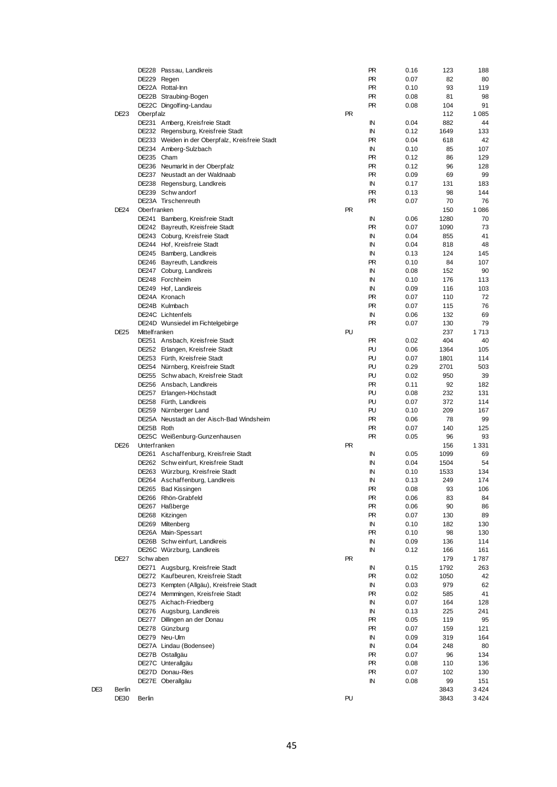|     |                  |                       | DE228 Passau, Landkreis                         |           | PR        | 0.16 | 123  | 188     |
|-----|------------------|-----------------------|-------------------------------------------------|-----------|-----------|------|------|---------|
|     |                  |                       | DE229 Regen                                     |           | PR        | 0.07 | 82   | 80      |
|     |                  |                       | DE22A Rottal-Inn                                |           | PR.       | 0.10 | 93   | 119     |
|     |                  |                       | DE22B Straubing-Bogen                           |           | PR        | 0.08 | 81   | 98      |
|     |                  |                       | DE22C Dingolfing-Landau                         |           | PR        | 0.08 | 104  | 91      |
|     | DE <sub>23</sub> | Oberpfalz             |                                                 | PR.       |           |      | 112  | 1 0 8 5 |
|     |                  |                       | DE231 Amberg, Kreisfreie Stadt                  |           | ΙN        | 0.04 | 882  | 44      |
|     |                  |                       | DE232 Regensburg, Kreisfreie Stadt              |           | IN        | 0.12 | 1649 | 133     |
|     |                  |                       | DE233 Weiden in der Oberpfalz, Kreisfreie Stadt |           | PR        | 0.04 | 618  | 42      |
|     |                  |                       | DE234 Amberg-Sulzbach                           |           | ΙN        | 0.10 | 85   | 107     |
|     |                  | DE235 Cham            |                                                 |           | PR        | 0.12 | 86   | 129     |
|     |                  |                       | DE236 Neumarkt in der Oberpfalz                 |           | PR.       | 0.12 | 96   | 128     |
|     |                  |                       | DE237 Neustadt an der Waldnaab                  |           | PR        | 0.09 | 69   | 99      |
|     |                  |                       | DE238 Regensburg, Landkreis                     |           | IN        | 0.17 | 131  | 183     |
|     |                  |                       | DE239 Schw andorf                               |           | PR        | 0.13 | 98   | 144     |
|     |                  |                       | DE23A Tirschenreuth                             |           | PR        | 0.07 | 70   | 76      |
|     | <b>DE24</b>      | Oberfranken           |                                                 | <b>PR</b> |           |      | 150  | 1086    |
|     |                  |                       | DE241 Bamberg, Kreisfreie Stadt                 |           | IN        | 0.06 | 1280 | 70      |
|     |                  |                       | DE242 Bayreuth, Kreisfreie Stadt                |           | PR        | 0.07 | 1090 | 73      |
|     |                  |                       | DE243 Coburg, Kreisfreie Stadt                  |           | IN        | 0.04 | 855  | 41      |
|     |                  |                       | DE244 Hof, Kreisfreie Stadt                     |           | IN        | 0.04 | 818  | 48      |
|     |                  |                       | DE245 Bamberg, Landkreis                        |           | IN        | 0.13 | 124  | 145     |
|     |                  |                       | DE246 Bayreuth, Landkreis                       |           | PR        | 0.10 | 84   | 107     |
|     |                  |                       | DE247 Coburg, Landkreis                         |           | IN        | 0.08 | 152  | 90      |
|     |                  |                       | DE248 Forchheim                                 |           | IN        | 0.10 | 176  | 113     |
|     |                  |                       | DE249 Hof, Landkreis                            |           | IN        | 0.09 | 116  | 103     |
|     |                  |                       | DE24A Kronach                                   |           | PR        | 0.07 | 110  | 72      |
|     |                  |                       | DE24B Kulmbach                                  |           | PR        | 0.07 | 115  | 76      |
|     |                  |                       | DE24C Lichtenfels                               |           | IN        | 0.06 | 132  | 69      |
|     |                  |                       | DE24D Wunsiedel im Fichtelgebirge               |           | PR        | 0.07 | 130  | 79      |
|     | <b>DE25</b>      | <b>Mittelf ranken</b> |                                                 | PU        |           |      | 237  | 1713    |
|     |                  |                       | DE251 Ansbach, Kreisfreie Stadt                 |           | PR        | 0.02 | 404  | 40      |
|     |                  |                       | DE252 Erlangen, Kreisfreie Stadt                |           | PU        | 0.06 | 1364 | 105     |
|     |                  |                       | DE253 Fürth, Kreisfreie Stadt                   |           | PU        | 0.07 | 1801 | 114     |
|     |                  |                       | DE254 Nürnberg, Kreisfreie Stadt                |           | PU        | 0.29 | 2701 | 503     |
|     |                  |                       | DE255 Schw abach, Kreisfreie Stadt              |           | PU        | 0.02 | 950  | 39      |
|     |                  |                       | DE256 Ansbach, Landkreis                        |           | <b>PR</b> | 0.11 | 92   | 182     |
|     |                  |                       | DE257 Erlangen-Höchstadt                        |           | PU        | 0.08 | 232  | 131     |
|     |                  |                       | DE258 Fürth, Landkreis                          |           | PU        | 0.07 | 372  | 114     |
|     |                  |                       | DE259 Nürnberger Land                           |           | PU        | 0.10 | 209  | 167     |
|     |                  |                       | DE25A Neustadt an der Aisch-Bad Windsheim       |           | PR.       | 0.06 | 78   | 99      |
|     |                  | DE25B Roth            |                                                 |           | PR        | 0.07 | 140  | 125     |
|     |                  |                       | DE25C Weißenburg-Gunzenhausen                   |           | PR        | 0.05 | 96   | 93      |
|     | <b>DE26</b>      | Unterfranken          |                                                 | <b>PR</b> |           |      | 156  | 1 3 3 1 |
|     |                  |                       | DE261 Aschaffenburg, Kreisfreie Stadt           |           | ΙN        | 0.05 | 1099 | 69      |
|     |                  |                       | DE262 Schw einfurt, Kreisfreie Stadt            |           | ΙN        | 0.04 | 1504 | 54      |
|     |                  |                       | DE263 Würzburg, Kreisfreie Stadt                |           | ΙN        | 0.10 | 1533 | 134     |
|     |                  |                       | DE264 Aschaffenburg, Landkreis                  |           | ΙN        | 0.13 | 249  | 174     |
|     |                  |                       | DE265 Bad Kissingen                             |           | PR        | 0.08 | 93   | 106     |
|     |                  |                       | DE266 Rhön-Grabfeld                             |           | PR        | 0.06 | 83   | 84      |
|     |                  |                       | DE267 Haßberge                                  |           | PR.       | 0.06 | 90   | 86      |
|     |                  |                       | DE268 Kitzingen                                 |           | PR        | 0.07 | 130  | 89      |
|     |                  |                       | DE269 Miltenberg                                |           | ΙN        | 0.10 | 182  | 130     |
|     |                  |                       | DE26A Main-Spessart                             |           | PR.       | 0.10 | 98   | 130     |
|     |                  |                       | DE26B Schw einfurt, Landkreis                   |           | ΙN        | 0.09 | 136  | 114     |
|     |                  |                       | DE26C Würzburg, Landkreis                       |           | IN        | 0.12 | 166  | 161     |
|     | DE <sub>27</sub> | Schw aben             |                                                 | <b>PR</b> |           |      | 179  | 1787    |
|     |                  |                       | DE271 Augsburg, Kreisfreie Stadt                |           | IN        | 0.15 | 1792 | 263     |
|     |                  |                       | DE272 Kaufbeuren, Kreisfreie Stadt              |           | PR.       | 0.02 | 1050 | 42      |
|     |                  |                       | DE273 Kempten (Allgäu), Kreisfreie Stadt        |           | ΙN        | 0.03 | 979  | 62      |
|     |                  |                       | DE274 Memmingen, Kreisfreie Stadt               |           | PR.       | 0.02 | 585  | 41      |
|     |                  |                       | DE275 Aichach-Friedberg                         |           | ΙN        | 0.07 | 164  | 128     |
|     |                  |                       | DE276 Augsburg, Landkreis                       |           | ΙN        | 0.13 | 225  | 241     |
|     |                  |                       | DE277 Dillingen an der Donau                    |           | PR.       | 0.05 | 119  | 95      |
|     |                  |                       | DE278 Günzburg                                  |           | PR.       | 0.07 | 159  | 121     |
|     |                  |                       | DE279 Neu-Ulm                                   |           | ΙN        | 0.09 | 319  | 164     |
|     |                  |                       | DE27A Lindau (Bodensee)                         |           | ΙN        | 0.04 | 248  | 80      |
|     |                  |                       | DE27B Ostallgäu                                 |           | PR.       | 0.07 | 96   | 134     |
|     |                  |                       | DE27C Unterallgäu                               |           | PR.       | 0.08 | 110  | 136     |
|     |                  |                       | DE27D Donau-Ries                                |           | PR        | 0.07 | 102  | 130     |
|     |                  |                       | DE27E Oberallgäu                                |           | ΙN        | 0.08 | 99   | 151     |
| DE3 | Berlin           |                       |                                                 |           |           |      | 3843 | 3424    |
|     | DE30             | Berlin                |                                                 | PU        |           |      | 3843 | 3424    |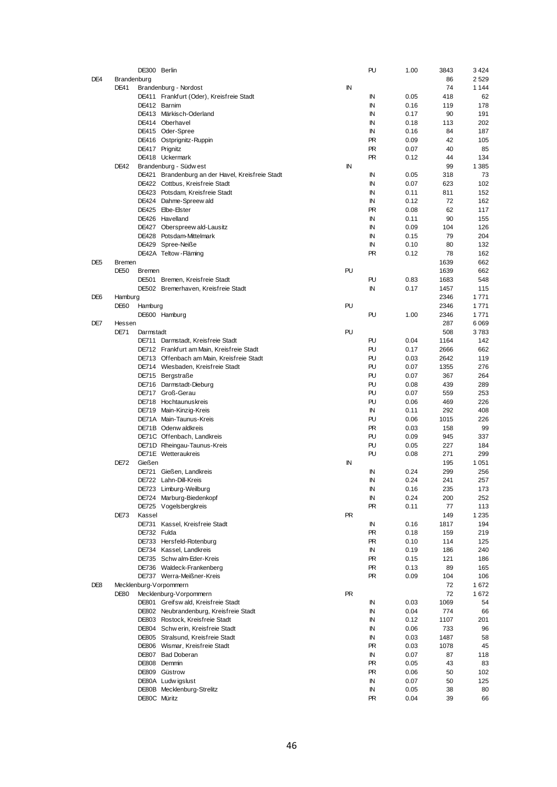|                 |             | DE300 Berlin  |                                                  |           | PU        | 1.00 | 3843 | 3424    |
|-----------------|-------------|---------------|--------------------------------------------------|-----------|-----------|------|------|---------|
| DE4             | Brandenburg |               |                                                  |           |           |      | 86   | 2529    |
|                 | DE41        |               | Brandenburg - Nordost                            | IN        |           |      | 74   | 1 1 4 4 |
|                 |             |               |                                                  |           | ΙN        | 0.05 | 418  | 62      |
|                 |             |               | DE411 Frankfurt (Oder), Kreisfreie Stadt         |           |           |      |      |         |
|                 |             |               | DE412 Barnim                                     |           | ΙN        | 0.16 | 119  | 178     |
|                 |             |               | DE413 Märkisch-Oderland                          |           | ΙN        | 0.17 | 90   | 191     |
|                 |             |               | DE414 Oberhavel                                  |           | ΙN        | 0.18 | 113  | 202     |
|                 |             |               | DE415 Oder-Spree                                 |           | ΙN        | 0.16 | 84   | 187     |
|                 |             |               | DE416 Ostprignitz-Ruppin                         |           | <b>PR</b> | 0.09 | 42   | 105     |
|                 |             |               | DE417 Prignitz                                   |           | <b>PR</b> | 0.07 | 40   | 85      |
|                 |             |               | DE418 Uckermark                                  |           | PR        | 0.12 | 44   | 134     |
|                 | <b>DE42</b> |               | Brandenburg - Südw est                           | IN        |           |      | 99   | 1 3 8 5 |
|                 |             |               | DE421 Brandenburg an der Havel, Kreisfreie Stadt |           | ΙN        | 0.05 | 318  | 73      |
|                 |             |               |                                                  |           |           |      |      |         |
|                 |             |               | DE422 Cottbus, Kreisfreie Stadt                  |           | ΙN        | 0.07 | 623  | 102     |
|                 |             |               | DE423 Potsdam, Kreisfreie Stadt                  |           | ΙN        | 0.11 | 811  | 152     |
|                 |             |               | DE424 Dahme-Spreew ald                           |           | ΙN        | 0.12 | 72   | 162     |
|                 |             |               | DE425 Elbe-Elster                                |           | <b>PR</b> | 0.08 | 62   | 117     |
|                 |             |               | DE426 Havelland                                  |           | ΙN        | 0.11 | 90   | 155     |
|                 |             |               | DE427 Oberspreew ald-Lausitz                     |           | ΙN        | 0.09 | 104  | 126     |
|                 |             |               | DE428 Potsdam-Mittelmark                         |           | ΙN        | 0.15 | 79   | 204     |
|                 |             |               | DE429 Spree-Neiße                                |           | ΙN        | 0.10 | 80   | 132     |
|                 |             |               | DE42A Teltow-Fläming                             |           | <b>PR</b> | 0.12 | 78   | 162     |
|                 |             |               |                                                  |           |           |      |      |         |
| DE <sub>5</sub> | Bremen      |               |                                                  |           |           |      | 1639 | 662     |
|                 | DE50        | <b>Bremen</b> |                                                  | PU        |           |      | 1639 | 662     |
|                 |             |               | DE501 Bremen, Kreisfreie Stadt                   |           | PU        | 0.83 | 1683 | 548     |
|                 |             |               | DE502 Bremerhaven, Kreisfreie Stadt              |           | ΙN        | 0.17 | 1457 | 115     |
| DE <sub>6</sub> | Hamburg     |               |                                                  |           |           |      | 2346 | 1771    |
|                 | DE60        | Hamburg       |                                                  | PU        |           |      | 2346 | 1771    |
|                 |             |               | DE600 Hamburg                                    |           | PU        | 1.00 | 2346 | 1771    |
| DE7             | Hessen      |               |                                                  |           |           |      | 287  | 6069    |
|                 | <b>DE71</b> | Darmstadt     |                                                  | PU        |           |      | 508  | 3 783   |
|                 |             |               |                                                  |           | PU        | 0.04 | 1164 | 142     |
|                 |             |               | DE711 Darmstadt, Kreisfreie Stadt                |           |           |      |      |         |
|                 |             |               | DE712 Frankfurt am Main, Kreisfreie Stadt        |           | PU        | 0.17 | 2666 | 662     |
|                 |             |               | DE713 Offenbach am Main, Kreisfreie Stadt        |           | PU        | 0.03 | 2642 | 119     |
|                 |             |               | DE714 Wiesbaden, Kreisfreie Stadt                |           | PU        | 0.07 | 1355 | 276     |
|                 |             |               | DE715 Bergstraße                                 |           | PU        | 0.07 | 367  | 264     |
|                 |             |               | DE716 Darmstadt-Dieburg                          |           | PU        | 0.08 | 439  | 289     |
|                 |             |               | DE717 Groß-Gerau                                 |           | PU        | 0.07 | 559  | 253     |
|                 |             |               | DE718 Hochtaunuskreis                            |           | PU        | 0.06 | 469  | 226     |
|                 |             |               | DE719 Main-Kinzig-Kreis                          |           | ΙN        | 0.11 | 292  | 408     |
|                 |             |               |                                                  |           | PU        |      |      |         |
|                 |             |               | DE71A Main-Taunus-Kreis                          |           |           | 0.06 | 1015 | 226     |
|                 |             |               | DE71B Odenw aldkreis                             |           | PR        | 0.03 | 158  | 99      |
|                 |             |               | DE71C Offenbach, Landkreis                       |           | PU        | 0.09 | 945  | 337     |
|                 |             |               | DE71D Rheingau-Taunus-Kreis                      |           | PU        | 0.05 | 227  | 184     |
|                 |             |               | DE71E Wetteraukreis                              |           | PU        | 0.08 | 271  | 299     |
|                 | DE72        | Gießen        |                                                  | IN        |           |      | 195  | 1 0 5 1 |
|                 |             |               | DE721 Gießen, Landkreis                          |           | ΙN        | 0.24 | 299  | 256     |
|                 |             |               | DE722 Lahn-Dill-Kreis                            |           | ΙN        | 0.24 | 241  | 257     |
|                 |             |               | DE723 Limburg-Weilburg                           |           | ΙN        | 0.16 | 235  | 173     |
|                 |             |               | DE724 Marburg-Biedenkopf                         |           | IN        | 0.24 | 200  | 252     |
|                 |             |               |                                                  |           |           |      |      |         |
|                 |             |               | DE725 Vogelsbergkreis                            |           | PR        | 0.11 | 77   | 113     |
|                 | DE73        | Kassel        |                                                  | <b>PR</b> |           |      | 149  | 1 2 3 5 |
|                 |             |               | DE731 Kassel, Kreisfreie Stadt                   |           | IN        | 0.16 | 1817 | 194     |
|                 |             | DE732 Fulda   |                                                  |           | PR.       | 0.18 | 159  | 219     |
|                 |             |               | DE733 Hersfeld-Rotenburg                         |           | PR.       | 0.10 | 114  | 125     |
|                 |             |               | DE734 Kassel, Landkreis                          |           | ΙN        | 0.19 | 186  | 240     |
|                 |             |               | DE735 Schw alm-Eder-Kreis                        |           | PR        | 0.15 | 121  | 186     |
|                 |             |               | DE736 Waldeck-Frankenberg                        |           | PR.       | 0.13 | 89   | 165     |
|                 |             |               | DE737 Werra-Meißner-Kreis                        |           | PR.       | 0.09 | 104  | 106     |
|                 |             |               |                                                  |           |           |      |      |         |
| DE8             |             |               | Mecklenburg-Vorpommern                           |           |           |      | 72   | 1672    |
|                 | <b>DE80</b> |               | Mecklenburg-Vorpommern                           | <b>PR</b> |           |      | 72   | 1672    |
|                 |             |               | DE801 Greifswald, Kreisfreie Stadt               |           | IN        | 0.03 | 1069 | 54      |
|                 |             |               | DE802 Neubrandenburg, Kreisfreie Stadt           |           | ΙN        | 0.04 | 774  | 66      |
|                 |             |               | DE803 Rostock, Kreisfreie Stadt                  |           | IN        | 0.12 | 1107 | 201     |
|                 |             |               | DE804 Schw erin, Kreisfreie Stadt                |           | IN        | 0.06 | 733  | 96      |
|                 |             |               | DE805 Stralsund, Kreisfreie Stadt                |           | IN        | 0.03 | 1487 | 58      |
|                 |             |               | DE806 Wismar, Kreisfreie Stadt                   |           | PR.       | 0.03 | 1078 | 45      |
|                 |             |               | DE807 Bad Doberan                                |           | IN        | 0.07 | 87   | 118     |
|                 |             |               | DE808 Demmin                                     |           | PR        | 0.05 | 43   | 83      |
|                 |             |               |                                                  |           |           |      |      |         |
|                 |             |               | DE809 Güstrow                                    |           | PR.       | 0.06 | 50   | 102     |
|                 |             |               | DE80A Ludwigslust                                |           | ΙN        | 0.07 | 50   | 125     |
|                 |             |               | DE80B Mecklenburg-Strelitz                       |           | IN        | 0.05 | 38   | 80      |
|                 |             | DE80C Müritz  |                                                  |           | PR.       | 0.04 | 39   | 66      |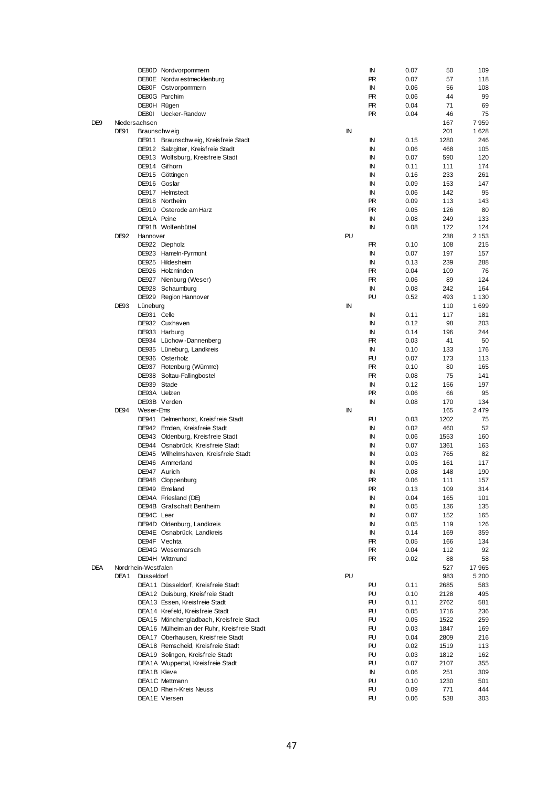|            |             |                     | DE80D Nordvorpommern                        |    | ΙN | 0.07 | 50   | 109     |
|------------|-------------|---------------------|---------------------------------------------|----|----|------|------|---------|
|            |             |                     | DE80E Nordw estmecklenburg                  |    | PR | 0.07 | 57   | 118     |
|            |             |                     | DE80F Ostvorpommern                         |    | ΙN | 0.06 | 56   | 108     |
|            |             |                     | DE80G Parchim                               |    | PR | 0.06 | 44   | 99      |
|            |             | DE80H Rügen         |                                             |    | PR | 0.04 | 71   | 69      |
|            |             |                     |                                             |    |    |      |      |         |
|            |             | DE80I               | Uecker-Randow                               |    | PR | 0.04 | 46   | 75      |
| DE9        |             | Niedersachsen       |                                             |    |    |      | 167  | 7959    |
|            | DE91        | Braunschw eig       |                                             | IN |    |      | 201  | 1628    |
|            |             |                     | DE911 Braunschweig, Kreisfreie Stadt        |    | ΙN | 0.15 | 1280 | 246     |
|            |             |                     | DE912 Salzgitter, Kreisfreie Stadt          |    | ΙN | 0.06 | 468  | 105     |
|            |             |                     | DE913 Wolfsburg, Kreisfreie Stadt           |    | ΙN | 0.07 | 590  | 120     |
|            |             |                     | DE914 Gifhorn                               |    | ΙN | 0.11 | 111  | 174     |
|            |             |                     |                                             |    |    |      |      |         |
|            |             |                     | DE915 Göttingen                             |    | IN | 0.16 | 233  | 261     |
|            |             | DE916 Goslar        |                                             |    | ΙN | 0.09 | 153  | 147     |
|            |             |                     | DE917 Helmstedt                             |    | ΙN | 0.06 | 142  | 95      |
|            |             |                     | DE918 Northeim                              |    | PR | 0.09 | 113  | 143     |
|            |             |                     | DE919 Osterode am Harz                      |    | PR | 0.05 | 126  | 80      |
|            |             | DE91A Peine         |                                             |    | IN | 0.08 | 249  | 133     |
|            |             |                     |                                             |    |    |      |      |         |
|            |             |                     | DE91B Wolfenbüttel                          |    | ΙN | 0.08 | 172  | 124     |
|            | DE92        | Hannover            |                                             | PU |    |      | 238  | 2 1 5 3 |
|            |             |                     | DE922 Diepholz                              |    | PR | 0.10 | 108  | 215     |
|            |             |                     | DE923 Hameln-Pyrmont                        |    | ΙN | 0.07 | 197  | 157     |
|            |             |                     | DE925 Hildesheim                            |    | ΙN | 0.13 | 239  | 288     |
|            |             |                     | DE926 Holzminden                            |    | PR | 0.04 | 109  | 76      |
|            |             |                     |                                             |    |    |      |      |         |
|            |             |                     | DE927 Nienburg (Weser)                      |    | PR | 0.06 | 89   | 124     |
|            |             |                     | DE928 Schaumburg                            |    | IN | 0.08 | 242  | 164     |
|            |             |                     | DE929 Region Hannover                       |    | PU | 0.52 | 493  | 1 1 3 0 |
|            | DE93        | Lüneburg            |                                             | ΙN |    |      | 110  | 1699    |
|            |             | DE931 Celle         |                                             |    | ΙN | 0.11 | 117  | 181     |
|            |             |                     | DE932 Cuxhaven                              |    | IN | 0.12 | 98   | 203     |
|            |             |                     |                                             |    |    |      |      |         |
|            |             |                     | DE933 Harburg                               |    | IN | 0.14 | 196  | 244     |
|            |             |                     | DE934 Lüchow-Dannenberg                     |    | PR | 0.03 | 41   | 50      |
|            |             |                     | DE935 Lüneburg, Landkreis                   |    | IN | 0.10 | 133  | 176     |
|            |             |                     | DE936 Osterholz                             |    | PU | 0.07 | 173  | 113     |
|            |             |                     | DE937 Rotenburg (Wümme)                     |    | PR | 0.10 | 80   | 165     |
|            |             |                     |                                             |    | PR |      | 75   |         |
|            |             |                     | DE938 Soltau-Fallingbostel                  |    |    | 0.08 |      | 141     |
|            |             | DE939 Stade         |                                             |    | IN | 0.12 | 156  | 197     |
|            |             |                     | DE93A Uelzen                                |    | PR | 0.06 | 66   | 95      |
|            |             |                     | DE93B Verden                                |    | ΙN | 0.08 | 170  | 134     |
|            | <b>DE94</b> | Weser-Ems           |                                             | IN |    |      | 165  | 2479    |
|            |             |                     | DE941 Delmenhorst, Kreisfreie Stadt         |    | PU | 0.03 | 1202 | 75      |
|            |             |                     |                                             |    | ΙN |      |      |         |
|            |             |                     | DE942 Emden, Kreisfreie Stadt               |    |    | 0.02 | 460  | 52      |
|            |             |                     | DE943 Oldenburg, Kreisfreie Stadt           |    | ΙN | 0.06 | 1553 | 160     |
|            |             |                     | DE944 Osnabrück, Kreisfreie Stadt           |    | ΙN | 0.07 | 1361 | 163     |
|            |             |                     | DE945 Wilhelmshaven, Kreisfreie Stadt       |    | ΙN | 0.03 | 765  | 82      |
|            |             |                     | DE946 Ammerland                             |    | ΙN | 0.05 | 161  | 117     |
|            |             | DE947 Aurich        |                                             |    | ΙN | 0.08 | 148  | 190     |
|            |             |                     |                                             |    |    |      |      |         |
|            |             |                     | DE948 Cloppenburg                           |    | PR | 0.06 | 111  | 157     |
|            |             |                     | DE949 Emsland                               |    | PR | 0.13 | 109  | 314     |
|            |             |                     | DE94A Friesland (DE)                        |    | IN | 0.04 | 165  | 101     |
|            |             |                     | DE94B Grafschaft Bentheim                   |    | IN | 0.05 | 136  | 135     |
|            |             | DE94C Leer          |                                             |    | IN | 0.07 | 152  | 165     |
|            |             |                     | DE94D Oldenburg, Landkreis                  |    | IN | 0.05 | 119  | 126     |
|            |             |                     |                                             |    |    |      |      |         |
|            |             |                     | DE94E Osnabrück, Landkreis                  |    | IN | 0.14 | 169  | 359     |
|            |             |                     | DE94F Vechta                                |    | PR | 0.05 | 166  | 134     |
|            |             |                     | DE94G Wesermarsch                           |    | PR | 0.04 | 112  | 92      |
|            |             |                     | DE94H Wittmund                              |    | PR | 0.02 | 88   | 58      |
| <b>DEA</b> |             | Nordrhein-Westfalen |                                             |    |    |      | 527  | 17965   |
|            | DEA1        | Düsseldorf          |                                             | PU |    |      | 983  | 5 2 0 0 |
|            |             |                     |                                             |    |    |      |      |         |
|            |             |                     | DEA11 Düsseldorf, Kreisfreie Stadt          |    | PU | 0.11 | 2685 | 583     |
|            |             |                     | DEA12 Duisburg, Kreisfreie Stadt            |    | PU | 0.10 | 2128 | 495     |
|            |             |                     | DEA13 Essen, Kreisfreie Stadt               |    | PU | 0.11 | 2762 | 581     |
|            |             |                     | DEA14 Krefeld, Kreisfreie Stadt             |    | PU | 0.05 | 1716 | 236     |
|            |             |                     | DEA15 Mönchengladbach, Kreisfreie Stadt     |    | PU | 0.05 | 1522 | 259     |
|            |             |                     | DEA16 Mülheim an der Ruhr, Kreisfreie Stadt |    | PU | 0.03 | 1847 | 169     |
|            |             |                     |                                             |    |    |      |      |         |
|            |             |                     | DEA17 Oberhausen, Kreisfreie Stadt          |    | PU | 0.04 | 2809 | 216     |
|            |             |                     | DEA18 Remscheid, Kreisfreie Stadt           |    | PU | 0.02 | 1519 | 113     |
|            |             |                     | DEA19 Solingen, Kreisfreie Stadt            |    | PU | 0.03 | 1812 | 162     |
|            |             |                     | DEA1A Wuppertal, Kreisfreie Stadt           |    | PU | 0.07 | 2107 | 355     |
|            |             | DEA1B Kleve         |                                             |    | IN | 0.06 | 251  | 309     |
|            |             |                     | DEA1C Mettmann                              |    | PU | 0.10 | 1230 | 501     |
|            |             |                     |                                             |    |    |      |      |         |
|            |             |                     | DEA1D Rhein-Kreis Neuss                     |    | PU | 0.09 | 771  | 444     |
|            |             |                     | DEA1E Viersen                               |    | PU | 0.06 | 538  | 303     |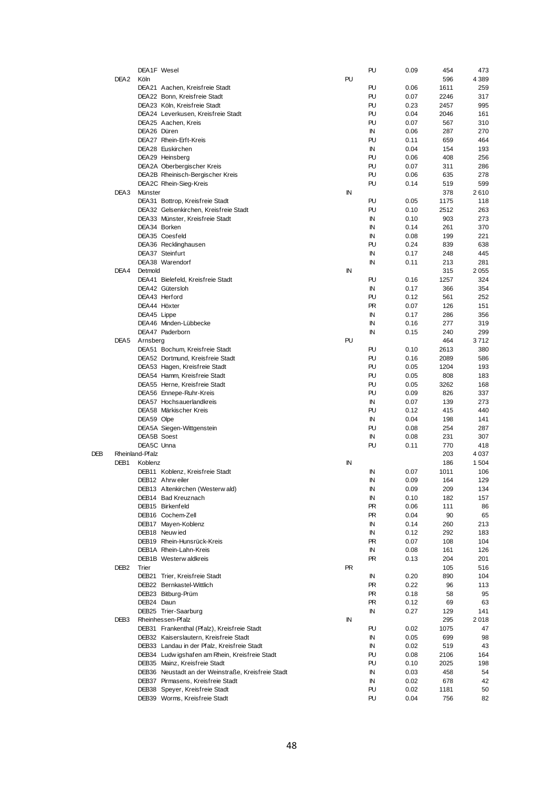|     |                  | DEA1F Wesel     |                                                    |    | PU        | 0.09 | 454  | 473     |
|-----|------------------|-----------------|----------------------------------------------------|----|-----------|------|------|---------|
|     | DEA <sub>2</sub> | Köln            |                                                    | PU |           |      | 596  | 4 3 8 9 |
|     |                  |                 | DEA21 Aachen, Kreisfreie Stadt                     |    | PU        | 0.06 | 1611 | 259     |
|     |                  |                 |                                                    |    |           |      |      |         |
|     |                  |                 | DEA22 Bonn, Kreisfreie Stadt                       |    | PU        | 0.07 | 2246 | 317     |
|     |                  |                 | DEA23 Köln, Kreisfreie Stadt                       |    | PU        | 0.23 | 2457 | 995     |
|     |                  |                 | DEA24 Leverkusen, Kreisfreie Stadt                 |    | PU        | 0.04 | 2046 | 161     |
|     |                  |                 |                                                    |    |           |      |      |         |
|     |                  |                 | DEA25 Aachen, Kreis                                |    | PU        | 0.07 | 567  | 310     |
|     |                  | DEA26 Düren     |                                                    |    | IN        | 0.06 | 287  | 270     |
|     |                  |                 | DEA27 Rhein-Erft-Kreis                             |    | PU        | 0.11 | 659  | 464     |
|     |                  |                 |                                                    |    |           |      |      |         |
|     |                  |                 | DEA28 Euskirchen                                   |    | IN        | 0.04 | 154  | 193     |
|     |                  |                 | DEA29 Heinsberg                                    |    | PU        | 0.06 | 408  | 256     |
|     |                  |                 | DEA2A Oberbergischer Kreis                         |    | PU        | 0.07 | 311  | 286     |
|     |                  |                 |                                                    |    |           |      |      |         |
|     |                  |                 | DEA2B Rheinisch-Bergischer Kreis                   |    | PU        | 0.06 | 635  | 278     |
|     |                  |                 | DEA2C Rhein-Sieg-Kreis                             |    | PU        | 0.14 | 519  | 599     |
|     | DEA3             | Münster         |                                                    | IN |           |      | 378  | 2610    |
|     |                  |                 |                                                    |    |           |      |      |         |
|     |                  |                 | DEA31 Bottrop, Kreisfreie Stadt                    |    | PU        | 0.05 | 1175 | 118     |
|     |                  |                 | DEA32 Gelsenkirchen, Kreisfreie Stadt              |    | PU        | 0.10 | 2512 | 263     |
|     |                  |                 | DEA33 Münster, Kreisfreie Stadt                    |    | IN        | 0.10 | 903  | 273     |
|     |                  |                 |                                                    |    |           |      |      |         |
|     |                  |                 | DEA34 Borken                                       |    | IN        | 0.14 | 261  | 370     |
|     |                  |                 | DEA35 Coesfeld                                     |    | IN        | 0.08 | 199  | 221     |
|     |                  |                 | DEA36 Recklinghausen                               |    | PU        | 0.24 | 839  | 638     |
|     |                  |                 |                                                    |    |           |      |      |         |
|     |                  |                 | DEA37 Steinfurt                                    |    | ΙN        | 0.17 | 248  | 445     |
|     |                  |                 | DEA38 Warendorf                                    |    | IN        | 0.11 | 213  | 281     |
|     | DEA4             | Detmold         |                                                    | ΙN |           |      | 315  | 2055    |
|     |                  |                 |                                                    |    |           |      |      |         |
|     |                  |                 | DEA41 Bielefeld, Kreisfreie Stadt                  |    | PU        | 0.16 | 1257 | 324     |
|     |                  |                 | DEA42 Gütersloh                                    |    | IN        | 0.17 | 366  | 354     |
|     |                  |                 | DEA43 Herford                                      |    | PU        |      | 561  | 252     |
|     |                  |                 |                                                    |    |           | 0.12 |      |         |
|     |                  | DEA44 Höxter    |                                                    |    | <b>PR</b> | 0.07 | 126  | 151     |
|     |                  | DEA45 Lippe     |                                                    |    | IN        | 0.17 | 286  | 356     |
|     |                  |                 |                                                    |    | IN        |      |      |         |
|     |                  |                 | DEA46 Minden-Lübbecke                              |    |           | 0.16 | 277  | 319     |
|     |                  |                 | DEA47 Paderborn                                    |    | IN        | 0.15 | 240  | 299     |
|     | DEA5             | Arnsberg        |                                                    | PU |           |      | 464  | 3 7 1 2 |
|     |                  |                 |                                                    |    |           |      |      |         |
|     |                  |                 | DEA51 Bochum, Kreisfreie Stadt                     |    | PU        | 0.10 | 2613 | 380     |
|     |                  |                 | DEA52 Dortmund, Kreisfreie Stadt                   |    | PU        | 0.16 | 2089 | 586     |
|     |                  |                 | DEA53 Hagen, Kreisfreie Stadt                      |    | PU        | 0.05 | 1204 | 193     |
|     |                  |                 |                                                    |    |           |      |      |         |
|     |                  |                 | DEA54 Hamm, Kreisfreie Stadt                       |    | PU        | 0.05 | 808  | 183     |
|     |                  |                 | DEA55 Herne, Kreisfreie Stadt                      |    | PU        | 0.05 | 3262 | 168     |
|     |                  |                 | DEA56 Ennepe-Ruhr-Kreis                            |    | PU        | 0.09 | 826  | 337     |
|     |                  |                 |                                                    |    |           |      |      |         |
|     |                  |                 | DEA57 Hochsauerlandkreis                           |    | IN        | 0.07 | 139  | 273     |
|     |                  |                 | DEA58 Märkischer Kreis                             |    | PU        | 0.12 | 415  | 440     |
|     |                  | DEA59 Olpe      |                                                    |    | ΙN        | 0.04 | 198  | 141     |
|     |                  |                 |                                                    |    |           |      |      |         |
|     |                  |                 | DEA5A Siegen-Wittgenstein                          |    | PU        | 0.08 | 254  | 287     |
|     |                  | DEA5B Soest     |                                                    |    | IN        | 0.08 | 231  | 307     |
|     |                  | DEA5C Unna      |                                                    |    | PU        | 0.11 | 770  | 418     |
|     |                  |                 |                                                    |    |           |      |      |         |
| DEB |                  | Rheinland-Pfalz |                                                    |    |           |      | 203  | 4 0 3 7 |
|     | DEB <sub>1</sub> | Koblenz         |                                                    | ΙN |           |      | 186  | 1 504   |
|     |                  |                 | DEB11 Koblenz, Kreisfreie Stadt                    |    | ΙN        | 0.07 | 1011 | 106     |
|     |                  |                 |                                                    |    |           |      |      |         |
|     |                  |                 | DEB12 Ahrweiler                                    |    | IN        | 0.09 | 164  | 129     |
|     |                  |                 | DEB13 Altenkirchen (Westerwald)                    |    | IN        | 0.09 | 209  | 134     |
|     |                  |                 |                                                    |    |           |      |      |         |
|     |                  |                 | DEB14 Bad Kreuznach                                |    | IN        | 0.10 | 182  | 157     |
|     |                  |                 | DEB15 Birkenfeld                                   |    | PR.       | 0.06 | 111  | 86      |
|     |                  |                 | DEB16 Cochem-Zell                                  |    | PR.       | 0.04 | 90   | 65      |
|     |                  |                 |                                                    |    |           |      |      |         |
|     |                  |                 | DEB17 Mayen-Koblenz                                |    | IN        | 0.14 | 260  | 213     |
|     |                  |                 | DEB18 Neuw ied                                     |    | IN        | 0.12 | 292  | 183     |
|     |                  |                 | DEB19 Rhein-Hunsrück-Kreis                         |    | PR        | 0.07 | 108  | 104     |
|     |                  |                 |                                                    |    |           |      |      |         |
|     |                  |                 | DEB1A Rhein-Lahn-Kreis                             |    | ΙN        | 0.08 | 161  | 126     |
|     |                  |                 | DEB1B Westerw aldkreis                             |    | PR.       | 0.13 | 204  | 201     |
|     | DEB <sub>2</sub> | Trier           |                                                    | PR |           |      | 105  | 516     |
|     |                  |                 |                                                    |    |           |      |      |         |
|     |                  |                 | DEB21 Trier, Kreisfreie Stadt                      |    | IN        | 0.20 | 890  | 104     |
|     |                  |                 | DEB22 Bernkastel-Wittlich                          |    | PR        | 0.22 | 96   | 113     |
|     |                  |                 | DEB23 Bitburg-Prüm                                 |    | PR.       | 0.18 | 58   | 95      |
|     |                  |                 |                                                    |    |           |      |      |         |
|     |                  | DEB24 Daun      |                                                    |    | PR.       | 0.12 | 69   | 63      |
|     |                  |                 | DEB25 Trier-Saarburg                               |    | ΙN        | 0.27 | 129  | 141     |
|     | DEB <sub>3</sub> |                 | Rheinhessen-Pfalz                                  | ΙN |           |      | 295  | 2018    |
|     |                  |                 |                                                    |    |           |      |      |         |
|     |                  |                 | DEB31 Frankenthal (Pfalz), Kreisfreie Stadt        |    | PU        | 0.02 | 1075 | 47      |
|     |                  |                 | DEB32 Kaiserslautern, Kreisfreie Stadt             |    | IN        | 0.05 | 699  | 98      |
|     |                  |                 | DEB33 Landau in der Pfalz, Kreisfreie Stadt        |    | IN        | 0.02 | 519  | 43      |
|     |                  |                 |                                                    |    |           |      |      |         |
|     |                  |                 | DEB34 Ludwigshafen am Rhein, Kreisfreie Stadt      |    | PU        | 0.08 | 2106 | 164     |
|     |                  |                 | DEB35 Mainz, Kreisfreie Stadt                      |    | PU        | 0.10 | 2025 | 198     |
|     |                  |                 | DEB36 Neustadt an der Weinstraße, Kreisfreie Stadt |    | IN        | 0.03 | 458  | 54      |
|     |                  |                 |                                                    |    |           |      |      |         |
|     |                  |                 | DEB37 Pirmasens, Kreisfreie Stadt                  |    | IN        | 0.02 | 678  | 42      |
|     |                  |                 | DEB38 Speyer, Kreisfreie Stadt                     |    | PU        | 0.02 | 1181 | 50      |
|     |                  |                 | DEB39 Worms, Kreisfreie Stadt                      |    | PU        | 0.04 | 756  | 82      |
|     |                  |                 |                                                    |    |           |      |      |         |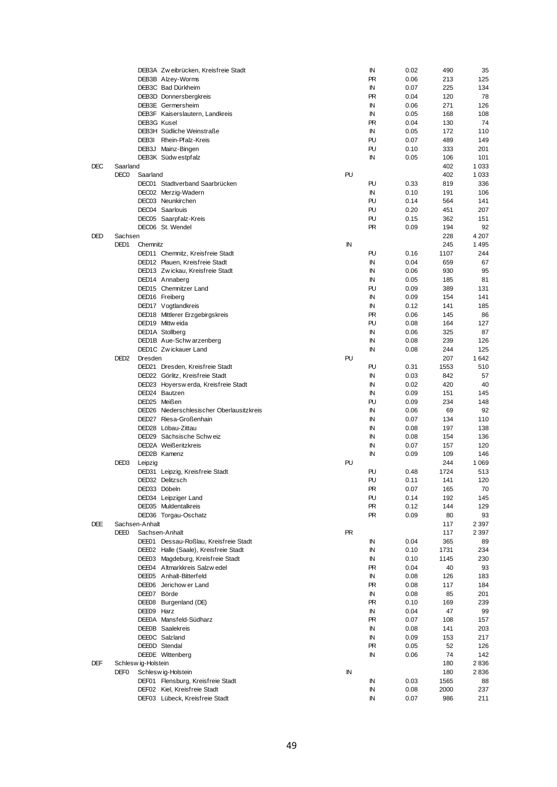|            |                              |                    | DEB3A Zw eibrücken, Kreisfreie Stadt      |           | ΙN                     | 0.02 | 490        | 35                 |
|------------|------------------------------|--------------------|-------------------------------------------|-----------|------------------------|------|------------|--------------------|
|            |                              |                    | DEB3B Alzey-Worms                         |           | <b>PR</b>              | 0.06 | 213        | 125                |
|            |                              |                    | DEB3C Bad Dürkheim                        |           | ΙN                     | 0.07 | 225        | 134                |
|            |                              |                    | DEB3D Donnersbergkreis                    |           | <b>PR</b>              | 0.04 | 120        | 78                 |
|            |                              |                    | DEB3E Germersheim                         |           | IN                     | 0.06 | 271        | 126                |
|            |                              |                    | DEB3F Kaiserslautern, Landkreis           |           | ΙN                     | 0.05 | 168        | 108                |
|            |                              | DEB3G Kusel        |                                           |           | <b>PR</b>              | 0.04 | 130        | 74                 |
|            |                              |                    | DEB3H Südliche Weinstraße                 |           | ΙN                     | 0.05 | 172        | 110                |
|            |                              |                    | DEB3I Rhein-Pfalz-Kreis                   |           | PU                     | 0.07 | 489        | 149                |
|            |                              |                    | DEB3J Mainz-Bingen                        |           | PU                     | 0.10 | 333        | 201                |
|            |                              |                    | DEB3K Südw estpfalz                       |           | IN                     | 0.05 | 106        | 101                |
| <b>DEC</b> | Saarland<br>DEC <sub>0</sub> | Saarland           |                                           | PU        |                        |      | 402<br>402 | 1 0 3 3<br>1 0 3 3 |
|            |                              |                    | DEC01 Stadtverband Saarbrücken            |           | PU                     | 0.33 | 819        | 336                |
|            |                              |                    | DEC02 Merzig-Wadern                       |           | ΙN                     | 0.10 | 191        | 106                |
|            |                              |                    | DEC03 Neunkirchen                         |           | PU                     | 0.14 | 564        | 141                |
|            |                              |                    | DEC04 Saarlouis                           |           | PU                     | 0.20 | 451        | 207                |
|            |                              |                    | DEC05 Saarpfalz-Kreis                     |           | PU                     | 0.15 | 362        | 151                |
|            |                              |                    | DEC06 St. Wendel                          |           | <b>PR</b>              | 0.09 | 194        | 92                 |
| <b>DED</b> | Sachsen                      |                    |                                           |           |                        |      | 228        | 4 207              |
|            | DED <sub>1</sub>             | Chemnitz           |                                           | IN        |                        |      | 245        | 1495               |
|            |                              |                    | DED11 Chemnitz, Kreisfreie Stadt          |           | PU                     | 0.16 | 1107       | 244                |
|            |                              |                    | DED12 Plauen, Kreisfreie Stadt            |           | ΙN                     | 0.04 | 659        | 67                 |
|            |                              |                    | DED13 Zw ickau, Kreisfreie Stadt          |           | ΙN                     | 0.06 | 930        | 95                 |
|            |                              |                    | DED14 Annaberg                            |           | ΙN                     | 0.05 | 185        | 81                 |
|            |                              |                    | DED15 Chemnitzer Land                     |           | PU                     | 0.09 | 389        | 131                |
|            |                              |                    | DED16 Freiberg                            |           | ΙN                     | 0.09 | 154        | 141                |
|            |                              |                    | DED17 Vogtlandkreis                       |           | ΙN                     | 0.12 | 141        | 185                |
|            |                              |                    | DED18 Mittlerer Erzgebirgskreis           |           | <b>PR</b>              | 0.06 | 145        | 86                 |
|            |                              |                    | DED19 Mittw eida                          |           | PU                     | 0.08 | 164        | 127                |
|            |                              |                    | DED1A Stollberg                           |           | IN                     | 0.06 | 325        | 87                 |
|            |                              |                    | DED1B Aue-Schw arzenberg                  |           | IN                     | 0.08 | 239        | 126                |
|            |                              |                    | DED1C Zwickauer Land                      |           | ΙN                     | 0.08 | 244        | 125                |
|            | DED <sub>2</sub>             | Dresden            |                                           | PU        |                        |      | 207        | 1642               |
|            |                              |                    | DED21 Dresden, Kreisfreie Stadt           |           | PU                     | 0.31 | 1553       | 510                |
|            |                              |                    | DED22 Görlitz, Kreisfreie Stadt           |           | ΙN                     | 0.03 | 842        | 57                 |
|            |                              |                    | DED23 Hoyersw erda, Kreisfreie Stadt      |           | ΙN                     | 0.02 | 420        | 40                 |
|            |                              |                    | DED24 Bautzen                             |           | ΙN                     | 0.09 | 151        | 145                |
|            |                              |                    | DED25 Meißen                              |           | PU                     | 0.09 | 234        | 148                |
|            |                              |                    | DED26 Niederschlesischer Oberlausitzkreis |           | ΙN                     | 0.06 | 69         | 92                 |
|            |                              |                    | DED27 Riesa-Großenhain                    |           | IN                     | 0.07 | 134        | 110                |
|            |                              |                    | DED28 Löbau-Zittau                        |           | ΙN                     | 0.08 | 197        | 138                |
|            |                              |                    | DED29 Sächsische Schweiz                  |           | ΙN                     | 0.08 | 154        | 136                |
|            |                              |                    | DED2A Weißeritzkreis                      |           | IN                     | 0.07 | 157        | 120                |
|            |                              |                    | DED2B Kamenz                              |           | IN                     | 0.09 | 109        | 146                |
|            | DED <sub>3</sub>             | Leipzig            |                                           | PU        |                        |      | 244        | 1 0 6 9            |
|            |                              |                    | DED31 Leipzig, Kreisfreie Stadt           |           | PU                     | 0.48 | 1724       | 513                |
|            |                              |                    | DED32 Delitzsch                           |           | PU                     | 0.11 | 141        | 120                |
|            |                              |                    | DED33 Döbeln                              |           | PR                     | 0.07 | 165        | 70                 |
|            |                              |                    | DED34 Leipziger Land                      |           | PU                     | 0.14 | 192        | 145                |
|            |                              |                    | DED35 Muldentalkreis                      |           | <b>PR</b><br><b>PR</b> | 0.12 | 144        | 129                |
| DEE        |                              | Sachsen-Anhalt     | DED36 Torgau-Oschatz                      |           |                        | 0.09 | 80<br>117  | 93<br>2 397        |
|            | DEE0                         |                    | Sachsen-Anhalt                            | <b>PR</b> |                        |      | 117        | 2 397              |
|            |                              |                    | DEE01 Dessau-Roßlau, Kreisfreie Stadt     |           | IN                     | 0.04 | 365        | 89                 |
|            |                              |                    | DEE02 Halle (Saale), Kreisfreie Stadt     |           | IN                     | 0.10 | 1731       | 234                |
|            |                              |                    | DEE03 Magdeburg, Kreisfreie Stadt         |           | ΙN                     | 0.10 | 1145       | 230                |
|            |                              |                    | DEE04 Altmarkkreis Salzw edel             |           | <b>PR</b>              | 0.04 | 40         | 93                 |
|            |                              |                    | DEE05 Anhalt-Bitterfeld                   |           | ΙN                     | 0.08 | 126        | 183                |
|            |                              |                    | DEE06 Jerichow er Land                    |           | <b>PR</b>              | 0.08 | 117        | 184                |
|            |                              | DEE07 Börde        |                                           |           | IN                     | 0.08 | 85         | 201                |
|            |                              |                    | DEE08 Burgenland (DE)                     |           | <b>PR</b>              | 0.10 | 169        | 239                |
|            |                              | DEE09 Harz         |                                           |           | ΙN                     | 0.04 | 47         | 99                 |
|            |                              |                    | DEE0A Mansfeld-Südharz                    |           | <b>PR</b>              | 0.07 | 108        | 157                |
|            |                              |                    | DEE0B Saalekreis                          |           | IN                     | 0.08 | 141        | 203                |
|            |                              |                    | DEE0C Salzland                            |           | IN                     | 0.09 | 153        | 217                |
|            |                              |                    | DEE0D Stendal                             |           | <b>PR</b>              | 0.05 | 52         | 126                |
|            |                              |                    | DEE0E Wittenberg                          |           | IN                     | 0.06 | 74         | 142                |
| DEF        |                              | Schleswig-Holstein |                                           |           |                        |      | 180        | 2836               |
|            | DEF <sub>0</sub>             |                    | Schleswig-Holstein                        | IN        |                        |      | 180        | 2836               |
|            |                              |                    | DEF01 Flensburg, Kreisfreie Stadt         |           | IN                     | 0.03 | 1565       | 88                 |
|            |                              |                    | DEF02 Kiel, Kreisfreie Stadt              |           | ΙN                     | 0.08 | 2000       | 237                |
|            |                              |                    | DEF03 Lübeck, Kreisfreie Stadt            |           | IN                     | 0.07 | 986        | 211                |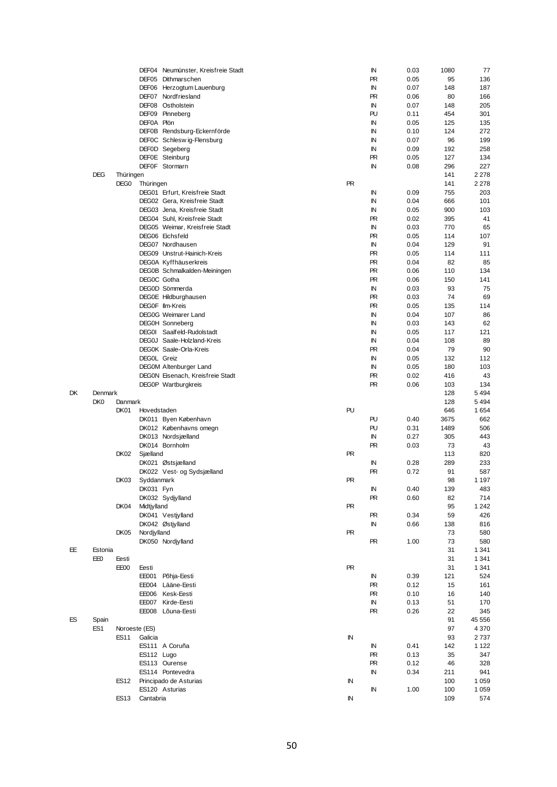|    |                 |                  |               | DEF04 Neumünster, Kreisfreie Stadt |            | IN        | 0.03 | 1080 | 77      |
|----|-----------------|------------------|---------------|------------------------------------|------------|-----------|------|------|---------|
|    |                 |                  |               | DEF05 Dithmarschen                 |            | <b>PR</b> | 0.05 | 95   | 136     |
|    |                 |                  |               | DEF06 Herzogtum Lauenburg          |            | IN        | 0.07 | 148  | 187     |
|    |                 |                  |               | DEF07 Nordfriesland                |            | <b>PR</b> | 0.06 | 80   | 166     |
|    |                 |                  |               |                                    |            |           |      |      |         |
|    |                 |                  |               | DEF08 Ostholstein                  |            | IN        | 0.07 | 148  | 205     |
|    |                 |                  |               | DEF09 Pinneberg                    |            | PU        | 0.11 | 454  | 301     |
|    |                 |                  | DEF0A Plön    |                                    |            | IN        | 0.05 | 125  | 135     |
|    |                 |                  |               | DEF0B Rendsburg-Eckernförde        |            | ΙN        | 0.10 | 124  | 272     |
|    |                 |                  |               | DEFOC Schleswig-Flensburg          |            | ΙN        | 0.07 | 96   | 199     |
|    |                 |                  |               | DEF0D Segeberg                     |            | ΙN        | 0.09 | 192  | 258     |
|    |                 |                  |               | DEF0E Steinburg                    |            | <b>PR</b> | 0.05 | 127  | 134     |
|    |                 |                  |               |                                    |            |           |      |      |         |
|    |                 |                  |               | DEF0F Stormarn                     |            | ΙN        | 0.08 | 296  | 227     |
|    | <b>DEG</b>      | Thüringen        |               |                                    |            |           |      | 141  | 2 2 7 8 |
|    |                 | DEG <sub>0</sub> | Thüringen     |                                    | <b>PR</b>  |           |      | 141  | 2 2 7 8 |
|    |                 |                  |               | DEG01 Erfurt, Kreisfreie Stadt     |            | ΙN        | 0.09 | 755  | 203     |
|    |                 |                  |               | DEG02 Gera, Kreisfreie Stadt       |            | ΙN        | 0.04 | 666  | 101     |
|    |                 |                  |               | DEG03 Jena, Kreisfreie Stadt       |            | ΙN        | 0.05 | 900  | 103     |
|    |                 |                  |               |                                    |            |           |      |      |         |
|    |                 |                  |               | DEG04 Suhl, Kreisfreie Stadt       |            | <b>PR</b> | 0.02 | 395  | 41      |
|    |                 |                  |               | DEG05 Weimar, Kreisfreie Stadt     |            | IN        | 0.03 | 770  | 65      |
|    |                 |                  |               | DEG06 Eichsfeld                    |            | <b>PR</b> | 0.05 | 114  | 107     |
|    |                 |                  |               | DEG07 Nordhausen                   |            | IN        | 0.04 | 129  | 91      |
|    |                 |                  |               | DEG09 Unstrut-Hainich-Kreis        |            | <b>PR</b> | 0.05 | 114  | 111     |
|    |                 |                  |               | DEG0A Kyffhäuserkreis              |            | <b>PR</b> | 0.04 | 82   | 85      |
|    |                 |                  |               |                                    |            | <b>PR</b> | 0.06 | 110  | 134     |
|    |                 |                  |               | DEG0B Schmalkalden-Meiningen       |            |           |      |      |         |
|    |                 |                  | DEG0C Gotha   |                                    |            | <b>PR</b> | 0.06 | 150  | 141     |
|    |                 |                  |               | DEG0D Sömmerda                     |            | ΙN        | 0.03 | 93   | 75      |
|    |                 |                  |               | DEG0E Hildburghausen               |            | <b>PR</b> | 0.03 | 74   | 69      |
|    |                 |                  |               | DEG0F IIm-Kreis                    |            | <b>PR</b> | 0.05 | 135  | 114     |
|    |                 |                  |               | <b>DEG0G Weimarer Land</b>         |            | IN        | 0.04 | 107  | 86      |
|    |                 |                  |               | <b>DEGOH Sonneberg</b>             |            | ΙN        | 0.03 | 143  | 62      |
|    |                 |                  |               |                                    |            |           |      |      |         |
|    |                 |                  |               | DEG0I Saalfeld-Rudolstadt          |            | ΙN        | 0.05 | 117  | 121     |
|    |                 |                  |               | DEG0J Saale-Holzland-Kreis         |            | ΙN        | 0.04 | 108  | 89      |
|    |                 |                  |               | DEG0K Saale-Orla-Kreis             |            | <b>PR</b> | 0.04 | 79   | 90      |
|    |                 |                  | DEGOL Greiz   |                                    |            | ΙN        | 0.05 | 132  | 112     |
|    |                 |                  |               | DEG0M Altenburger Land             |            | ΙN        | 0.05 | 180  | 103     |
|    |                 |                  |               |                                    |            |           |      |      |         |
|    |                 |                  |               | DEGON Eisenach, Kreisfreie Stadt   |            | <b>PR</b> | 0.02 | 416  | 43      |
|    |                 |                  |               | DEG0P Wartburgkreis                |            | <b>PR</b> | 0.06 | 103  | 134     |
| DK | Denmark         |                  |               |                                    |            |           |      | 128  | 5494    |
|    | DK <sub>0</sub> | Danmark          |               |                                    |            |           |      | 128  | 5494    |
|    |                 | DK01             | Hovedstaden   |                                    | PU         |           |      | 646  | 1654    |
|    |                 |                  |               | DK011 Byen København               |            | PU        | 0.40 | 3675 | 662     |
|    |                 |                  |               | DK012 Københavns omegn             |            | PU        | 0.31 | 1489 | 506     |
|    |                 |                  |               |                                    |            |           |      |      |         |
|    |                 |                  |               | DK013 Nordsjælland                 |            | IN        | 0.27 | 305  | 443     |
|    |                 |                  |               | DK014 Bornholm                     |            | <b>PR</b> | 0.03 | 73   | 43      |
|    |                 | DK02             | Sjælland      |                                    | <b>PR</b>  |           |      | 113  | 820     |
|    |                 |                  |               | DK021 Østsjælland                  |            | IN        | 0.28 | 289  | 233     |
|    |                 |                  |               | DK022 Vest- og Sydsjælland         |            | <b>PR</b> | 0.72 | 91   | 587     |
|    |                 | DK03             | Syddanmark    |                                    | <b>PR</b>  |           |      | 98   | 1 1 9 7 |
|    |                 |                  |               |                                    |            |           |      |      |         |
|    |                 |                  | DK031 Fyn     |                                    |            | IN        | 0.40 | 139  | 483     |
|    |                 |                  |               | DK032 Sydjylland                   |            | <b>PR</b> | 0.60 | 82   | 714     |
|    |                 | DK04             | Midtjylland   |                                    | PR         |           |      | 95   | 1 2 4 2 |
|    |                 |                  |               | DK041 Vestiylland                  |            | <b>PR</b> | 0.34 | 59   | 426     |
|    |                 |                  |               | DK042 Østjylland                   |            | IN        | 0.66 | 138  | 816     |
|    |                 | DK05             | Nordjylland   |                                    | <b>PR</b>  |           |      | 73   | 580     |
|    |                 |                  |               |                                    |            |           |      |      |         |
|    |                 |                  |               | DK050 Nordjylland                  |            | <b>PR</b> | 1.00 | 73   | 580     |
| EE | Estonia         |                  |               |                                    |            |           |      | 31   | 1 3 4 1 |
|    | EE0             | Eesti            |               |                                    |            |           |      | 31   | 1 3 4 1 |
|    |                 | EE00             | Eesti         |                                    | <b>PR</b>  |           |      | 31   | 1 3 4 1 |
|    |                 |                  | EE001         | Põhja-Eesti                        |            | IN        | 0.39 | 121  | 524     |
|    |                 |                  |               | EE004 Lääne-Eesti                  |            | <b>PR</b> | 0.12 | 15   | 161     |
|    |                 |                  |               |                                    |            |           |      |      |         |
|    |                 |                  |               | EE006 Kesk-Eesti                   |            | <b>PR</b> | 0.10 | 16   | 140     |
|    |                 |                  |               | EE007 Kirde-Eesti                  |            | IN        | 0.13 | 51   | 170     |
|    |                 |                  |               | EE008 Lõuna-Eesti                  |            | <b>PR</b> | 0.26 | 22   | 345     |
| ES | Spain           |                  |               |                                    |            |           |      | 91   | 45 556  |
|    | ES <sub>1</sub> |                  | Noroeste (ES) |                                    |            |           |      | 97   | 4 3 7 0 |
|    |                 | <b>ES11</b>      | Galicia       |                                    | IN         |           |      | 93   | 2737    |
|    |                 |                  |               |                                    |            |           |      |      |         |
|    |                 |                  |               | ES111 A Coruña                     |            | IN        | 0.41 | 142  | 1 1 2 2 |
|    |                 |                  | ES112 Lugo    |                                    |            | <b>PR</b> | 0.13 | 35   | 347     |
|    |                 |                  |               | ES113 Ourense                      |            | <b>PR</b> | 0.12 | 46   | 328     |
|    |                 |                  |               | ES114 Pontevedra                   |            | IN        | 0.34 | 211  | 941     |
|    |                 | <b>ES12</b>      |               | Principado de Asturias             | IN         |           |      | 100  | 1 0 5 9 |
|    |                 |                  |               | ES120 Asturias                     |            | IN        | 1.00 | 100  | 1 0 5 9 |
|    |                 |                  |               |                                    |            |           |      |      |         |
|    |                 | ES <sub>13</sub> | Cantabria     |                                    | ${\sf IN}$ |           |      | 109  | 574     |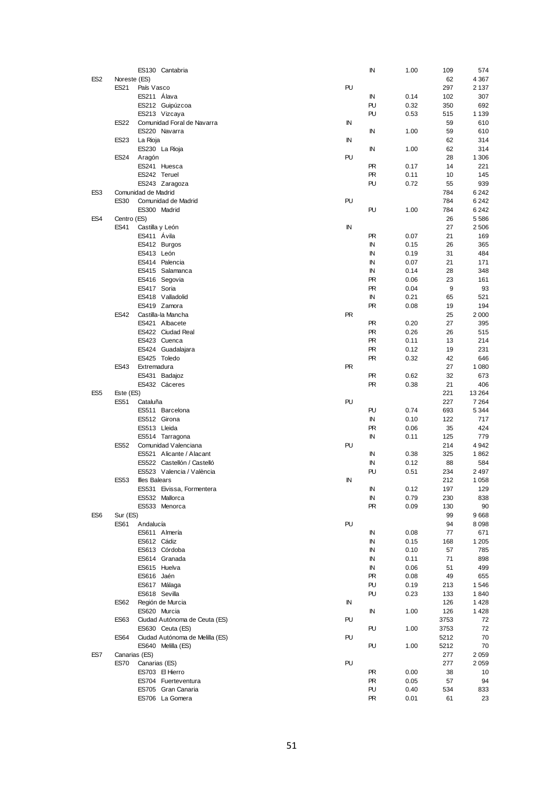|                 |               | ES130 Cantabria                 |           | ΙN        | 1.00 | 109  | 574     |
|-----------------|---------------|---------------------------------|-----------|-----------|------|------|---------|
| ES <sub>2</sub> | Noreste (ES)  |                                 |           |           |      | 62   | 4 3 6 7 |
|                 | ES21          | País Vasco                      | PU        |           |      | 297  | 2 1 3 7 |
|                 |               | ES211 Álava                     |           | IN        | 0.14 | 102  | 307     |
|                 |               | ES212 Guipúzcoa                 |           | PU        | 0.32 | 350  | 692     |
|                 |               | ES213 Vizcaya                   |           | PU        | 0.53 | 515  | 1 1 3 9 |
|                 | <b>ES22</b>   | Comunidad Foral de Navarra      | IN        |           |      | 59   | 610     |
|                 |               | ES220 Navarra                   |           | IN        | 1.00 | 59   | 610     |
|                 | <b>ES23</b>   | La Rioja                        | IN        |           |      | 62   | 314     |
|                 |               | ES230 La Rioja                  |           | ΙN        | 1.00 | 62   | 314     |
|                 |               |                                 | PU        |           |      |      |         |
|                 | <b>ES24</b>   | Aragón                          |           |           |      | 28   | 1 3 0 6 |
|                 |               | ES241 Huesca                    |           | PR.       | 0.17 | 14   | 221     |
|                 |               | ES242 Teruel                    |           | PR        | 0.11 | 10   | 145     |
|                 |               | ES243 Zaragoza                  |           | PU        | 0.72 | 55   | 939     |
| ES <sub>3</sub> |               | Comunidad de Madrid             |           |           |      | 784  | 6242    |
|                 | <b>ES30</b>   | Comunidad de Madrid             | PU        |           |      | 784  | 6242    |
|                 |               | ES300 Madrid                    |           | PU        | 1.00 | 784  | 6242    |
| ES4             | Centro (ES)   |                                 |           |           |      | 26   | 5586    |
|                 | ES41          | Castilla y León                 | IN        |           |      | 27   | 2506    |
|                 |               | ES411 Ávila                     |           | PR        | 0.07 | 21   | 169     |
|                 |               | ES412 Burgos                    |           | IN        | 0.15 | 26   | 365     |
|                 |               | ES413 León                      |           | IN        | 0.19 | 31   | 484     |
|                 |               | ES414 Palencia                  |           | IN        | 0.07 | 21   | 171     |
|                 |               | ES415 Salamanca                 |           | ΙN        | 0.14 | 28   | 348     |
|                 |               | ES416 Segovia                   |           | <b>PR</b> | 0.06 | 23   | 161     |
|                 |               | ES417 Soria                     |           | <b>PR</b> | 0.04 | 9    | 93      |
|                 |               | ES418 Valladolid                |           | IN        | 0.21 | 65   | 521     |
|                 |               | ES419 Zamora                    |           | PR        | 0.08 | 19   | 194     |
|                 |               | ES42 Castilla-la Mancha         | <b>PR</b> |           |      | 25   | 2000    |
|                 |               | ES421 Albacete                  |           | PR.       | 0.20 | 27   | 395     |
|                 |               | ES422 Ciudad Real               |           | <b>PR</b> | 0.26 | 26   | 515     |
|                 |               | ES423 Cuenca                    |           | PR.       | 0.11 | 13   | 214     |
|                 |               | ES424 Guadalajara               |           | PR        | 0.12 | 19   | 231     |
|                 |               | ES425 Toledo                    |           | PR        | 0.32 | 42   | 646     |
|                 |               |                                 |           |           |      |      |         |
|                 | <b>ES43</b>   | Extremadura                     | <b>PR</b> |           |      | 27   | 1 0 8 0 |
|                 |               | ES431 Badajoz                   |           | PR.       | 0.62 | 32   | 673     |
|                 |               |                                 |           |           |      |      |         |
|                 |               | ES432 Cáceres                   |           | <b>PR</b> | 0.38 | 21   | 406     |
| ES <sub>5</sub> | Este (ES)     |                                 |           |           |      | 221  | 13 2 64 |
|                 | <b>ES51</b>   | Cataluña                        | PU        |           |      | 227  | 7 2 6 4 |
|                 |               | ES511 Barcelona                 |           | PU        | 0.74 | 693  | 5 3 4 4 |
|                 |               | ES512 Girona                    |           | IN        | 0.10 | 122  | 717     |
|                 |               | ES513 Lleida                    |           | PR        | 0.06 | 35   | 424     |
|                 |               | ES514 Tarragona                 |           | IN        | 0.11 | 125  | 779     |
|                 | <b>ES52</b>   | Comunidad Valenciana            | PU        |           |      | 214  | 4942    |
|                 |               | ES521 Alicante / Alacant        |           | IN        | 0.38 | 325  | 1862    |
|                 |               | ES522 Castellón / Castelló      |           | IN        | 0.12 | 88   | 584     |
|                 |               | ES523 Valencia / València       |           | PU        | 0.51 | 234  | 2497    |
|                 | <b>ES53</b>   | <b>Illes Balears</b>            | IN        |           |      | 212  | 1 0 5 8 |
|                 |               |                                 |           | IN        | 0.12 | 197  | 129     |
|                 |               | ES531 Eivissa, Formentera       |           |           |      |      |         |
|                 |               | ES532 Mallorca                  |           | IN        | 0.79 | 230  | 838     |
|                 |               | ES533 Menorca                   |           | PR        | 0.09 | 130  | 90      |
| ES <sub>6</sub> | Sur (ES)      |                                 |           |           |      | 99   | 9668    |
|                 | ES61          | Andalucía                       | PU        |           |      | 94   | 8098    |
|                 |               | ES611 Almería                   |           | IN        | 0.08 | 77   | 671     |
|                 |               | ES612 Cádiz                     |           | IN        | 0.15 | 168  | 1 2 0 5 |
|                 |               | ES613 Córdoba                   |           | IN        | 0.10 | 57   | 785     |
|                 |               | ES614 Granada                   |           | ΙN        | 0.11 | 71   | 898     |
|                 |               | ES615 Huelva                    |           | ΙN        | 0.06 | 51   | 499     |
|                 |               | ES616 Jaén                      |           | PR        | 0.08 | 49   | 655     |
|                 |               | ES617 Málaga                    |           | PU        | 0.19 | 213  | 1546    |
|                 |               | ES618 Sevilla                   |           | PU        | 0.23 | 133  | 1840    |
|                 | ES62          | Región de Murcia                | IN        |           |      | 126  | 1428    |
|                 |               | ES620 Murcia                    |           | IN        | 1.00 | 126  | 1428    |
|                 | <b>ES63</b>   | Ciudad Autónoma de Ceuta (ES)   | PU        |           |      | 3753 | 72      |
|                 |               | ES630 Ceuta (ES)                |           | PU        | 1.00 | 3753 | 72      |
|                 | <b>ES64</b>   | Ciudad Autónoma de Melilla (ES) | PU        |           |      | 5212 | 70      |
|                 |               | ES640 Melilla (ES)              |           | PU        | 1.00 | 5212 | 70      |
| ES7             | Canarias (ES) |                                 |           |           |      | 277  | 2059    |
|                 | <b>ES70</b>   | Canarias (ES)                   | PU        |           |      | 277  | 2059    |
|                 |               | ES703 El Hierro                 |           | PR        | 0.00 | 38   | 10      |
|                 |               | ES704 Fuerteventura             |           | PR        | 0.05 | 57   | 94      |
|                 |               | ES705 Gran Canaria              |           | PU        | 0.40 | 534  | 833     |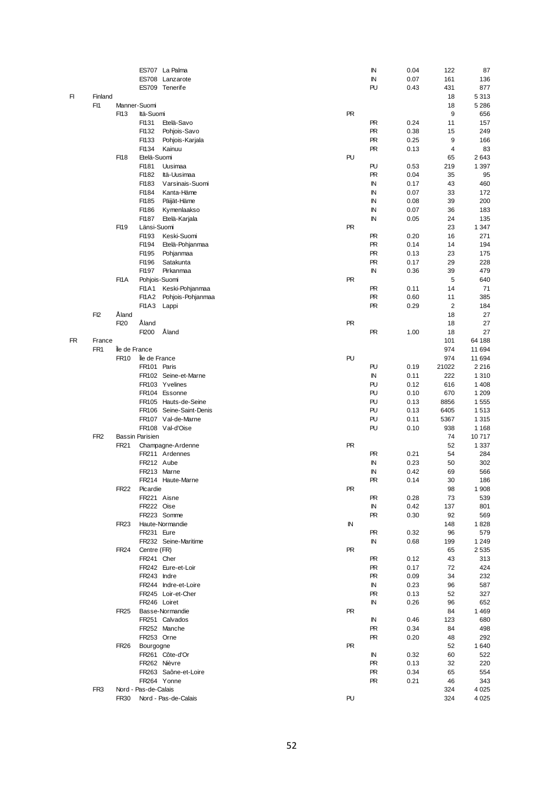|    |                 |               |                        | ES707 La Palma          |  | IN        | 0.04 | 122            | 87      |
|----|-----------------|---------------|------------------------|-------------------------|--|-----------|------|----------------|---------|
|    |                 |               |                        | ES708 Lanzarote         |  | IN        | 0.07 | 161            | 136     |
|    |                 |               |                        | ES709 Tenerife          |  | PU        | 0.43 | 431            | 877     |
| FI | Finland         |               |                        |                         |  |           |      | 18             | 5313    |
|    | F <sub>11</sub> | Manner-Suomi  |                        |                         |  |           |      | 18             | 5 2 8 6 |
|    |                 | FI13          | Itä-Suomi              |                         |  | <b>PR</b> |      | 9              | 656     |
|    |                 |               | FI131                  | Etelä-Savo              |  | <b>PR</b> | 0.24 | 11             | 157     |
|    |                 |               | FI132                  | Pohjois-Savo            |  | <b>PR</b> | 0.38 | 15             | 249     |
|    |                 |               | FI133                  | Pohjois-Karjala         |  | <b>PR</b> | 0.25 | 9              | 166     |
|    |                 |               | FI134                  | Kainuu                  |  | <b>PR</b> | 0.13 | 4              | 83      |
|    |                 | FI18          | Etelä-Suomi            |                         |  | PU        |      | 65             | 2643    |
|    |                 |               | FI181                  | Uusimaa                 |  | PU        | 0.53 | 219            | 1 3 9 7 |
|    |                 |               | FI182                  | Itä-Uusimaa             |  | <b>PR</b> | 0.04 | 35             | 95      |
|    |                 |               | FI183                  | Varsinais-Suomi         |  | IN        | 0.17 | 43             | 460     |
|    |                 |               | FI184                  | Kanta-Häme              |  | IN        | 0.07 | 33             | 172     |
|    |                 |               |                        |                         |  |           |      |                |         |
|    |                 |               | FI185                  | Päijät-Häme             |  | IN        | 0.08 | 39             | 200     |
|    |                 |               | FI186                  | Kymenlaakso             |  | IN        | 0.07 | 36             | 183     |
|    |                 |               | FI187                  | Etelä-Karjala           |  | IN        | 0.05 | 24             | 135     |
|    |                 | F119          | Länsi-Suomi            |                         |  | <b>PR</b> |      | 23             | 1 3 4 7 |
|    |                 |               | FI193                  | Keski-Suomi             |  | <b>PR</b> | 0.20 | 16             | 271     |
|    |                 |               | FI194                  | Etelä-Pohjanmaa         |  | <b>PR</b> | 0.14 | 14             | 194     |
|    |                 |               | FI195                  | Pohjanmaa               |  | <b>PR</b> | 0.13 | 23             | 175     |
|    |                 |               | FI196                  | Satakunta               |  | <b>PR</b> | 0.17 | 29             | 228     |
|    |                 |               | FI197                  | Pirkanmaa               |  | IN        | 0.36 | 39             | 479     |
|    |                 | FI1A          | Pohjois-Suomi          |                         |  | <b>PR</b> |      | 5              | 640     |
|    |                 |               | <b>FI1A1</b>           | Keski-Pohjanmaa         |  | PR        | 0.11 | 14             | 71      |
|    |                 |               | <b>FI1A2</b>           | Pohjois-Pohjanmaa       |  | <b>PR</b> | 0.60 | 11             | 385     |
|    |                 |               | FI1A3                  | Lappi                   |  | <b>PR</b> | 0.29 | $\overline{2}$ | 184     |
|    | F <sub>12</sub> | Åland         |                        |                         |  |           |      | 18             | 27      |
|    |                 | FI20          | Åland                  |                         |  | <b>PR</b> |      | 18             | 27      |
|    |                 |               | FI200                  | Åland                   |  | <b>PR</b> | 1.00 | 18             | 27      |
| FR | France          |               |                        |                         |  |           |      | 101            | 64 188  |
|    | FR <sub>1</sub> | Île de France |                        |                         |  |           |      | 974            | 11 694  |
|    |                 | <b>FR10</b>   | lle de France          |                         |  | PU        |      | 974            | 11 694  |
|    |                 |               | FR101 Paris            |                         |  | PU        | 0.19 | 21022          | 2 2 1 6 |
|    |                 |               |                        |                         |  | $\sf IN$  |      |                |         |
|    |                 |               |                        | FR102 Seine-et-Marne    |  |           | 0.11 | 222            | 1310    |
|    |                 |               |                        | FR103 Yvelines          |  | PU        | 0.12 | 616            | 1 4 0 8 |
|    |                 |               |                        | FR104 Essonne           |  | PU        | 0.10 | 670            | 1 2 0 9 |
|    |                 |               |                        | FR105 Hauts-de-Seine    |  | PU        | 0.13 | 8856           | 1555    |
|    |                 |               |                        | FR106 Seine-Saint-Denis |  | PU        | 0.13 | 6405           | 1513    |
|    |                 |               |                        | FR107 Val-de-Marne      |  | PU        | 0.11 | 5367           | 1315    |
|    |                 |               |                        | FR108 Val-d'Oise        |  | PU        | 0.10 | 938            | 1 1 6 8 |
|    | FR <sub>2</sub> |               | <b>Bassin Parisien</b> |                         |  |           |      | 74             | 10717   |
|    |                 | FR21          |                        | Champagne-Ardenne       |  | <b>PR</b> |      | 52             | 1 3 3 7 |
|    |                 |               |                        | FR211 Ardennes          |  | <b>PR</b> | 0.21 | 54             | 284     |
|    |                 |               | FR212 Aube             |                         |  | IN        | 0.23 | 50             | 302     |
|    |                 |               | FR213 Marne            |                         |  | IN        | 0.42 | 69             | 566     |
|    |                 |               |                        | FR214 Haute-Marne       |  | PR        | 0.14 | 30             | 186     |
|    |                 | <b>FR22</b>   | Picardie               |                         |  | PR        |      | 98             | 1908    |
|    |                 |               | FR221 Aisne            |                         |  | PR.       | 0.28 | 73             | 539     |
|    |                 |               | FR222 Oise             |                         |  | IN        | 0.42 | 137            | 801     |
|    |                 |               |                        | FR223 Somme             |  | PR.       | 0.30 | 92             | 569     |
|    |                 | <b>FR23</b>   |                        | Haute-Normandie         |  | IN        |      | 148            | 1828    |
|    |                 |               | FR231 Eure             |                         |  | <b>PR</b> | 0.32 | 96             | 579     |
|    |                 |               |                        | FR232 Seine-Maritime    |  |           |      |                | 1 2 4 9 |
|    |                 |               |                        |                         |  | IN        | 0.68 | 199            |         |
|    |                 | <b>FR24</b>   | Centre (FR)            |                         |  | PR        |      | 65             | 2535    |
|    |                 |               | FR241 Cher             |                         |  | PR        | 0.12 | 43             | 313     |
|    |                 |               |                        | FR242 Eure-et-Loir      |  | PR.       | 0.17 | 72             | 424     |
|    |                 |               | FR243 Indre            |                         |  | PR.       | 0.09 | 34             | 232     |
|    |                 |               |                        | FR244 Indre-et-Loire    |  | ΙN        | 0.23 | 96             | 587     |
|    |                 |               |                        | FR245 Loir-et-Cher      |  | PR.       | 0.13 | 52             | 327     |
|    |                 |               | FR246 Loiret           |                         |  | IN        | 0.26 | 96             | 652     |
|    |                 | <b>FR25</b>   |                        | Basse-Normandie         |  | <b>PR</b> |      | 84             | 1469    |
|    |                 |               |                        | FR251 Calvados          |  | ΙN        | 0.46 | 123            | 680     |
|    |                 |               |                        | FR252 Manche            |  | PR.       | 0.34 | 84             | 498     |
|    |                 |               | FR253 Orne             |                         |  | PR.       | 0.20 | 48             | 292     |
|    |                 | <b>FR26</b>   | Bourgogne              |                         |  | <b>PR</b> |      | 52             | 1640    |
|    |                 |               |                        | FR261 Côte-d'Or         |  | IN        | 0.32 | 60             | 522     |
|    |                 |               | FR262 Nièvre           |                         |  | PR        | 0.13 | 32             | 220     |
|    |                 |               |                        | FR263 Saône-et-Loire    |  | PR        | 0.34 | 65             | 554     |
|    |                 |               | FR264 Yonne            |                         |  | PR.       | 0.21 | 46             | 343     |
|    | FR <sub>3</sub> |               | Nord - Pas-de-Calais   |                         |  |           |      | 324            | 4 0 25  |
|    |                 | <b>FR30</b>   |                        | Nord - Pas-de-Calais    |  | PU        |      | 324            | 4 0 25  |
|    |                 |               |                        |                         |  |           |      |                |         |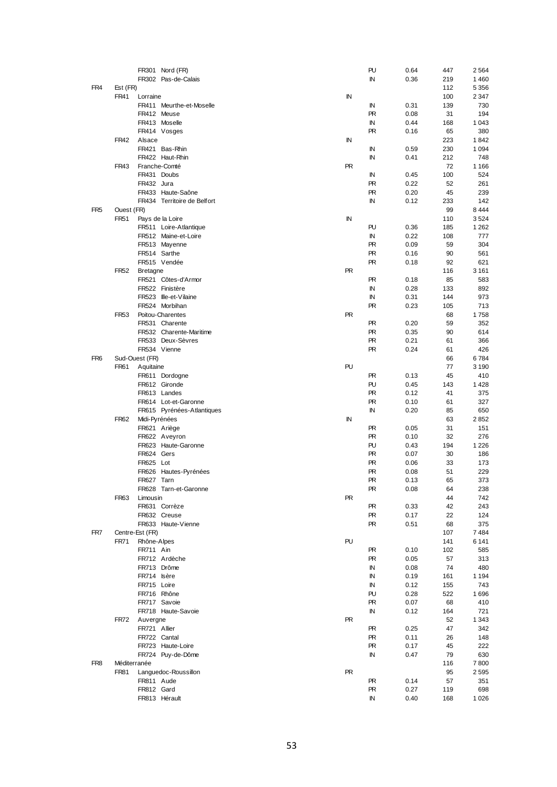|                 |              | FR301 Nord (FR)             |             | PU        | 0.64 | 447 | 2564    |
|-----------------|--------------|-----------------------------|-------------|-----------|------|-----|---------|
|                 |              | FR302 Pas-de-Calais         |             | IN        | 0.36 | 219 | 1460    |
| FR4             | Est (FR)     |                             |             |           |      | 112 | 5 3 5 6 |
|                 | <b>FR41</b>  | Lorraine                    | $\mathbb N$ |           |      | 100 | 2 3 4 7 |
|                 |              | FR411 Meurthe-et-Moselle    |             | IN        | 0.31 | 139 | 730     |
|                 |              | FR412 Meuse                 |             | <b>PR</b> |      | 31  | 194     |
|                 |              |                             |             |           | 0.08 |     |         |
|                 |              | FR413 Moselle               |             | IN        | 0.44 | 168 | 1 0 4 3 |
|                 |              | FR414 Vosges                |             | <b>PR</b> | 0.16 | 65  | 380     |
|                 | <b>FR42</b>  | Alsace                      | IN          |           |      | 223 | 1842    |
|                 |              | FR421 Bas-Rhin              |             | ΙN        | 0.59 | 230 | 1 0 9 4 |
|                 |              | FR422 Haut-Rhin             |             | IN        | 0.41 | 212 | 748     |
|                 | FR43         | Franche-Comté               | <b>PR</b>   |           |      | 72  | 1 1 6 6 |
|                 |              | FR431 Doubs                 |             | ΙN        | 0.45 | 100 | 524     |
|                 |              | FR432 Jura                  |             | <b>PR</b> | 0.22 | 52  | 261     |
|                 |              | FR433 Haute-Saône           |             | <b>PR</b> | 0.20 | 45  | 239     |
|                 |              | FR434 Territoire de Belfort |             | IN        | 0.12 | 233 | 142     |
| FR <sub>5</sub> | Ouest (FR)   |                             |             |           |      | 99  | 8 4 4 4 |
|                 | <b>FR51</b>  | Pays de la Loire            | ${\sf IN}$  |           |      | 110 | 3524    |
|                 |              | FR511 Loire-Atlantique      |             | PU        | 0.36 | 185 | 1 2 6 2 |
|                 |              | FR512 Maine-et-Loire        |             | IN        | 0.22 | 108 | 777     |
|                 |              | FR513 Mayenne               |             | <b>PR</b> | 0.09 | 59  | 304     |
|                 |              |                             |             | <b>PR</b> |      |     |         |
|                 |              | FR514 Sarthe                |             |           | 0.16 | 90  | 561     |
|                 |              | FR515 Vendée                |             | <b>PR</b> | 0.18 | 92  | 621     |
|                 | <b>FR52</b>  | <b>Bretagne</b>             | <b>PR</b>   |           |      | 116 | 3 1 6 1 |
|                 |              | FR521 Côtes-d'Armor         |             | <b>PR</b> | 0.18 | 85  | 583     |
|                 |              | FR522 Finistère             |             | IN        | 0.28 | 133 | 892     |
|                 |              | FR523 Ille-et-Vilaine       |             | IN        | 0.31 | 144 | 973     |
|                 |              | FR524 Morbihan              |             | <b>PR</b> | 0.23 | 105 | 713     |
|                 | <b>FR53</b>  | Poitou-Charentes            | <b>PR</b>   |           |      | 68  | 1758    |
|                 |              | FR531 Charente              |             | <b>PR</b> | 0.20 | 59  | 352     |
|                 |              | FR532 Charente-Maritime     |             | <b>PR</b> | 0.35 | 90  | 614     |
|                 |              | FR533 Deux-Sèvres           |             | PR.       | 0.21 | 61  | 366     |
|                 |              | FR534 Vienne                |             | <b>PR</b> | 0.24 | 61  | 426     |
| FR <sub>6</sub> |              | Sud-Ouest (FR)              |             |           |      | 66  | 6784    |
|                 |              |                             | PU          |           |      |     |         |
|                 | <b>FR61</b>  | Aquitaine                   |             |           |      | 77  | 3 1 9 0 |
|                 |              | FR611 Dordogne              |             | PR.       | 0.13 | 45  | 410     |
|                 |              | FR612 Gironde               |             | PU        | 0.45 | 143 | 1428    |
|                 |              | FR613 Landes                |             | <b>PR</b> | 0.12 | 41  | 375     |
|                 |              | FR614 Lot-et-Garonne        |             | <b>PR</b> | 0.10 | 61  | 327     |
|                 |              | FR615 Pyrénées-Atlantiques  |             | IN        | 0.20 | 85  | 650     |
|                 | <b>FR62</b>  | Midi-Pyrénées               | IN          |           |      | 63  | 2852    |
|                 |              | FR621 Ariège                |             | <b>PR</b> | 0.05 | 31  | 151     |
|                 |              | FR622 Aveyron               |             | <b>PR</b> | 0.10 | 32  | 276     |
|                 |              | FR623 Haute-Garonne         |             | PU        | 0.43 | 194 | 1 2 2 6 |
|                 |              | FR624 Gers                  |             | <b>PR</b> | 0.07 | 30  | 186     |
|                 |              | FR625 Lot                   |             | <b>PR</b> | 0.06 | 33  | 173     |
|                 |              | FR626 Hautes-Pyrénées       |             | <b>PR</b> | 0.08 | 51  | 229     |
|                 |              | FR627 Tarn                  |             | <b>PR</b> | 0.13 | 65  | 373     |
|                 |              |                             |             |           |      |     |         |
|                 |              | FR628 Tarn-et-Garonne       |             | PR.       | 0.08 | 64  | 238     |
|                 | <b>FR63</b>  | Limousin                    | <b>PR</b>   |           |      | 44  | 742     |
|                 |              | FR631 Corrèze               |             | PR        | 0.33 | 42  | 243     |
|                 |              | FR632 Creuse                |             | <b>PR</b> | 0.17 | 22  | 124     |
|                 |              | FR633 Haute-Vienne          |             | <b>PR</b> | 0.51 | 68  | 375     |
| FR7             |              | Centre-Est (FR)             |             |           |      | 107 | 7484    |
|                 | <b>FR71</b>  | Rhône-Alpes                 | PU          |           |      | 141 | 6 141   |
|                 |              | FR711 Ain                   |             | PR.       | 0.10 | 102 | 585     |
|                 |              | FR712 Ardèche               |             | PR.       | 0.05 | 57  | 313     |
|                 |              | FR713 Drôme                 |             | IN        | 0.08 | 74  | 480     |
|                 |              | FR714 Isère                 |             | IN        | 0.19 | 161 | 1 1 9 4 |
|                 |              | FR715 Loire                 |             | IN        | 0.12 | 155 | 743     |
|                 |              | FR716 Rhône                 |             | PU        | 0.28 |     |         |
|                 |              |                             |             |           |      | 522 | 1696    |
|                 |              | FR717 Savoie                |             | PR.       | 0.07 | 68  | 410     |
|                 |              | FR718 Haute-Savoie          |             | IN        | 0.12 | 164 | 721     |
|                 | <b>FR72</b>  | Auvergne                    | <b>PR</b>   |           |      | 52  | 1 3 4 3 |
|                 |              | FR721 Allier                |             | PR.       | 0.25 | 47  | 342     |
|                 |              | FR722 Cantal                |             | <b>PR</b> | 0.11 | 26  | 148     |
|                 |              | FR723 Haute-Loire           |             | PR.       | 0.17 | 45  | 222     |
|                 |              | FR724 Puy-de-Dôme           |             | IN        | 0.47 | 79  | 630     |
| FR <sub>8</sub> | Méditerranée |                             |             |           |      | 116 | 7800    |
|                 | <b>FR81</b>  | Languedoc-Roussillon        | <b>PR</b>   |           |      | 95  | 2595    |
|                 |              | FR811 Aude                  |             | PR        | 0.14 | 57  | 351     |
|                 |              | FR812 Gard                  |             | PR        | 0.27 | 119 | 698     |
|                 |              |                             |             |           |      |     |         |
|                 |              | FR813 Hérault               |             | IN        | 0.40 | 168 | 1 0 2 6 |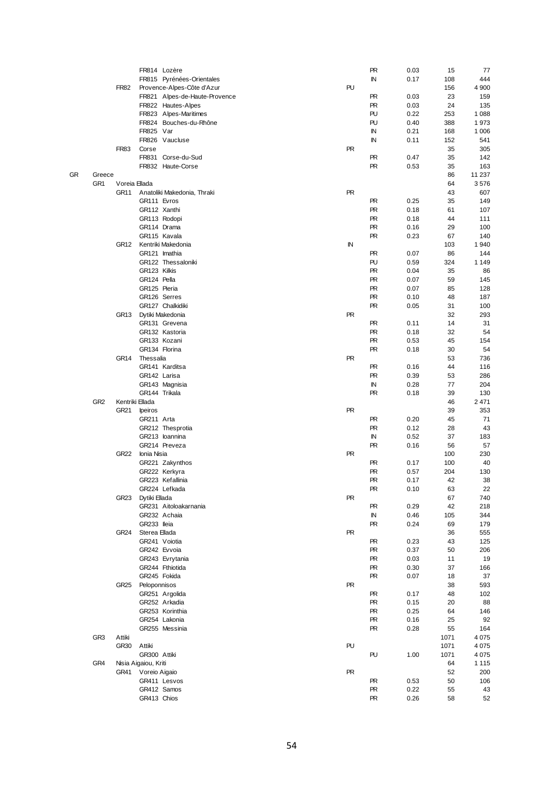|    |                 |                  |                      | FR814 Lozère                  |  |           | <b>PR</b> | 0.03 | 15   | 77      |
|----|-----------------|------------------|----------------------|-------------------------------|--|-----------|-----------|------|------|---------|
|    |                 |                  |                      | FR815 Pyrénées-Orientales     |  |           | ΙN        | 0.17 | 108  | 444     |
|    |                 | <b>FR82</b>      |                      | Provence-Alpes-Côte d'Azur    |  | PU        |           |      | 156  | 4 900   |
|    |                 |                  |                      |                               |  |           |           |      |      |         |
|    |                 |                  |                      | FR821 Alpes-de-Haute-Provence |  |           | <b>PR</b> | 0.03 | 23   | 159     |
|    |                 |                  |                      | FR822 Hautes-Alpes            |  |           | <b>PR</b> | 0.03 | 24   | 135     |
|    |                 |                  |                      | FR823 Alpes-Maritimes         |  |           | PU        | 0.22 | 253  | 1 0 8 8 |
|    |                 |                  |                      | FR824 Bouches-du-Rhône        |  |           | PU        | 0.40 | 388  | 1973    |
|    |                 |                  | FR825 Var            |                               |  |           | IN        | 0.21 | 168  | 1 0 0 6 |
|    |                 |                  |                      | FR826 Vaucluse                |  |           | ΙN        | 0.11 | 152  | 541     |
|    |                 | <b>FR83</b>      | Corse                |                               |  | <b>PR</b> |           |      | 35   | 305     |
|    |                 |                  |                      | FR831 Corse-du-Sud            |  |           | <b>PR</b> | 0.47 | 35   | 142     |
|    |                 |                  |                      |                               |  |           |           |      |      |         |
|    |                 |                  |                      | FR832 Haute-Corse             |  |           | <b>PR</b> | 0.53 | 35   | 163     |
| GR | Greece          |                  |                      |                               |  |           |           |      | 86   | 11 237  |
|    | GR <sub>1</sub> | Voreia Ellada    |                      |                               |  |           |           |      | 64   | 3576    |
|    |                 | GR <sub>11</sub> |                      | Anatoliki Makedonia, Thraki   |  | <b>PR</b> |           |      | 43   | 607     |
|    |                 |                  | GR111 Evros          |                               |  |           | <b>PR</b> | 0.25 | 35   | 149     |
|    |                 |                  | GR112 Xanthi         |                               |  |           | <b>PR</b> | 0.18 | 61   | 107     |
|    |                 |                  |                      | GR113 Rodopi                  |  |           | <b>PR</b> | 0.18 | 44   | 111     |
|    |                 |                  |                      |                               |  |           | <b>PR</b> | 0.16 | 29   | 100     |
|    |                 |                  | GR114 Drama          |                               |  |           |           |      |      |         |
|    |                 |                  |                      | GR115 Kavala                  |  |           | <b>PR</b> | 0.23 | 67   | 140     |
|    |                 | GR12             |                      | Kentriki Makedonia            |  | IN        |           |      | 103  | 1940    |
|    |                 |                  |                      | GR121 Imathia                 |  |           | <b>PR</b> | 0.07 | 86   | 144     |
|    |                 |                  |                      | GR122 Thessaloniki            |  |           | PU        | 0.59 | 324  | 1 1 4 9 |
|    |                 |                  | GR123 Kilkis         |                               |  |           | <b>PR</b> | 0.04 | 35   | 86      |
|    |                 |                  | GR124 Pella          |                               |  |           | <b>PR</b> | 0.07 | 59   | 145     |
|    |                 |                  |                      |                               |  |           |           |      |      |         |
|    |                 |                  | GR125 Pieria         |                               |  |           | <b>PR</b> | 0.07 | 85   | 128     |
|    |                 |                  |                      | GR126 Serres                  |  |           | <b>PR</b> | 0.10 | 48   | 187     |
|    |                 |                  |                      | GR127 Chalkidiki              |  |           | <b>PR</b> | 0.05 | 31   | 100     |
|    |                 | GR13             |                      | Dytiki Makedonia              |  | <b>PR</b> |           |      | 32   | 293     |
|    |                 |                  |                      | GR131 Grevena                 |  |           | <b>PR</b> | 0.11 | 14   | 31      |
|    |                 |                  |                      | GR132 Kastoria                |  |           | <b>PR</b> | 0.18 | 32   | 54      |
|    |                 |                  |                      | GR133 Kozani                  |  |           | <b>PR</b> | 0.53 | 45   | 154     |
|    |                 |                  |                      | GR134 Florina                 |  |           | <b>PR</b> | 0.18 |      | 54      |
|    |                 |                  |                      |                               |  |           |           |      | 30   |         |
|    |                 | GR <sub>14</sub> | Thessalia            |                               |  | <b>PR</b> |           |      | 53   | 736     |
|    |                 |                  |                      | GR141 Karditsa                |  |           | <b>PR</b> | 0.16 | 44   | 116     |
|    |                 |                  | GR142 Larisa         |                               |  |           | <b>PR</b> | 0.39 | 53   | 286     |
|    |                 |                  |                      | GR143 Magnisia                |  |           | IN        | 0.28 | 77   | 204     |
|    |                 |                  | GR144 Trikala        |                               |  |           | <b>PR</b> | 0.18 | 39   | 130     |
|    | GR <sub>2</sub> |                  | Kentriki Ellada      |                               |  |           |           |      | 46   | 2471    |
|    |                 | GR21             |                      |                               |  | <b>PR</b> |           |      | 39   | 353     |
|    |                 |                  | Ipeiros              |                               |  |           |           |      |      |         |
|    |                 |                  | GR211 Arta           |                               |  |           | <b>PR</b> | 0.20 | 45   | 71      |
|    |                 |                  |                      | GR212 Thesprotia              |  |           | <b>PR</b> | 0.12 | 28   | 43      |
|    |                 |                  |                      | GR213 Ioannina                |  |           | IN        | 0.52 | 37   | 183     |
|    |                 |                  |                      | GR214 Preveza                 |  |           | <b>PR</b> | 0.16 | 56   | 57      |
|    |                 | <b>GR22</b>      | Ionia Nisia          |                               |  | <b>PR</b> |           |      | 100  | 230     |
|    |                 |                  |                      | GR221 Zakynthos               |  |           | <b>PR</b> | 0.17 | 100  | 40      |
|    |                 |                  |                      |                               |  |           | <b>PR</b> |      | 204  | 130     |
|    |                 |                  |                      | GR222 Kerkyra                 |  |           |           | 0.57 |      |         |
|    |                 |                  |                      | GR223 Kefallinia              |  |           | <b>PR</b> | 0.17 | 42   | 38      |
|    |                 |                  |                      | GR224 Lefkada                 |  |           | <b>PR</b> | 0.10 | 63   | 22      |
|    |                 | GR23             | Dytiki Ellada        |                               |  | <b>PR</b> |           |      | 67   | 740     |
|    |                 |                  |                      | GR231 Aitoloakarnania         |  |           | <b>PR</b> | 0.29 | 42   | 218     |
|    |                 |                  |                      | GR232 Achaia                  |  |           | IN        | 0.46 | 105  | 344     |
|    |                 |                  | GR233 lleia          |                               |  |           | <b>PR</b> | 0.24 | 69   | 179     |
|    |                 | <b>GR24</b>      | Sterea Ellada        |                               |  | <b>PR</b> |           |      | 36   | 555     |
|    |                 |                  |                      |                               |  |           |           |      |      |         |
|    |                 |                  |                      | GR241 Voiotia                 |  |           | <b>PR</b> | 0.23 | 43   | 125     |
|    |                 |                  |                      | GR242 Evvoia                  |  |           | <b>PR</b> | 0.37 | 50   | 206     |
|    |                 |                  |                      | GR243 Evrytania               |  |           | <b>PR</b> | 0.03 | 11   | 19      |
|    |                 |                  |                      | GR244 Fthiotida               |  |           | <b>PR</b> | 0.30 | 37   | 166     |
|    |                 |                  |                      | GR245 Fokida                  |  |           | <b>PR</b> | 0.07 | 18   | 37      |
|    |                 | GR <sub>25</sub> | Peloponnisos         |                               |  | <b>PR</b> |           |      | 38   | 593     |
|    |                 |                  |                      | GR251 Argolida                |  |           | <b>PR</b> | 0.17 | 48   | 102     |
|    |                 |                  |                      |                               |  |           |           |      |      |         |
|    |                 |                  |                      | GR252 Arkadia                 |  |           | <b>PR</b> | 0.15 | 20   | 88      |
|    |                 |                  |                      | GR253 Korinthia               |  |           | PR        | 0.25 | 64   | 146     |
|    |                 |                  |                      | GR254 Lakonia                 |  |           | PR        | 0.16 | 25   | 92      |
|    |                 |                  |                      | GR255 Messinia                |  |           | <b>PR</b> | 0.28 | 55   | 164     |
|    | GR <sub>3</sub> | Attiki           |                      |                               |  |           |           |      | 1071 | 4075    |
|    |                 | GR30             | Attiki               |                               |  | PU        |           |      | 1071 | 4075    |
|    |                 |                  | GR300 Attiki         |                               |  |           | PU        | 1.00 | 1071 | 4 0 7 5 |
|    |                 |                  |                      |                               |  |           |           |      |      |         |
|    | GR4             |                  | Nisia Aigaiou, Kriti |                               |  |           |           |      | 64   | 1 1 1 5 |
|    |                 | GR41             | Voreio Aigaio        |                               |  | <b>PR</b> |           |      | 52   | 200     |
|    |                 |                  |                      | GR411 Lesvos                  |  |           | <b>PR</b> | 0.53 | 50   | 106     |
|    |                 |                  |                      | GR412 Samos                   |  |           | <b>PR</b> | 0.22 | 55   | 43      |
|    |                 |                  | GR413 Chios          |                               |  |           | PR        | 0.26 | 58   | 52      |
|    |                 |                  |                      |                               |  |           |           |      |      |         |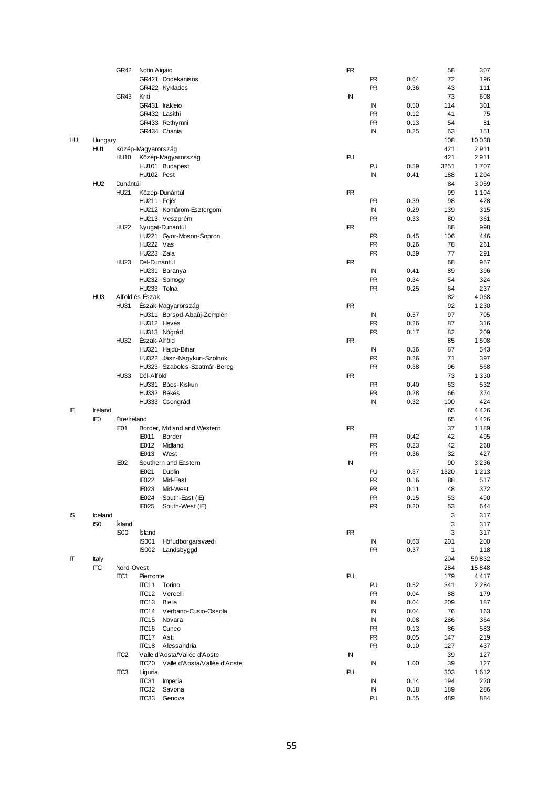|    |                 | GR42             | Notio Aigaio       |                              | <b>PR</b> |            |      | 58   | 307     |
|----|-----------------|------------------|--------------------|------------------------------|-----------|------------|------|------|---------|
|    |                 |                  |                    | GR421 Dodekanisos            |           | <b>PR</b>  | 0.64 | 72   | 196     |
|    |                 |                  |                    |                              |           | <b>PR</b>  |      |      |         |
|    |                 |                  |                    | GR422 Kyklades               |           |            | 0.36 | 43   | 111     |
|    |                 | GR43             | Kriti              |                              | ΙN        |            |      | 73   | 608     |
|    |                 |                  |                    | GR431 Irakleio               |           | IN         | 0.50 | 114  | 301     |
|    |                 |                  | GR432 Lasithi      |                              |           | <b>PR</b>  | 0.12 | 41   | 75      |
|    |                 |                  |                    | GR433 Rethymni               |           | <b>PR</b>  | 0.13 | 54   | 81      |
|    |                 |                  |                    | GR434 Chania                 |           | ${\sf IN}$ | 0.25 | 63   | 151     |
| HU | Hungary         |                  |                    |                              |           |            |      | 108  | 10 038  |
|    | HU1             |                  | Közép-Magyarország |                              |           |            |      | 421  | 2911    |
|    |                 | <b>HU10</b>      |                    | Közép-Magyarország           | PU        |            |      | 421  | 2911    |
|    |                 |                  |                    |                              |           |            |      |      |         |
|    |                 |                  |                    | HU101 Budapest               |           | PU         | 0.59 | 3251 | 1707    |
|    |                 |                  | HU102 Pest         |                              |           | IN         | 0.41 | 188  | 1 2 0 4 |
|    | HU <sub>2</sub> | Dunántúl         |                    |                              |           |            |      | 84   | 3059    |
|    |                 | <b>HU21</b>      |                    | Közép-Dunántúl               | <b>PR</b> |            |      | 99   | 1 1 0 4 |
|    |                 |                  | HU211 Fejér        |                              |           | <b>PR</b>  | 0.39 | 98   | 428     |
|    |                 |                  |                    | HU212 Komárom-Esztergom      |           | $\sf IN$   | 0.29 | 139  | 315     |
|    |                 |                  |                    | HU213 Veszprém               |           | <b>PR</b>  | 0.33 | 80   | 361     |
|    |                 | <b>HU22</b>      |                    | Nyugat-Dunántúl              | <b>PR</b> |            |      | 88   | 998     |
|    |                 |                  |                    |                              |           |            |      |      |         |
|    |                 |                  |                    | HU221 Gyor-Moson-Sopron      |           | <b>PR</b>  | 0.45 | 106  | 446     |
|    |                 |                  | HU222 Vas          |                              |           | <b>PR</b>  | 0.26 | 78   | 261     |
|    |                 |                  | HU223 Zala         |                              |           | <b>PR</b>  | 0.29 | 77   | 291     |
|    |                 | <b>HU23</b>      | Dél-Dunántúl       |                              | PR        |            |      | 68   | 957     |
|    |                 |                  |                    | HU231 Baranya                |           | IN         | 0.41 | 89   | 396     |
|    |                 |                  |                    | HU232 Somogy                 |           | <b>PR</b>  | 0.34 | 54   | 324     |
|    |                 |                  | HU233 Tolna        |                              |           | <b>PR</b>  | 0.25 | 64   | 237     |
|    | HU <sub>3</sub> |                  | Alföld és Észak    |                              |           |            |      | 82   | 4 0 6 8 |
|    |                 |                  |                    | Észak-Magyarország           | <b>PR</b> |            |      | 92   |         |
|    |                 | <b>HU31</b>      |                    |                              |           |            |      |      | 1 2 3 0 |
|    |                 |                  |                    | HU311 Borsod-Abaúj-Zemplén   |           | IN         | 0.57 | 97   | 705     |
|    |                 |                  | HU312 Heves        |                              |           | <b>PR</b>  | 0.26 | 87   | 316     |
|    |                 |                  |                    | HU313 Nógrád                 |           | PR         | 0.17 | 82   | 209     |
|    |                 | <b>HU32</b>      | Eszak-Alföld       |                              | PR        |            |      | 85   | 1508    |
|    |                 |                  |                    | HU321 Hajdú-Bihar            |           | IN         | 0.36 | 87   | 543     |
|    |                 |                  |                    | HU322 Jász-Nagykun-Szolnok   |           | <b>PR</b>  | 0.26 | 71   | 397     |
|    |                 |                  |                    | HU323 Szabolcs-Szatmár-Bereg |           | <b>PR</b>  | 0.38 | 96   | 568     |
|    |                 | <b>HU33</b>      | Dél-Alföld         |                              | <b>PR</b> |            |      |      |         |
|    |                 |                  |                    |                              |           |            |      | 73   | 1 3 3 0 |
|    |                 |                  |                    | HU331 Bács-Kiskun            |           | <b>PR</b>  | 0.40 | 63   | 532     |
|    |                 |                  | HU332 Békés        |                              |           | <b>PR</b>  | 0.28 | 66   | 374     |
|    |                 |                  |                    | HU333 Csongrád               |           | IN         | 0.32 | 100  | 424     |
| ΙE | Ireland         |                  |                    |                              |           |            |      | 65   | 4426    |
|    | IE <sub>0</sub> | Eire/Ireland     |                    |                              |           |            |      | 65   | 4426    |
|    |                 | IE01             |                    | Border, Midland and Western  | <b>PR</b> |            |      | 37   | 1 1 8 9 |
|    |                 |                  | <b>IE011</b>       | Border                       |           | <b>PR</b>  | 0.42 | 42   | 495     |
|    |                 |                  | <b>IE012</b>       | Midland                      |           | <b>PR</b>  |      | 42   | 268     |
|    |                 |                  |                    |                              |           |            | 0.23 |      |         |
|    |                 |                  | <b>IE013</b>       | West                         |           | <b>PR</b>  | 0.36 | 32   | 427     |
|    |                 | IE <sub>02</sub> |                    | Southern and Eastern         | ΙN        |            |      | 90   | 3 2 3 6 |
|    |                 |                  | <b>IE021</b>       | Dublin                       |           | PU         | 0.37 | 1320 | 1 2 1 3 |
|    |                 |                  | <b>IE022</b>       | Mid-East                     |           | <b>PR</b>  | 0.16 | 88   | 517     |
|    |                 |                  | <b>IE023</b>       | Mid-West                     |           | PR.        | 0.11 | 48   | 372     |
|    |                 |                  | IE024              | South-East (IE)              |           | PR         | 0.15 | 53   | 490     |
|    |                 |                  | IE025              | South-West (IE)              |           | <b>PR</b>  | 0.20 | 53   | 644     |
| IS | Iceland         |                  |                    |                              |           |            |      | 3    | 317     |
|    |                 |                  |                    |                              |           |            |      |      |         |
|    | IS <sub>0</sub> | Ísland           |                    |                              |           |            |      | 3    | 317     |
|    |                 | IS00             | <b>İsland</b>      |                              | <b>PR</b> |            |      | 3    | 317     |
|    |                 |                  | <b>IS001</b>       | Höfudborgarsvædi             |           | IN         | 0.63 | 201  | 200     |
|    |                 |                  | <b>IS002</b>       | Landsbyggd                   |           | <b>PR</b>  | 0.37 | 1    | 118     |
| Π  | Italy           |                  |                    |                              |           |            |      | 204  | 59832   |
|    | ΠC              | Nord-Ovest       |                    |                              |           |            |      | 284  | 15848   |
|    |                 | ITC1             | Piemonte           |                              | PU        |            |      | 179  | 4417    |
|    |                 |                  | ITC <sub>11</sub>  | Torino                       |           | PU         | 0.52 | 341  | 2 2 8 4 |
|    |                 |                  | ITC <sub>12</sub>  | Vercelli                     |           | <b>PR</b>  | 0.04 | 88   | 179     |
|    |                 |                  |                    |                              |           |            |      |      |         |
|    |                 |                  | ITC <sub>13</sub>  | Biella                       |           | IN         | 0.04 | 209  | 187     |
|    |                 |                  |                    | ITC14 Verbano-Cusio-Ossola   |           | IN         | 0.04 | 76   | 163     |
|    |                 |                  | ITC <sub>15</sub>  | Novara                       |           | IN         | 0.08 | 286  | 364     |
|    |                 |                  | ITC <sub>16</sub>  | Cuneo                        |           | <b>PR</b>  | 0.13 | 86   | 583     |
|    |                 |                  | ITC17              | Asti                         |           | PR         | 0.05 | 147  | 219     |
|    |                 |                  | ITC <sub>18</sub>  | Alessandria                  |           | PR.        | 0.10 | 127  | 437     |
|    |                 | ITC <sub>2</sub> |                    | Valle d'Aosta/Vallée d'Aoste | IN        |            |      | 39   | 127     |
|    |                 |                  | ITC <sub>20</sub>  | Valle d'Aosta/Vallée d'Aoste |           |            |      |      |         |
|    |                 |                  |                    |                              |           | IN         | 1.00 | 39   | 127     |
|    |                 | ITC <sub>3</sub> | Liguria            |                              | PU        |            |      | 303  | 1612    |
|    |                 |                  | ITC31              | Imperia                      |           | IN         | 0.14 | 194  | 220     |
|    |                 |                  | ITC32              | Savona                       |           | IN         | 0.18 | 189  | 286     |
|    |                 |                  | ITC33              | Genova                       |           | PU         | 0.55 | 489  | 884     |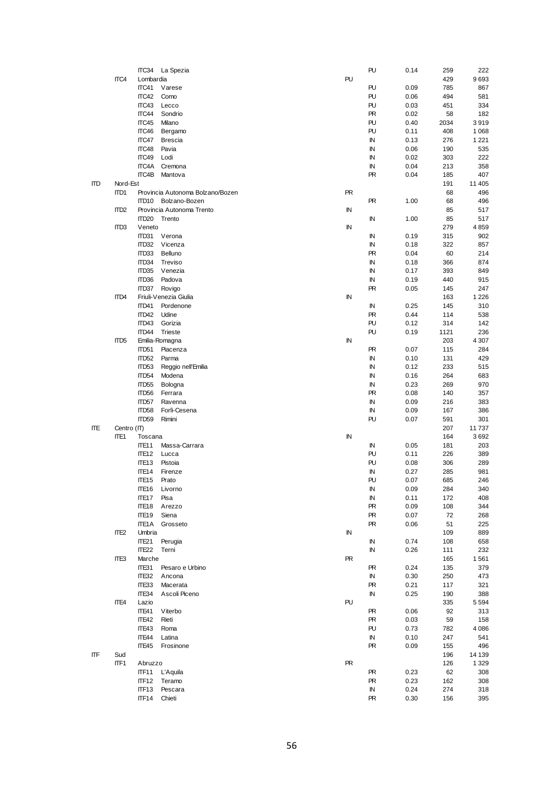|     |                  |                   | ITC34 La Spezia                  |           | PU         | 0.14 | 259  | 222     |
|-----|------------------|-------------------|----------------------------------|-----------|------------|------|------|---------|
|     | ITC4             | Lombardia         |                                  | PU        |            |      | 429  | 9693    |
|     |                  | ITC41             | Varese                           |           | PU         | 0.09 | 785  | 867     |
|     |                  |                   |                                  |           |            |      |      |         |
|     |                  | ITC42             | Como                             |           | PU         | 0.06 | 494  | 581     |
|     |                  | ITC43             | Lecco                            |           | PU         | 0.03 | 451  | 334     |
|     |                  | ITC44             | Sondrio                          |           | <b>PR</b>  | 0.02 | 58   | 182     |
|     |                  | ITC45             | Milano                           |           | PU         | 0.40 | 2034 | 3919    |
|     |                  | ITC46             | Bergamo                          |           | PU         | 0.11 | 408  | 1 0 6 8 |
|     |                  | ITC47             |                                  |           | IN         | 0.13 | 276  | 1 2 2 1 |
|     |                  |                   | <b>Brescia</b>                   |           |            |      |      |         |
|     |                  | ITC48             | Pavia                            |           | IN         | 0.06 | 190  | 535     |
|     |                  | ITC49             | Lodi                             |           | IN         | 0.02 | 303  | 222     |
|     |                  | ITC4A             | Cremona                          |           | ${\sf IN}$ | 0.04 | 213  | 358     |
|     |                  | ITC4B             | Mantova                          |           | <b>PR</b>  | 0.04 | 185  | 407     |
| ITD | Nord-Est         |                   |                                  |           |            |      | 191  | 11 405  |
|     |                  |                   |                                  |           |            |      |      |         |
|     | ITD1             |                   | Provincia Autonoma Bolzano/Bozen | <b>PR</b> |            |      | 68   | 496     |
|     |                  | ITD10             | Bolzano-Bozen                    |           | <b>PR</b>  | 1.00 | 68   | 496     |
|     | ITD <sub>2</sub> |                   | Provincia Autonoma Trento        | IN        |            |      | 85   | 517     |
|     |                  | ITD <sub>20</sub> | Trento                           |           | IN         | 1.00 | 85   | 517     |
|     | ITD <sub>3</sub> | Veneto            |                                  | IN        |            |      | 279  | 4859    |
|     |                  |                   |                                  |           |            |      |      |         |
|     |                  | ITD31             | Verona                           |           | IN         | 0.19 | 315  | 902     |
|     |                  | ITD32             | Vicenza                          |           | $\sf IN$   | 0.18 | 322  | 857     |
|     |                  | ITD33             | Belluno                          |           | <b>PR</b>  | 0.04 | 60   | 214     |
|     |                  | ITD34             | Treviso                          |           | IN         | 0.18 | 366  | 874     |
|     |                  | ITD35             |                                  |           |            |      |      |         |
|     |                  |                   | Venezia                          |           | IN         | 0.17 | 393  | 849     |
|     |                  | ITD36             | Padova                           |           | IN         | 0.19 | 440  | 915     |
|     |                  | ITD37             | Rovigo                           |           | PR         | 0.05 | 145  | 247     |
|     | ITD4             |                   | Friuli-Venezia Giulia            | IN        |            |      | 163  | 1 2 2 6 |
|     |                  | ITD41             | Pordenone                        |           | IN         | 0.25 | 145  | 310     |
|     |                  |                   |                                  |           |            |      |      |         |
|     |                  | ITD42             | Udine                            |           | <b>PR</b>  | 0.44 | 114  | 538     |
|     |                  | ITD43             | Gorizia                          |           | PU         | 0.12 | 314  | 142     |
|     |                  | ITD44             | <b>Trieste</b>                   |           | PU         | 0.19 | 1121 | 236     |
|     | ITD <sub>5</sub> |                   | Emilia-Romagna                   | IN        |            |      | 203  | 4 3 0 7 |
|     |                  | ITD51             |                                  |           |            |      | 115  |         |
|     |                  |                   | Piacenza                         |           | PR.        | 0.07 |      | 284     |
|     |                  | ITD52             | Parma                            |           | ${\sf IN}$ | 0.10 | 131  | 429     |
|     |                  | ITD53             | Reggio nell'Emilia               |           | $\sf IN$   | 0.12 | 233  | 515     |
|     |                  | ITD54             | Modena                           |           | IN         | 0.16 | 264  | 683     |
|     |                  | ITD55             | Bologna                          |           | IN         | 0.23 | 269  | 970     |
|     |                  |                   |                                  |           |            |      |      |         |
|     |                  | ITD <sub>56</sub> | Ferrara                          |           | PR.        | 0.08 | 140  | 357     |
|     |                  | ITD57             | Ravenna                          |           | IN         | 0.09 | 216  | 383     |
|     |                  | ITD58             | Forlì-Cesena                     |           | $\sf IN$   | 0.09 | 167  | 386     |
|     |                  | ITD59             | Rimini                           |           | PU         | 0.07 | 591  | 301     |
| IΤE | Centro (IT)      |                   |                                  |           |            |      | 207  | 11737   |
|     |                  |                   |                                  |           |            |      |      |         |
|     | ITE1             | Toscana           |                                  | IN        |            |      | 164  | 3692    |
|     |                  | ITE <sub>11</sub> | Massa-Carrara                    |           | IN         | 0.05 | 181  | 203     |
|     |                  | ITE <sub>12</sub> | Lucca                            |           | PU         | 0.11 | 226  | 389     |
|     |                  | ITE <sub>13</sub> | Pistoia                          |           | PU         | 0.08 | 306  | 289     |
|     |                  | ITE <sub>14</sub> | Firenze                          |           | IN         | 0.27 | 285  | 981     |
|     |                  |                   |                                  |           |            |      |      |         |
|     |                  | ITE <sub>15</sub> | Prato                            |           | PU         | 0.07 | 685  | 246     |
|     |                  | ITE <sub>16</sub> | Livorno                          |           | IN         | 0.09 | 284  | 340     |
|     |                  | ITE <sub>17</sub> | Pisa                             |           | ${\sf IN}$ | 0.11 | 172  | 408     |
|     |                  | ITE <sub>18</sub> | Arezzo                           |           | <b>PR</b>  | 0.09 | 108  | 344     |
|     |                  | ITE <sub>19</sub> | Siena                            |           | <b>PR</b>  | 0.07 | 72   | 268     |
|     |                  |                   |                                  |           |            |      |      |         |
|     |                  | ITE1A             | Grosseto                         |           | PR         | 0.06 | 51   | 225     |
|     | ITE <sub>2</sub> | Umbria            |                                  | IN        |            |      | 109  | 889     |
|     |                  | ITE <sub>21</sub> | Perugia                          |           | ${\sf IN}$ | 0.74 | 108  | 658     |
|     |                  | ITE <sub>22</sub> | Terni                            |           | IN         | 0.26 | 111  | 232     |
|     |                  | Marche            |                                  | <b>PR</b> |            |      |      |         |
|     | ITE <sub>3</sub> |                   |                                  |           |            |      | 165  | 1561    |
|     |                  | ITE31             | Pesaro e Urbino                  |           | PR.        | 0.24 | 135  | 379     |
|     |                  | ITE32             | Ancona                           |           | IN         | 0.30 | 250  | 473     |
|     |                  | ITE33             | Macerata                         |           | <b>PR</b>  | 0.21 | 117  | 321     |
|     |                  | ITE34             | Ascoli Piceno                    |           | IN         | 0.25 | 190  | 388     |
|     |                  |                   |                                  |           |            |      |      |         |
|     | ITE4             | Lazio             |                                  | PU        |            |      | 335  | 5594    |
|     |                  | ITE41             | Viterbo                          |           | <b>PR</b>  | 0.06 | 92   | 313     |
|     |                  | ITE42             | Rieti                            |           | PR.        | 0.03 | 59   | 158     |
|     |                  | ITE43             | Roma                             |           | PU         | 0.73 | 782  | 4086    |
|     |                  | ITE44             | Latina                           |           | ${\sf IN}$ | 0.10 | 247  | 541     |
|     |                  |                   |                                  |           |            |      |      |         |
|     |                  | ITE45             | Frosinone                        |           | <b>PR</b>  | 0.09 | 155  | 496     |
| ITF | Sud              |                   |                                  |           |            |      | 196  | 14 139  |
|     | ITF1             | Abruzzo           |                                  | PR        |            |      | 126  | 1 3 2 9 |
|     |                  | ITF <sub>11</sub> | L'Aquila                         |           | <b>PR</b>  | 0.23 | 62   | 308     |
|     |                  | ITF <sub>12</sub> | Teramo                           |           | PR.        | 0.23 | 162  | 308     |
|     |                  |                   |                                  |           |            |      |      |         |
|     |                  | ITF <sub>13</sub> | Pescara                          |           | IN         | 0.24 | 274  | 318     |
|     |                  | ITF14             | Chieti                           |           | PR.        | 0.30 | 156  | 395     |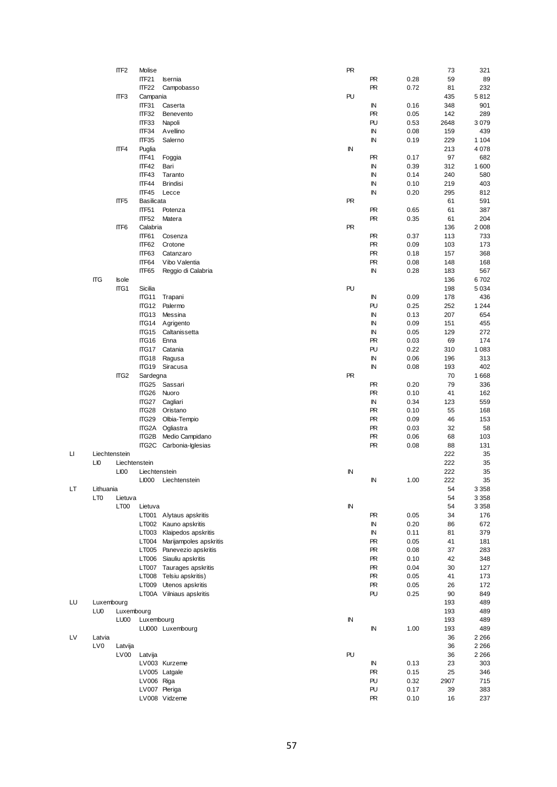|    |                 | ITF <sub>2</sub> | Molise            |                              | <b>PR</b> |            |      | 73   | 321     |
|----|-----------------|------------------|-------------------|------------------------------|-----------|------------|------|------|---------|
|    |                 |                  | ITF21             | Isernia                      |           | <b>PR</b>  | 0.28 | 59   | 89      |
|    |                 |                  | ITF <sub>22</sub> | Campobasso                   |           | <b>PR</b>  | 0.72 | 81   | 232     |
|    |                 | ITF3             | Campania          |                              | PU        |            |      | 435  | 5812    |
|    |                 |                  |                   |                              |           |            |      | 348  |         |
|    |                 |                  | ITF31             | Caserta                      |           | IN         | 0.16 |      | 901     |
|    |                 |                  | ITF32             | Benevento                    |           | <b>PR</b>  | 0.05 | 142  | 289     |
|    |                 |                  | ITF33             | Napoli                       |           | PU         | 0.53 | 2648 | 3079    |
|    |                 |                  | ITF34             | Avellino                     |           | IN         | 0.08 | 159  | 439     |
|    |                 |                  | ITF35             | Salerno                      |           | IN         | 0.19 | 229  | 1 1 0 4 |
|    |                 | ITF4             | Puglia            |                              | IN        |            |      | 213  | 4078    |
|    |                 |                  | ITF41             | Foggia                       |           | <b>PR</b>  | 0.17 | 97   | 682     |
|    |                 |                  | ITF42             | Bari                         |           | IN         | 0.39 | 312  | 1600    |
|    |                 |                  |                   |                              |           |            |      |      |         |
|    |                 |                  | ITF43             | Taranto                      |           | IN         | 0.14 | 240  | 580     |
|    |                 |                  | ITF44             | <b>Brindisi</b>              |           | IN         | 0.10 | 219  | 403     |
|    |                 |                  | ITF45             | Lecce                        |           | IN         | 0.20 | 295  | 812     |
|    |                 | ITF <sub>5</sub> | <b>Basilicata</b> |                              | <b>PR</b> |            |      | 61   | 591     |
|    |                 |                  | ITF51             | Potenza                      |           | <b>PR</b>  | 0.65 | 61   | 387     |
|    |                 |                  | ITF52             | Matera                       |           | <b>PR</b>  | 0.35 | 61   | 204     |
|    |                 | ITF <sub>6</sub> | Calabria          |                              | <b>PR</b> |            |      | 136  | 2008    |
|    |                 |                  | ITF61             | Cosenza                      |           | <b>PR</b>  | 0.37 | 113  | 733     |
|    |                 |                  |                   |                              |           |            |      |      |         |
|    |                 |                  | ITF62             | Crotone                      |           | <b>PR</b>  | 0.09 | 103  | 173     |
|    |                 |                  | ITF63             | Catanzaro                    |           | <b>PR</b>  | 0.18 | 157  | 368     |
|    |                 |                  | ITF64             | Vibo Valentia                |           | <b>PR</b>  | 0.08 | 148  | 168     |
|    |                 |                  | ITF65             | Reggio di Calabria           |           | IN         | 0.28 | 183  | 567     |
|    | <b>ITG</b>      | <b>Isole</b>     |                   |                              |           |            |      | 136  | 6702    |
|    |                 | ITG1             | Sicilia           |                              | PU        |            |      | 198  | 5034    |
|    |                 |                  | ITG11             | Trapani                      |           | IN         | 0.09 | 178  | 436     |
|    |                 |                  | ITG12             |                              |           | PU         |      |      |         |
|    |                 |                  |                   | Palermo                      |           |            | 0.25 | 252  | 1 2 4 4 |
|    |                 |                  | ITG <sub>13</sub> | Messina                      |           | IN         | 0.13 | 207  | 654     |
|    |                 |                  | ITG14             | Agrigento                    |           | IN         | 0.09 | 151  | 455     |
|    |                 |                  | ITG15             | Caltanissetta                |           | IN         | 0.05 | 129  | 272     |
|    |                 |                  | ITG16             | Enna                         |           | <b>PR</b>  | 0.03 | 69   | 174     |
|    |                 |                  | ITG17             | Catania                      |           | PU         | 0.22 | 310  | 1 0 8 3 |
|    |                 |                  | ITG18             | Ragusa                       |           | IN         | 0.06 | 196  | 313     |
|    |                 |                  | ITG19             | Siracusa                     |           | IN         | 0.08 | 193  | 402     |
|    |                 |                  |                   |                              |           |            |      |      |         |
|    |                 | ITG <sub>2</sub> | Sardegna          |                              | <b>PR</b> |            |      | 70   | 1668    |
|    |                 |                  | ITG25             | Sassari                      |           | <b>PR</b>  | 0.20 | 79   | 336     |
|    |                 |                  | ITG26             | Nuoro                        |           | <b>PR</b>  | 0.10 | 41   | 162     |
|    |                 |                  | ITG27             | Cagliari                     |           | $\sf IN$   | 0.34 | 123  | 559     |
|    |                 |                  | ITG28             | Oristano                     |           | <b>PR</b>  | 0.10 | 55   | 168     |
|    |                 |                  | ITG29             | Olbia-Tempio                 |           | PR         | 0.09 | 46   | 153     |
|    |                 |                  | ITG2A             | Ogliastra                    |           | <b>PR</b>  | 0.03 | 32   | 58      |
|    |                 |                  | ITG2B             |                              |           | PR         | 0.06 | 68   | 103     |
|    |                 |                  |                   | Medio Campidano              |           |            |      |      |         |
|    |                 |                  | ITG2C             | Carbonia-Iglesias            |           | <b>PR</b>  | 0.08 | 88   | 131     |
| LI | Liechtenstein   |                  |                   |                              |           |            |      | 222  | 35      |
|    | LI0             |                  | Liechtenstein     |                              |           |            |      | 222  | 35      |
|    |                 | LI00             | Liechtenstein     |                              | IN        |            |      | 222  | 35      |
|    |                 |                  | LI000             | Liechtenstein                |           | IN         | 1.00 | 222  | 35      |
| LT | Lithuania       |                  |                   |                              |           |            |      | 54   | 3 3 5 8 |
|    | LT <sub>0</sub> | Lietuva          |                   |                              |           |            |      | 54   | 3 3 5 8 |
|    |                 |                  |                   |                              |           |            |      |      |         |
|    |                 | LT <sub>00</sub> | Lietuva           |                              | ΙN        |            |      | 54   | 3 3 5 8 |
|    |                 |                  |                   | LT001 Alytaus apskritis      |           | PR         | 0.05 | 34   | 176     |
|    |                 |                  | LT002             | Kauno apskritis              |           | IN         | 0.20 | 86   | 672     |
|    |                 |                  | LT003             | Klaipedos apskritis          |           | IN         | 0.11 | 81   | 379     |
|    |                 |                  |                   | LT004 Marijampoles apskritis |           | <b>PR</b>  | 0.05 | 41   | 181     |
|    |                 |                  | LT005             | Panevezio apskritis          |           | <b>PR</b>  | 0.08 | 37   | 283     |
|    |                 |                  |                   | LT006 Siauliu apskritis      |           | <b>PR</b>  | 0.10 | 42   | 348     |
|    |                 |                  |                   | LT007 Taurages apskritis     |           | <b>PR</b>  | 0.04 | 30   | 127     |
|    |                 |                  | <b>LT008</b>      | Telsiu apskritis)            |           |            |      |      |         |
|    |                 |                  |                   |                              |           | <b>PR</b>  | 0.05 | 41   | 173     |
|    |                 |                  | LT009             | Utenos apskritis             |           | <b>PR</b>  | 0.05 | 26   | 172     |
|    |                 |                  |                   | LT00A Vilniaus apskritis     |           | PU         | 0.25 | 90   | 849     |
| LU | Luxembourg      |                  |                   |                              |           |            |      | 193  | 489     |
|    | LU0             | Luxembourg       |                   |                              |           |            |      | 193  | 489     |
|    |                 | LU00             | Luxembourg        |                              | ΙN        |            |      | 193  | 489     |
|    |                 |                  |                   | LU000 Luxembourg             |           | ${\sf IN}$ | 1.00 | 193  | 489     |
| LV |                 |                  |                   |                              |           |            |      | 36   | 2 2 6 6 |
|    | Latvia          |                  |                   |                              |           |            |      |      |         |
|    | LV0             | Latvija          |                   |                              |           |            |      | 36   | 2 2 6 6 |
|    |                 | LV <sub>00</sub> | Latvija           |                              | PU        |            |      | 36   | 2 2 6 6 |
|    |                 |                  |                   | LV003 Kurzeme                |           | IN         | 0.13 | 23   | 303     |
|    |                 |                  |                   | LV005 Latgale                |           | <b>PR</b>  | 0.15 | 25   | 346     |
|    |                 |                  | LV006 Riga        |                              |           | PU         | 0.32 | 2907 | 715     |
|    |                 |                  |                   | LV007 Pieriga                |           | PU         | 0.17 | 39   | 383     |
|    |                 |                  |                   | LV008 Vidzeme                |           | PR         | 0.10 | 16   | 237     |
|    |                 |                  |                   |                              |           |            |      |      |         |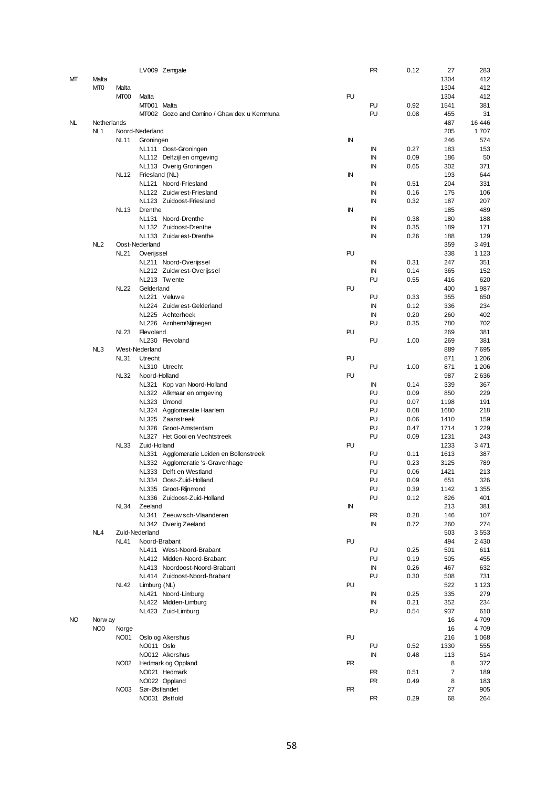|     |                 |                  |                 | LV009 Zemgale                              |           | PR  | 0.12 | 27             | 283     |
|-----|-----------------|------------------|-----------------|--------------------------------------------|-----------|-----|------|----------------|---------|
| МТ  | Malta           |                  |                 |                                            |           |     |      | 1304           | 412     |
|     | MT <sub>0</sub> | Malta            |                 |                                            |           |     |      | 1304           | 412     |
|     |                 |                  |                 |                                            |           |     |      |                |         |
|     |                 | MT <sub>00</sub> | Malta           |                                            | PU        |     |      | 1304           | 412     |
|     |                 |                  | MT001 Malta     |                                            |           | PU  | 0.92 | 1541           | 381     |
|     |                 |                  |                 | MT002 Gozo and Comino / Ghaw dex u Kemmuna |           | PU  | 0.08 | 455            | 31      |
| NL  | Netherlands     |                  |                 |                                            |           |     |      | 487            | 16 44 6 |
|     | NL <sub>1</sub> |                  | Noord-Nederland |                                            |           |     |      | 205            | 1707    |
|     |                 | NL11             | Groningen       |                                            | IN        |     |      | 246            | 574     |
|     |                 |                  |                 | NL111 Oost-Groningen                       |           | IN  | 0.27 | 183            | 153     |
|     |                 |                  |                 |                                            |           | IN  | 0.09 | 186            | 50      |
|     |                 |                  |                 | NL112 Delfzijl en omgeving                 |           |     |      |                |         |
|     |                 |                  |                 | NL113 Overig Groningen                     |           | IN  | 0.65 | 302            | 371     |
|     |                 | <b>NL12</b>      | Friesland (NL)  |                                            | IN        |     |      | 193            | 644     |
|     |                 |                  |                 | NL121 Noord-Friesland                      |           | IN  | 0.51 | 204            | 331     |
|     |                 |                  |                 | NL122 Zuidw est-Friesland                  |           | IN  | 0.16 | 175            | 106     |
|     |                 |                  |                 | NL123 Zuidoost-Friesland                   |           | IN  | 0.32 | 187            | 207     |
|     |                 | <b>NL13</b>      | Drenthe         |                                            | IN        |     |      | 185            | 489     |
|     |                 |                  |                 | NL131 Noord-Drenthe                        |           |     | 0.38 | 180            | 188     |
|     |                 |                  |                 |                                            |           | ΙN  |      |                |         |
|     |                 |                  |                 | NL132 Zuidoost-Drenthe                     |           | IN  | 0.35 | 189            | 171     |
|     |                 |                  |                 | NL133 Zuidw est-Drenthe                    |           | IN  | 0.26 | 188            | 129     |
|     | NL <sub>2</sub> |                  | Oost-Nederland  |                                            |           |     |      | 359            | 3 4 9 1 |
|     |                 | <b>NL21</b>      | Overijssel      |                                            | PU        |     |      | 338            | 1 1 2 3 |
|     |                 |                  |                 | NL211 Noord-Overijssel                     |           | IN  | 0.31 | 247            | 351     |
|     |                 |                  |                 | NL212 Zuidw est-Overijssel                 |           | IN  | 0.14 | 365            | 152     |
|     |                 |                  |                 | NL213 Twente                               |           | PU  | 0.55 | 416            | 620     |
|     |                 |                  |                 |                                            |           |     |      |                |         |
|     |                 | <b>NL22</b>      | Gelderland      |                                            | PU        |     |      | 400            | 1987    |
|     |                 |                  |                 | NL221 Veluwe                               |           | PU  | 0.33 | 355            | 650     |
|     |                 |                  |                 | NL224 Zuidw est-Gelderland                 |           | IN  | 0.12 | 336            | 234     |
|     |                 |                  |                 | NL225 Achterhoek                           |           | IN  | 0.20 | 260            | 402     |
|     |                 |                  |                 | NL226 Arnhem/Nijmegen                      |           | PU  | 0.35 | 780            | 702     |
|     |                 | <b>NL23</b>      | Flevoland       |                                            | PU        |     |      | 269            | 381     |
|     |                 |                  |                 | NL230 Flevoland                            |           | PU  | 1.00 | 269            | 381     |
|     |                 |                  |                 |                                            |           |     |      |                |         |
|     | NL3             |                  | West-Nederland  |                                            |           |     |      | 889            | 7695    |
|     |                 | NL31             | Utrecht         |                                            | PU        |     |      | 871            | 1 206   |
|     |                 |                  |                 | NL310 Utrecht                              |           | PU  | 1.00 | 871            | 1 206   |
|     |                 | <b>NL32</b>      | Noord-Holland   |                                            | PU        |     |      | 987            | 2636    |
|     |                 |                  |                 | NL321 Kop van Noord-Holland                |           | ΙN  | 0.14 | 339            | 367     |
|     |                 |                  |                 | NL322 Alkmaar en omgeving                  |           | PU  | 0.09 | 850            | 229     |
|     |                 |                  |                 | NL323 Umond                                |           | PU  | 0.07 | 1198           | 191     |
|     |                 |                  |                 |                                            |           |     |      |                |         |
|     |                 |                  |                 | NL324 Agglomeratie Haarlem                 |           | PU  | 0.08 | 1680           | 218     |
|     |                 |                  |                 | NL325 Zaanstreek                           |           | PU  | 0.06 | 1410           | 159     |
|     |                 |                  |                 | NL326 Groot-Amsterdam                      |           | PU  | 0.47 | 1714           | 1 2 2 9 |
|     |                 |                  |                 | NL327 Het Gooi en Vechtstreek              |           | PU  | 0.09 | 1231           | 243     |
|     |                 | NL33             | Zuid-Holland    |                                            | PU        |     |      | 1233           | 3471    |
|     |                 |                  |                 | NL331 Agglomeratie Leiden en Bollenstreek  |           | PU  | 0.11 | 1613           | 387     |
|     |                 |                  |                 |                                            |           |     |      |                |         |
|     |                 |                  |                 | NL332 Agglomeratie 's-Gravenhage           |           | PU  | 0.23 | 3125           | 789     |
|     |                 |                  |                 | NL333 Delft en Westland                    |           | PU  | 0.06 | 1421           | 213     |
|     |                 |                  |                 | NL334 Oost-Zuid-Holland                    |           | PU  | 0.09 | 651            | 326     |
|     |                 |                  |                 | NL335 Groot-Rijnmond                       |           | PU  | 0.39 | 1142           | 1 3 5 5 |
|     |                 |                  |                 | NL336 Zuidoost-Zuid-Holland                |           | PU  | 0.12 | 826            | 401     |
|     |                 | NL34             | Zeeland         |                                            | IN        |     |      | 213            | 381     |
|     |                 |                  |                 | NL341 Zeeuw sch-Vlaanderen                 |           | PR  | 0.28 | 146            | 107     |
|     |                 |                  |                 | NL342 Overig Zeeland                       |           | IN  | 0.72 | 260            | 274     |
|     |                 |                  |                 |                                            |           |     |      |                |         |
|     | NL4             |                  | Zuid-Nederland  |                                            |           |     |      | 503            | 3553    |
|     |                 | <b>NL41</b>      |                 | Noord-Brabant                              | PU        |     |      | 494            | 2 4 3 0 |
|     |                 |                  |                 | NL411 West-Noord-Brabant                   |           | PU  | 0.25 | 501            | 611     |
|     |                 |                  |                 | NL412 Midden-Noord-Brabant                 |           | PU  | 0.19 | 505            | 455     |
|     |                 |                  |                 | NL413 Noordoost-Noord-Brabant              |           | IN  | 0.26 | 467            | 632     |
|     |                 |                  |                 | NL414 Zuidoost-Noord-Brabant               |           | PU  | 0.30 | 508            | 731     |
|     |                 | NL42             | Limburg (NL)    |                                            | PU        |     |      | 522            | 1 1 2 3 |
|     |                 |                  |                 |                                            |           |     |      |                |         |
|     |                 |                  |                 | NL421 Noord-Limburg                        |           | IN  | 0.25 | 335            | 279     |
|     |                 |                  |                 | NL422 Midden-Limburg                       |           | IN  | 0.21 | 352            | 234     |
|     |                 |                  |                 | NL423 Zuid-Limburg                         |           | PU  | 0.54 | 937            | 610     |
| NO. | Norw ay         |                  |                 |                                            |           |     |      | 16             | 4709    |
|     | NO <sub>0</sub> | Norge            |                 |                                            |           |     |      | 16             | 4709    |
|     |                 | NO01             |                 | Oslo og Akershus                           | PU        |     |      | 216            | 1 0 6 8 |
|     |                 |                  | NO011 Oslo      |                                            |           | PU  | 0.52 | 1330           | 555     |
|     |                 |                  |                 |                                            |           |     |      |                |         |
|     |                 |                  |                 | NO012 Akershus                             |           | IN  | 0.48 | 113            | 514     |
|     |                 | NO02             |                 | Hedmark og Oppland                         | <b>PR</b> |     |      | 8              | 372     |
|     |                 |                  |                 | NO021 Hedmark                              |           | PR  | 0.51 | $\overline{7}$ | 189     |
|     |                 |                  |                 | NO022 Oppland                              |           | PR. | 0.49 | 8              | 183     |
|     |                 | NO03             | Sør-Østlandet   |                                            | <b>PR</b> |     |      | 27             | 905     |
|     |                 |                  |                 | NO031 Østfold                              |           | PR  | 0.29 | 68             | 264     |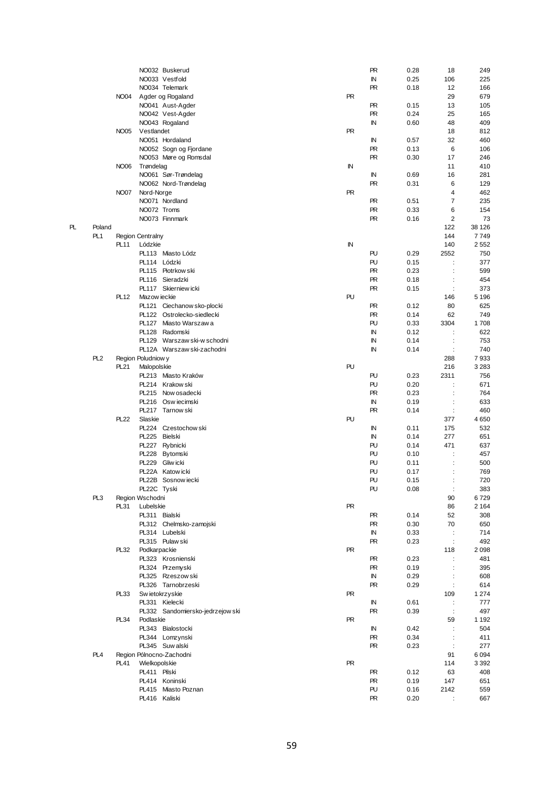|    |                 |                  |                         | NO032 Buskerud                   |           | <b>PR</b> | 0.28 | 18                   | 249     |
|----|-----------------|------------------|-------------------------|----------------------------------|-----------|-----------|------|----------------------|---------|
|    |                 |                  |                         | NO033 Vestfold                   |           | ΙN        | 0.25 | 106                  | 225     |
|    |                 |                  |                         | NO034 Telemark                   |           | <b>PR</b> | 0.18 | 12                   | 166     |
|    |                 |                  |                         |                                  |           |           |      |                      |         |
|    |                 | <b>NO04</b>      |                         | Agder og Rogaland                | <b>PR</b> |           |      | 29                   | 679     |
|    |                 |                  |                         | NO041 Aust-Agder                 |           | <b>PR</b> | 0.15 | 13                   | 105     |
|    |                 |                  |                         | NO042 Vest-Agder                 |           | <b>PR</b> | 0.24 | 25                   | 165     |
|    |                 |                  |                         | NO043 Rogaland                   |           | IN        | 0.60 | 48                   | 409     |
|    |                 | <b>NO05</b>      | Vestlandet              |                                  | <b>PR</b> |           |      | 18                   | 812     |
|    |                 |                  |                         |                                  |           |           |      |                      |         |
|    |                 |                  |                         | NO051 Hordaland                  |           | IN        | 0.57 | 32                   | 460     |
|    |                 |                  |                         | NO052 Sogn og Fjordane           |           | <b>PR</b> | 0.13 | 6                    | 106     |
|    |                 |                  |                         | NO053 Møre og Romsdal            |           | <b>PR</b> | 0.30 | 17                   | 246     |
|    |                 | NO06             | Trøndelag               |                                  | IN        |           |      | 11                   | 410     |
|    |                 |                  |                         |                                  |           | IN        | 0.69 | 16                   | 281     |
|    |                 |                  |                         | NO061 Sør-Trøndelag              |           |           |      |                      |         |
|    |                 |                  |                         | NO062 Nord-Trøndelag             |           | <b>PR</b> | 0.31 | 6                    | 129     |
|    |                 | <b>NO07</b>      | Nord-Norge              |                                  | <b>PR</b> |           |      | 4                    | 462     |
|    |                 |                  |                         | NO071 Nordland                   |           | <b>PR</b> | 0.51 | 7                    | 235     |
|    |                 |                  | NO072 Troms             |                                  |           | <b>PR</b> | 0.33 | 6                    | 154     |
|    |                 |                  |                         |                                  |           |           |      |                      |         |
|    |                 |                  |                         | NO073 Finnmark                   |           | <b>PR</b> | 0.16 | $\overline{2}$       | 73      |
| PL | Poland          |                  |                         |                                  |           |           |      | 122                  | 38 126  |
|    | PL <sub>1</sub> |                  | <b>Region Centralny</b> |                                  |           |           |      | 144                  | 7749    |
|    |                 | PL <sub>11</sub> | Lódzkie                 |                                  | IN        |           |      | 140                  | 2552    |
|    |                 |                  |                         | PL113 Miasto Lódz                |           | PU        | 0.29 | 2552                 | 750     |
|    |                 |                  |                         |                                  |           |           |      |                      |         |
|    |                 |                  |                         | PL114 Lódzki                     |           | PU        | 0.15 | $\ddot{\cdot}$       | 377     |
|    |                 |                  |                         | PL115 Piotrkow ski               |           | <b>PR</b> | 0.23 | $\ddot{\cdot}$       | 599     |
|    |                 |                  |                         | PL116 Sieradzki                  |           | <b>PR</b> | 0.18 | $\ddot{\cdot}$       | 454     |
|    |                 |                  |                         | PL117 Skierniew icki             |           | <b>PR</b> | 0.15 | ÷                    | 373     |
|    |                 |                  |                         |                                  |           |           |      |                      |         |
|    |                 | PL <sub>12</sub> | Mazow ieckie            |                                  | PU        |           |      | 146                  | 5 1 9 6 |
|    |                 |                  |                         | PL121 Ciechanow sko-plocki       |           | <b>PR</b> | 0.12 | 80                   | 625     |
|    |                 |                  |                         | PL122 Ostrolecko-siedlecki       |           | <b>PR</b> | 0.14 | 62                   | 749     |
|    |                 |                  |                         | PL127 Miasto Warszawa            |           | PU        | 0.33 | 3304                 | 1708    |
|    |                 |                  |                         |                                  |           |           |      |                      |         |
|    |                 |                  |                         | PL128 Radomski                   |           | ΙN        | 0.12 | $\ddot{\cdot}$       | 622     |
|    |                 |                  |                         | PL129 Warszaw ski-w schodni      |           | ΙN        | 0.14 | $\ddot{\cdot}$       | 753     |
|    |                 |                  |                         | PL12A Warszaw ski-zachodni       |           | ΙN        | 0.14 |                      | 740     |
|    | PL <sub>2</sub> |                  | Region Poludniow y      |                                  |           |           |      | 288                  | 7933    |
|    |                 |                  |                         |                                  | PU        |           |      |                      |         |
|    |                 | PL21             | Malopolskie             |                                  |           |           |      | 216                  | 3 2 8 3 |
|    |                 |                  |                         | PL213 Miasto Kraków              |           | PU        | 0.23 | 2311                 | 756     |
|    |                 |                  |                         | PL214 Krakow ski                 |           | PU        | 0.20 |                      | 671     |
|    |                 |                  |                         | PL215 Now osadecki               |           | <b>PR</b> | 0.23 | $\ddot{\phantom{a}}$ | 764     |
|    |                 |                  |                         | PL216 Oswiecimski                |           | IN        | 0.19 | $\ddot{\cdot}$       | 633     |
|    |                 |                  |                         |                                  |           |           |      |                      |         |
|    |                 |                  |                         | PL217 Tarnow ski                 |           | <b>PR</b> | 0.14 | $\ddot{\cdot}$       | 460     |
|    |                 | PL22             | Slaskie                 |                                  | PU        |           |      | 377                  | 4650    |
|    |                 |                  |                         | PL224 Czestochow ski             |           | IN        | 0.11 | 175                  | 532     |
|    |                 |                  | PL225 Bielski           |                                  |           | IN        | 0.14 | 277                  | 651     |
|    |                 |                  |                         |                                  |           | PU        |      | 471                  |         |
|    |                 |                  |                         | PL227 Rybnicki                   |           |           | 0.14 |                      | 637     |
|    |                 |                  | <b>PL228</b>            | Bytomski                         |           | PU        | 0.10 | ÷                    | 457     |
|    |                 |                  | PL229                   | Gliw icki                        |           | PU        | 0.11 |                      | 500     |
|    |                 |                  |                         | PL22A Katow icki                 |           | PU        | 0.17 |                      | 769     |
|    |                 |                  |                         | PL22B Sosnow iecki               |           | PU        | 0.15 |                      | 720     |
|    |                 |                  |                         |                                  |           |           |      |                      |         |
|    |                 |                  | PL22C Tyski             |                                  |           | PU        | 0.08 | $\ddot{\cdot}$       | 383     |
|    | PL <sub>3</sub> |                  | Region Wschodni         |                                  |           |           |      | 90                   | 6729    |
|    |                 | PL31             | Lubelskie               |                                  | PR        |           |      | 86                   | 2 1 6 4 |
|    |                 |                  |                         | PL311 Bialski                    |           | <b>PR</b> | 0.14 | 52                   | 308     |
|    |                 |                  |                         | PL312 Chelmsko-zamojski          |           | <b>PR</b> | 0.30 | 70                   | 650     |
|    |                 |                  |                         |                                  |           |           |      |                      |         |
|    |                 |                  |                         | PL314 Lubelski                   |           | IN        | 0.33 | $\ddot{\cdot}$       | 714     |
|    |                 |                  |                         | PL315 Pulaw ski                  |           | <b>PR</b> | 0.23 | ÷                    | 492     |
|    |                 | PL32             | Podkarpackie            |                                  | <b>PR</b> |           |      | 118                  | 2098    |
|    |                 |                  |                         | PL323 Krosnienski                |           | <b>PR</b> | 0.23 | $\ddot{\cdot}$       | 481     |
|    |                 |                  |                         | PL324 Przemyski                  |           | <b>PR</b> | 0.19 | $\ddot{\cdot}$       | 395     |
|    |                 |                  |                         |                                  |           |           |      |                      |         |
|    |                 |                  |                         | PL325 Rzeszow ski                |           | IN        | 0.29 | $\ddot{\cdot}$       | 608     |
|    |                 |                  |                         | PL326 Tarnobrzeski               |           | <b>PR</b> | 0.29 | $\ddot{\cdot}$       | 614     |
|    |                 | PL33             |                         | Sw ietokrzyskie                  | <b>PR</b> |           |      | 109                  | 1 2 7 4 |
|    |                 |                  |                         | PL331 Kielecki                   |           | IN        | 0.61 | ÷                    | 777     |
|    |                 |                  |                         |                                  |           | <b>PR</b> |      | $\ddot{\cdot}$       | 497     |
|    |                 |                  |                         | PL332 Sandomiersko-jedrzejow ski |           |           | 0.39 |                      |         |
|    |                 | <b>PL34</b>      | Podlaskie               |                                  | <b>PR</b> |           |      | 59                   | 1 1 9 2 |
|    |                 |                  |                         | PL343 Bialostocki                |           | IN        | 0.42 | $\ddot{\phantom{a}}$ | 504     |
|    |                 |                  |                         | PL344 Lomzynski                  |           | <b>PR</b> | 0.34 | $\ddot{\cdot}$       | 411     |
|    |                 |                  |                         | PL345 Suw alski                  |           | <b>PR</b> | 0.23 | $\ddot{\cdot}$       | 277     |
|    |                 |                  |                         |                                  |           |           |      |                      |         |
|    | PL <sub>4</sub> |                  |                         | Region Pólnocno-Zachodni         |           |           |      | 91                   | 6094    |
|    |                 | PL41             | Wielkopolskie           |                                  | <b>PR</b> |           |      | 114                  | 3 3 9 2 |
|    |                 |                  | PL411 Pilski            |                                  |           | <b>PR</b> | 0.12 | 63                   | 408     |
|    |                 |                  |                         | PL414 Koninski                   |           | <b>PR</b> | 0.19 | 147                  | 651     |
|    |                 |                  |                         | PL415 Miasto Poznan              |           | PU        | 0.16 | 2142                 | 559     |
|    |                 |                  |                         |                                  |           |           |      |                      |         |
|    |                 |                  |                         | PL416 Kaliski                    |           | <b>PR</b> | 0.20 |                      | 667     |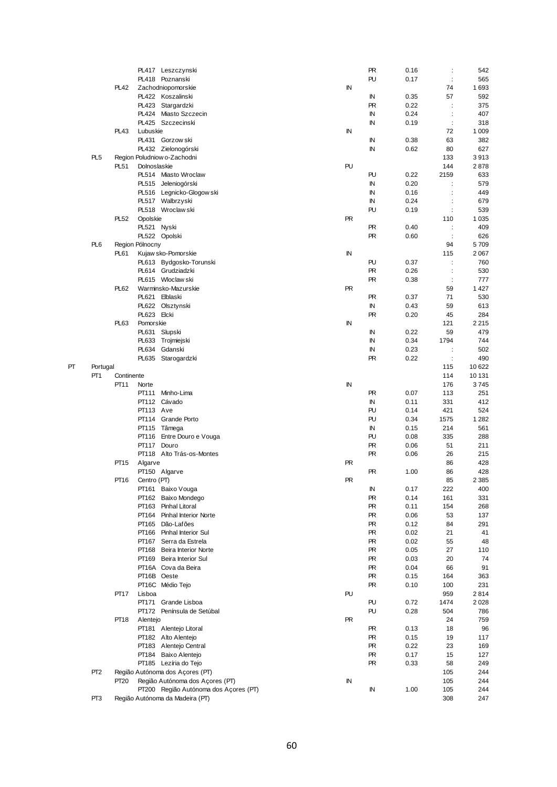|    |                 |             | PL417 Leszczynski                                                        |            | PR        | 0.16 | $\ddot{\phantom{a}}$ | 542            |
|----|-----------------|-------------|--------------------------------------------------------------------------|------------|-----------|------|----------------------|----------------|
|    |                 |             | PL418 Poznanski                                                          |            | PU        | 0.17 | ÷                    | 565            |
|    |                 | <b>PL42</b> | Zachodniopomorskie                                                       | IN         |           |      | 74                   | 1693           |
|    |                 |             | PL422 Koszalinski                                                        |            | ΙN        | 0.35 | 57                   | 592            |
|    |                 |             | PL423 Stargardzki                                                        |            | <b>PR</b> | 0.22 | ÷                    | 375            |
|    |                 |             | PL424 Miasto Szczecin                                                    |            | IN        | 0.24 | $\ddot{\phantom{a}}$ | 407            |
|    |                 |             | PL425 Szczecinski                                                        |            | IN        | 0.19 | ÷                    | 318            |
|    |                 | PL43        | Lubuskie                                                                 | IN         |           |      | 72                   | 1 0 0 9        |
|    |                 |             | PL431 Gorzow ski                                                         |            | ΙN        | 0.38 | 63                   | 382            |
|    |                 |             | PL432 Zielonogórski                                                      |            | IN        | 0.62 | 80                   | 627            |
|    | PL <sub>5</sub> |             | Region Poludniow o-Zachodni                                              |            |           |      | 133                  | 3913           |
|    |                 | PL51        | Dolnoslaskie                                                             | PU         |           |      | 144                  | 2878           |
|    |                 |             | PL514 Miasto Wroclaw                                                     |            | PU        | 0.22 | 2159                 | 633            |
|    |                 |             | PL515 Jeleniogórski                                                      |            | IN        | 0.20 | ÷                    | 579            |
|    |                 |             | PL516 Legnicko-Glogow ski                                                |            | IN        | 0.16 | ÷                    | 449            |
|    |                 |             | PL517 Walbrzyski                                                         |            | ΙN        | 0.24 |                      | 679            |
|    |                 |             | PL518 Wroclaw ski                                                        |            | PU        | 0.19 | $\ddot{\cdot}$       | 539            |
|    |                 | PL52        | Opolskie                                                                 | <b>PR</b>  |           |      | 110                  | 1 0 3 5        |
|    |                 |             | PL521 Nyski                                                              |            | PR        | 0.40 |                      | 409            |
|    |                 |             | PL522 Opolski                                                            |            | PR        | 0.60 |                      | 626            |
|    | PL <sub>6</sub> |             | Region Pólnocny                                                          |            |           |      | 94                   | 5709           |
|    |                 | PL61        | Kujaw sko-Pomorskie                                                      | IN         |           |      | 115                  | 2067           |
|    |                 |             | PL613 Bydgosko-Torunski                                                  |            | PU        | 0.37 |                      | 760            |
|    |                 |             | PL614 Grudziadzki                                                        |            | PR        | 0.26 |                      | 530            |
|    |                 |             | PL615 Wloclaw ski                                                        |            | <b>PR</b> | 0.38 |                      | 777            |
|    |                 | PL62        | Warminsko-Mazurskie                                                      | <b>PR</b>  |           |      | 59                   | 1 4 2 7        |
|    |                 |             | PL621 Elblaski                                                           |            | PR.       | 0.37 | 71                   | 530            |
|    |                 |             | PL622 Olsztynski                                                         |            | IN        | 0.43 | 59                   | 613            |
|    |                 |             | PL623 Elcki                                                              |            | PR.       | 0.20 | 45                   | 284            |
|    |                 | PL63        | Pomorskie                                                                | IN         | ΙN        | 0.22 | 121<br>59            | 2 2 1 5<br>479 |
|    |                 |             | PL631 Slupski<br>PL633 Trojmiejski                                       |            | IN        | 0.34 | 1794                 | 744            |
|    |                 |             | <b>PL634</b><br>Gdanski                                                  |            | ΙN        | 0.23 | $\ddot{\cdot}$       | 502            |
|    |                 |             | PL635 Starogardzki                                                       |            | PR        | 0.22 |                      | 490            |
| PТ | Portugal        |             |                                                                          |            |           |      | 115                  | 10 622         |
|    | PT <sub>1</sub> | Continente  |                                                                          |            |           |      | 114                  | 10 131         |
|    |                 | PT11        | Norte                                                                    | IN         |           |      | 176                  | 3745           |
|    |                 |             | PT111<br>Minho-Lima                                                      |            | PR.       | 0.07 | 113                  | 251            |
|    |                 |             |                                                                          |            |           |      |                      |                |
|    |                 |             |                                                                          |            |           |      |                      |                |
|    |                 |             | PT112 Cávado                                                             |            | ΙN        | 0.11 | 331                  | 412            |
|    |                 |             | PT113 Ave                                                                |            | PU        | 0.14 | 421                  | 524            |
|    |                 |             | PT114 Grande Porto                                                       |            | PU        | 0.34 | 1575                 | 1 2 8 2        |
|    |                 |             | PT115 Tâmega                                                             |            | IN        | 0.15 | 214                  | 561            |
|    |                 |             | PT116 Entre Douro e Vouga                                                |            | PU        | 0.08 | 335                  | 288            |
|    |                 |             | PT117<br>Douro                                                           |            | PR        | 0.06 | 51                   | 211            |
|    |                 |             | PT118 Alto Trás-os-Montes                                                |            | PR        | 0.06 | 26                   | 215            |
|    |                 | PT15        | Algarve                                                                  | <b>PR</b>  | PR.       | 1.00 | 86<br>86             | 428<br>428     |
|    |                 | PT16        | PT150 Algarve                                                            | <b>PR</b>  |           |      | 85                   | 2 3 8 5        |
|    |                 |             | Centro (PT)<br>PT161 Baixo Vouga                                         |            | IN        | 0.17 | 222                  | 400            |
|    |                 |             | PT162<br>Baixo Mondego                                                   |            | PR        | 0.14 | 161                  | 331            |
|    |                 |             | PT163 Pinhal Litoral                                                     |            | PR        | 0.11 | 154                  | 268            |
|    |                 |             | PT164 Pinhal Interior Norte                                              |            | PR        | 0.06 | 53                   | 137            |
|    |                 |             | PT165 Dão-Lafões                                                         |            | PR        | 0.12 | 84                   | 291            |
|    |                 |             | PT166 Pinhal Interior Sul                                                |            | PR        | 0.02 | 21                   | 41             |
|    |                 |             | PT167 Serra da Estrela                                                   |            | PR        | 0.02 | 55                   | 48             |
|    |                 |             | PT168 Beira Interior Norte                                               |            | PR.       | 0.05 | 27                   | 110            |
|    |                 |             | PT169 Beira Interior Sul                                                 |            | PR        | 0.03 | 20                   | 74             |
|    |                 |             | PT16A Cova da Beira                                                      |            | PR        | 0.04 | 66                   | 91             |
|    |                 |             | PT16B Oeste                                                              |            | PR        | 0.15 | 164                  | 363            |
|    |                 |             | PT16C Médio Tejo                                                         |            | PR        | 0.10 | 100                  | 231            |
|    |                 | <b>PT17</b> | Lisboa                                                                   | PU         |           |      | 959                  | 2814           |
|    |                 |             | PT171 Grande Lisboa                                                      |            | PU        | 0.72 | 1474                 | 2028           |
|    |                 |             | PT172 Península de Setúbal                                               |            | PU        | 0.28 | 504                  | 786            |
|    |                 | PT18        | Alentejo                                                                 | <b>PR</b>  |           |      | 24                   | 759            |
|    |                 |             | PT181 Alentejo Litoral                                                   |            | PR        | 0.13 | 18                   | 96             |
|    |                 |             | PT182 Alto Alentejo                                                      |            | PR        | 0.15 | 19                   | 117            |
|    |                 |             | PT183 Alentejo Central                                                   |            | PR.       | 0.22 | 23                   | 169            |
|    |                 |             | PT184 Baixo Alentejo                                                     |            | PR        | 0.17 | 15                   | 127            |
|    |                 |             | PT185 Lezíria do Tejo                                                    |            | PR.       | 0.33 | 58                   | 249            |
|    | PT <sub>2</sub> |             | Região Autónoma dos Açores (PT)                                          |            |           |      | 105                  | 244            |
|    |                 | <b>PT20</b> | Região Autónoma dos Açores (PT)                                          | ${\sf IN}$ |           |      | 105                  | 244            |
|    | PT <sub>3</sub> |             | PT200 Região Autónoma dos Açores (PT)<br>Região Autónoma da Madeira (PT) |            | IN        | 1.00 | 105<br>308           | 244<br>247     |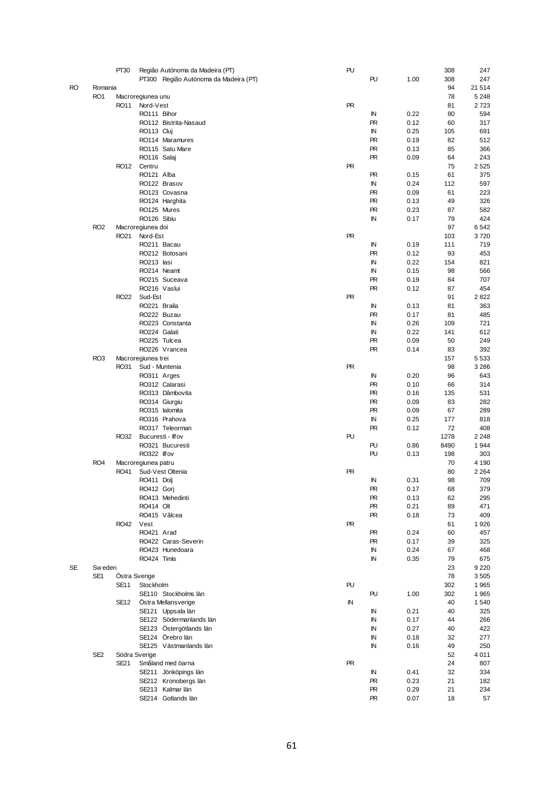|    |                 | PT <sub>30</sub> |                     | Região Autónoma da Madeira (PT)       | PU        |           |      | 308  | 247     |
|----|-----------------|------------------|---------------------|---------------------------------------|-----------|-----------|------|------|---------|
|    |                 |                  |                     | PT300 Região Autónoma da Madeira (PT) |           | PU        | 1.00 | 308  | 247     |
|    |                 |                  |                     |                                       |           |           |      |      |         |
| RO | Romania         |                  |                     |                                       |           |           |      | 94   | 21 514  |
|    | RO <sub>1</sub> |                  | Macroregiunea unu   |                                       |           |           |      | 78   | 5 2 4 8 |
|    |                 |                  |                     |                                       | <b>PR</b> |           |      |      |         |
|    |                 | <b>RO11</b>      | Nord-Vest           |                                       |           |           |      | 81   | 2723    |
|    |                 |                  | RO111 Bihor         |                                       |           | IN        | 0.22 | 80   | 594     |
|    |                 |                  |                     | RO112 Bistrita-Nasaud                 |           | PR        | 0.12 | 60   | 317     |
|    |                 |                  | RO113 Cluj          |                                       |           | IN        | 0.25 | 105  | 691     |
|    |                 |                  |                     |                                       |           |           |      |      |         |
|    |                 |                  |                     | RO114 Maramures                       |           | <b>PR</b> | 0.19 | 82   | 512     |
|    |                 |                  |                     | RO115 Satu Mare                       |           | <b>PR</b> | 0.13 | 85   | 366     |
|    |                 |                  | RO116 Salaj         |                                       |           | <b>PR</b> | 0.09 | 64   | 243     |
|    |                 |                  |                     |                                       |           |           |      |      |         |
|    |                 | RO12             | Centru              |                                       | <b>PR</b> |           |      | 75   | 2525    |
|    |                 |                  | RO121 Alba          |                                       |           | <b>PR</b> | 0.15 | 61   | 375     |
|    |                 |                  |                     | RO122 Brasov                          |           | IN        | 0.24 | 112  | 597     |
|    |                 |                  |                     |                                       |           |           |      |      |         |
|    |                 |                  |                     | RO123 Covasna                         |           | <b>PR</b> | 0.09 | 61   | 223     |
|    |                 |                  |                     | RO124 Harghita                        |           | <b>PR</b> | 0.13 | 49   | 326     |
|    |                 |                  | RO125 Mures         |                                       |           | <b>PR</b> | 0.23 | 87   | 582     |
|    |                 |                  |                     |                                       |           |           |      |      |         |
|    |                 |                  | RO126 Sibiu         |                                       |           | IN        | 0.17 | 79   | 424     |
|    | RO <sub>2</sub> |                  | Macroregiunea doi   |                                       |           |           |      | 97   | 6542    |
|    |                 | RO21             | Nord-Est            |                                       | <b>PR</b> |           |      | 103  | 3720    |
|    |                 |                  |                     |                                       |           |           |      |      |         |
|    |                 |                  |                     | RO211 Bacau                           |           | IN        | 0.19 | 111  | 719     |
|    |                 |                  |                     | RO212 Botosani                        |           | <b>PR</b> | 0.12 | 93   | 453     |
|    |                 |                  | RO213 lasi          |                                       |           | ΙN        | 0.22 | 154  | 821     |
|    |                 |                  |                     |                                       |           |           |      |      |         |
|    |                 |                  |                     | RO214 Neamt                           |           | ΙN        | 0.15 | 98   | 566     |
|    |                 |                  |                     | RO215 Suceava                         |           | <b>PR</b> | 0.19 | 84   | 707     |
|    |                 |                  |                     | RO216 Vaslui                          |           | <b>PR</b> | 0.12 | 87   | 454     |
|    |                 |                  |                     |                                       |           |           |      |      |         |
|    |                 | <b>RO22</b>      | Sud-Est             |                                       | <b>PR</b> |           |      | 91   | 2822    |
|    |                 |                  | RO221 Braila        |                                       |           | IN        | 0.13 | 81   | 363     |
|    |                 |                  |                     | RO222 Buzau                           |           | <b>PR</b> | 0.17 | 81   | 485     |
|    |                 |                  |                     |                                       |           |           |      |      |         |
|    |                 |                  |                     | RO223 Constanta                       |           | ΙN        | 0.26 | 109  | 721     |
|    |                 |                  | RO224 Galati        |                                       |           | IN        | 0.22 | 141  | 612     |
|    |                 |                  |                     | RO225 Tulcea                          |           | <b>PR</b> | 0.09 | 50   | 249     |
|    |                 |                  |                     |                                       |           |           |      |      |         |
|    |                 |                  |                     | RO226 Vrancea                         |           | <b>PR</b> | 0.14 | 83   | 392     |
|    | RO <sub>3</sub> |                  | Macroregiunea trei  |                                       |           |           |      | 157  | 5533    |
|    |                 | RO31             |                     | Sud - Muntenia                        | <b>PR</b> |           |      | 98   | 3 2 8 6 |
|    |                 |                  |                     |                                       |           |           |      |      |         |
|    |                 |                  | RO311 Arges         |                                       |           | IN        | 0.20 | 96   | 643     |
|    |                 |                  |                     | RO312 Calarasi                        |           | <b>PR</b> | 0.10 | 66   | 314     |
|    |                 |                  |                     | RO313 Dâmbovita                       |           | <b>PR</b> | 0.16 | 135  | 531     |
|    |                 |                  |                     |                                       |           |           |      |      |         |
|    |                 |                  |                     | RO314 Giurgiu                         |           | <b>PR</b> | 0.09 | 83   | 282     |
|    |                 |                  |                     | RO315 lalomita                        |           | <b>PR</b> | 0.09 | 67   | 289     |
|    |                 |                  |                     | RO316 Prahova                         |           | IN        | 0.25 | 177  | 818     |
|    |                 |                  |                     |                                       |           |           |      |      |         |
|    |                 |                  |                     | RO317 Teleorman                       |           | <b>PR</b> | 0.12 | 72   | 408     |
|    |                 | RO32             |                     | Bucuresti - Ilfov                     | PU        |           |      | 1278 | 2 2 4 8 |
|    |                 |                  |                     | RO321 Bucuresti                       |           | PU        | 0.86 | 8490 | 1944    |
|    |                 |                  |                     |                                       |           |           |      |      |         |
|    |                 |                  | RO322 Ilfov         |                                       |           | PU        | 0.13 | 198  | 303     |
|    | RO <sub>4</sub> |                  | Macroregiunea patru |                                       |           |           |      | 70   | 4 1 9 0 |
|    |                 | RO41             |                     | Sud-Vest Oltenia                      | <b>PR</b> |           |      | 80   | 2 2 6 4 |
|    |                 |                  |                     |                                       |           |           |      |      |         |
|    |                 |                  | RO411 Doli          |                                       |           | IN        | 0.31 | 98   | 709     |
|    |                 |                  | RO412 Gorj          |                                       |           | <b>PR</b> | 0.17 | 68   | 379     |
|    |                 |                  |                     | RO413 Mehedinti                       |           | <b>PR</b> | 0.13 | 62   | 295     |
|    |                 |                  | RO414 Olt           |                                       |           | <b>PR</b> |      |      |         |
|    |                 |                  |                     |                                       |           |           | 0.21 | 89   | 471     |
|    |                 |                  |                     | RO415 Vâlcea                          |           | <b>PR</b> | 0.18 | 73   | 409     |
|    |                 | RO42 Vest        |                     |                                       | <b>PR</b> |           |      | 61   | 1926    |
|    |                 |                  | RO421 Arad          |                                       |           | <b>PR</b> |      |      |         |
|    |                 |                  |                     |                                       |           |           | 0.24 | 60   | 457     |
|    |                 |                  |                     | RO422 Caras-Severin                   |           | <b>PR</b> | 0.17 | 39   | 325     |
|    |                 |                  |                     | RO423 Hunedoara                       |           | IN        | 0.24 | 67   | 468     |
|    |                 |                  | RO424 Timis         |                                       |           | IN        | 0.35 | 79   | 675     |
|    |                 |                  |                     |                                       |           |           |      |      |         |
| SE | Sw eden         |                  |                     |                                       |           |           |      | 23   | 9 2 2 0 |
|    | SE <sub>1</sub> |                  | Östra Sverige       |                                       |           |           |      | 78   | 3505    |
|    |                 | <b>SE11</b>      | Stockholm           |                                       | PU        |           |      | 302  | 1965    |
|    |                 |                  |                     |                                       |           |           |      |      |         |
|    |                 |                  |                     | SE110 Stockholms län                  |           | PU        | 1.00 | 302  | 1965    |
|    |                 | SE <sub>12</sub> |                     | Östra Mellansverige                   | IN        |           |      | 40   | 1540    |
|    |                 |                  |                     | SE121 Uppsala län                     |           | IN        | 0.21 | 40   | 325     |
|    |                 |                  |                     |                                       |           |           |      |      |         |
|    |                 |                  |                     | SE122 Södermanlands län               |           | ΙN        | 0.17 | 44   | 266     |
|    |                 |                  |                     | SE123 Östergötlands län               |           | ΙN        | 0.27 | 40   | 422     |
|    |                 |                  |                     | SE124 Örebro län                      |           | ΙN        | 0.18 |      |         |
|    |                 |                  |                     |                                       |           |           |      | 32   | 277     |
|    |                 |                  |                     | SE125 Västmanlands län                |           | IN        | 0.16 | 49   | 250     |
|    | SE <sub>2</sub> |                  | Södra Sverige       |                                       |           |           |      | 52   | 4011    |
|    |                 | <b>SE21</b>      |                     | Småland med öarna                     | <b>PR</b> |           |      | 24   | 807     |
|    |                 |                  |                     |                                       |           |           |      |      |         |
|    |                 |                  |                     | SE211 Jönköpings län                  |           | IN        | 0.41 | 32   | 334     |
|    |                 |                  |                     | SE212 Kronobergs län                  |           | <b>PR</b> | 0.23 | 21   | 182     |
|    |                 |                  |                     | SE213 Kalmar län                      |           | <b>PR</b> | 0.29 | 21   | 234     |
|    |                 |                  |                     |                                       |           |           |      |      |         |
|    |                 |                  |                     | SE214 Gotlands län                    |           | <b>PR</b> | 0.07 | 18   | 57      |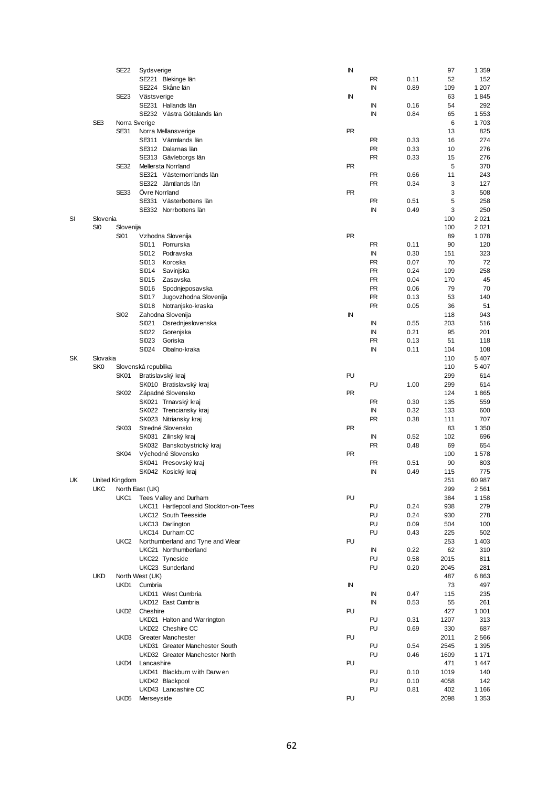|    |                 | <b>SE22</b>           | Sydsverige          |                                       | IN        |           |      | 97   | 1 3 5 9 |
|----|-----------------|-----------------------|---------------------|---------------------------------------|-----------|-----------|------|------|---------|
|    |                 |                       |                     | SE221 Blekinge län                    |           | <b>PR</b> | 0.11 | 52   | 152     |
|    |                 |                       |                     | SE224 Skåne län                       |           | ΙN        | 0.89 | 109  | 1 207   |
|    |                 | <b>SE23</b>           | Västsverige         |                                       | IN        |           |      | 63   | 1845    |
|    |                 |                       |                     |                                       |           |           |      |      |         |
|    |                 |                       |                     | SE231 Hallands län                    |           | ΙN        | 0.16 | 54   | 292     |
|    |                 |                       |                     | SE232 Västra Götalands län            |           | ΙN        | 0.84 | 65   | 1553    |
|    | SE3             |                       | Norra Sverige       |                                       |           |           |      | 6    | 1703    |
|    |                 | <b>SE31</b>           |                     | Norra Mellansverige                   | <b>PR</b> |           |      | 13   | 825     |
|    |                 |                       |                     | SE311 Värmlands län                   |           | <b>PR</b> | 0.33 | 16   | 274     |
|    |                 |                       |                     | SE312 Dalarnas län                    |           | <b>PR</b> | 0.33 | 10   | 276     |
|    |                 |                       |                     |                                       |           |           |      |      |         |
|    |                 |                       |                     | SE313 Gävleborgs län                  |           | <b>PR</b> | 0.33 | 15   | 276     |
|    |                 | <b>SE32</b>           |                     | <b>Mellersta Norrland</b>             | <b>PR</b> |           |      | 5    | 370     |
|    |                 |                       |                     | SE321 Västernorrlands län             |           | <b>PR</b> | 0.66 | 11   | 243     |
|    |                 |                       |                     | SE322 Jämtlands län                   |           | <b>PR</b> | 0.34 | 3    | 127     |
|    |                 | <b>SE33</b>           | Övre Norrland       |                                       | <b>PR</b> |           |      | 3    | 508     |
|    |                 |                       |                     | SE331 Västerbottens län               |           | <b>PR</b> | 0.51 | 5    | 258     |
|    |                 |                       |                     | SE332 Norrbottens län                 |           | ΙN        | 0.49 | 3    | 250     |
|    |                 |                       |                     |                                       |           |           |      |      |         |
| SI | Slovenia        |                       |                     |                                       |           |           |      | 100  | 2021    |
|    | SI <sub>0</sub> | Slovenija             |                     |                                       |           |           |      | 100  | 2021    |
|    |                 | <b>SI01</b>           |                     | Vzhodna Slovenija                     | <b>PR</b> |           |      | 89   | 1078    |
|    |                 |                       | SI011               | Pomurska                              |           | <b>PR</b> | 0.11 | 90   | 120     |
|    |                 |                       | SI012               | Podravska                             |           | ΙN        | 0.30 | 151  | 323     |
|    |                 |                       | SI013               | Koroska                               |           | <b>PR</b> | 0.07 | 70   | 72      |
|    |                 |                       |                     |                                       |           |           |      |      |         |
|    |                 |                       | SI014               | Savinjska                             |           | <b>PR</b> | 0.24 | 109  | 258     |
|    |                 |                       | SI015               | Zasavska                              |           | <b>PR</b> | 0.04 | 170  | 45      |
|    |                 |                       | SI016               | Spodnjeposavska                       |           | <b>PR</b> | 0.06 | 79   | 70      |
|    |                 |                       | <b>SI017</b>        | Jugovzhodna Slovenija                 |           | <b>PR</b> | 0.13 | 53   | 140     |
|    |                 |                       | <b>SI018</b>        | Notranjsko-kraska                     |           | <b>PR</b> | 0.05 | 36   | 51      |
|    |                 | <b>SI02</b>           |                     | Zahodna Slovenija                     | IN        |           |      | 118  | 943     |
|    |                 |                       |                     |                                       |           |           |      |      |         |
|    |                 |                       | SI021               | Osrednjeslovenska                     |           | IN        | 0.55 | 203  | 516     |
|    |                 |                       | <b>SI022</b>        | Gorenjska                             |           | ΙN        | 0.21 | 95   | 201     |
|    |                 |                       | <b>SI023</b>        | Goriska                               |           | PR        | 0.13 | 51   | 118     |
|    |                 |                       | SI024               | Obalno-kraka                          |           | ΙN        | 0.11 | 104  | 108     |
| SK | Slovakia        |                       |                     |                                       |           |           |      | 110  | 5 4 0 7 |
|    | SK <sub>0</sub> |                       | Slovenská republika |                                       |           |           |      | 110  | 5 4 0 7 |
|    |                 |                       |                     |                                       |           |           |      |      |         |
|    |                 | SK01                  | Bratislavský kraj   |                                       | PU        |           |      | 299  | 614     |
|    |                 |                       |                     | SK010 Bratislavský kraj               |           | PU        | 1.00 | 299  | 614     |
|    |                 | SK02                  |                     | Západné Slovensko                     | <b>PR</b> |           |      | 124  | 1865    |
|    |                 |                       |                     | SK021 Trnavský kraj                   |           | PR        | 0.30 | 135  | 559     |
|    |                 |                       |                     | SK022 Trenciansky kraj                |           | ΙN        | 0.32 | 133  | 600     |
|    |                 |                       |                     | SK023 Nitriansky kraj                 |           | <b>PR</b> | 0.38 | 111  | 707     |
|    |                 |                       |                     |                                       |           |           |      |      |         |
|    |                 | SK03                  |                     | Stredné Slovensko                     | <b>PR</b> |           |      | 83   | 1 3 5 0 |
|    |                 |                       |                     | SK031 Zilinský kraj                   |           | ΙN        | 0.52 | 102  | 696     |
|    |                 |                       |                     | SK032 Banskobystrický kraj            |           | <b>PR</b> | 0.48 | 69   | 654     |
|    |                 | SK04                  |                     | Východné Slovensko                    | <b>PR</b> |           |      | 100  | 1578    |
|    |                 |                       |                     | SK041 Presovský kraj                  |           | <b>PR</b> | 0.51 | 90   | 803     |
|    |                 |                       |                     | SK042 Kosický kraj                    |           | IN        | 0.49 | 115  | 775     |
|    |                 |                       |                     |                                       |           |           |      |      |         |
| UΚ |                 | <b>United Kingdom</b> |                     |                                       |           |           |      | 251  | 60 987  |
|    | <b>UKC</b>      |                       | North East (UK)     |                                       |           |           |      | 299  | 2561    |
|    |                 | UKC1                  |                     | Tees Valley and Durham                | PU        |           |      | 384  | 1 1 5 8 |
|    |                 |                       |                     | UKC11 Hartlepool and Stockton-on-Tees |           | PU        | 0.24 | 938  | 279     |
|    |                 |                       |                     | UKC12 South Teesside                  |           | PU        | 0.24 | 930  | 278     |
|    |                 |                       |                     | UKC13 Darlington                      |           | PU        | 0.09 | 504  | 100     |
|    |                 |                       |                     |                                       |           | PU        |      |      |         |
|    |                 |                       |                     | UKC14 Durham CC                       |           |           | 0.43 | 225  | 502     |
|    |                 | UKC2                  |                     | Northumberland and Tyne and Wear      | PU        |           |      | 253  | 1 4 0 3 |
|    |                 |                       |                     | UKC21 Northumberland                  |           | IN        | 0.22 | 62   | 310     |
|    |                 |                       |                     | UKC22 Tyneside                        |           | PU        | 0.58 | 2015 | 811     |
|    |                 |                       |                     | UKC23 Sunderland                      |           | PU        | 0.20 | 2045 | 281     |
|    | <b>UKD</b>      |                       | North West (UK)     |                                       |           |           |      | 487  | 6863    |
|    |                 |                       | Cumbria             |                                       |           |           |      |      |         |
|    |                 | UKD1                  |                     |                                       | IN        |           |      | 73   | 497     |
|    |                 |                       |                     | UKD11 West Cumbria                    |           | IN        | 0.47 | 115  | 235     |
|    |                 |                       |                     | UKD12 East Cumbria                    |           | IN        | 0.53 | 55   | 261     |
|    |                 |                       | UKD2 Cheshire       |                                       | PU        |           |      | 427  | 1 0 0 1 |
|    |                 |                       |                     | UKD21 Halton and Warrington           |           | PU        | 0.31 | 1207 | 313     |
|    |                 |                       |                     | UKD22 Cheshire CC                     |           | PU        | 0.69 | 330  | 687     |
|    |                 |                       |                     |                                       |           |           |      |      |         |
|    |                 | UKD3                  |                     | <b>Greater Manchester</b>             | PU        |           |      | 2011 | 2566    |
|    |                 |                       |                     | UKD31 Greater Manchester South        |           | PU        | 0.54 | 2545 | 1 3 9 5 |
|    |                 |                       |                     | UKD32 Greater Manchester North        |           | PU        | 0.46 | 1609 | 1 1 7 1 |
|    |                 | UKD4                  | Lancashire          |                                       | PU        |           |      | 471  | 1447    |
|    |                 |                       |                     | UKD41 Blackburn with Darw en          |           | PU        | 0.10 | 1019 | 140     |
|    |                 |                       |                     | UKD42 Blackpool                       |           | PU        | 0.10 | 4058 | 142     |
|    |                 |                       |                     |                                       |           |           |      |      |         |
|    |                 |                       |                     | UKD43 Lancashire CC                   |           | PU        | 0.81 | 402  | 1 1 6 6 |
|    |                 | UKD5                  | Merseyside          |                                       | PU        |           |      | 2098 | 1 3 5 3 |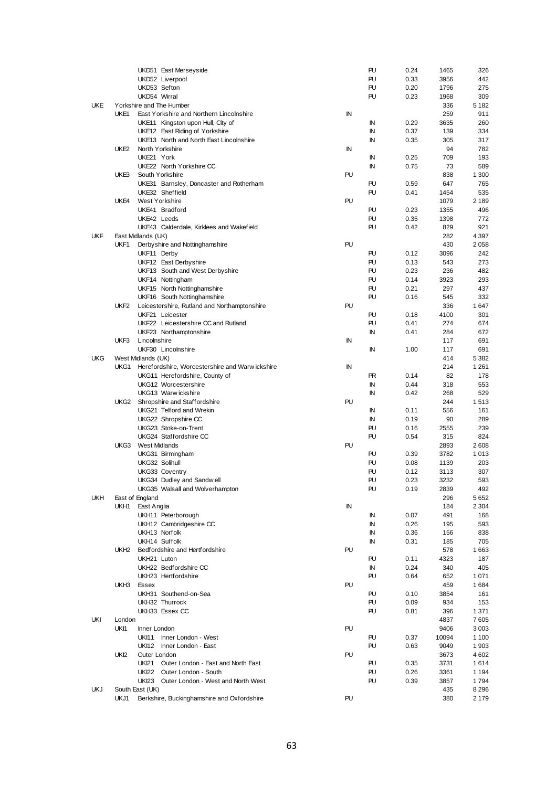|            |                  | UKD51 East Merseyside                                      |            | PU        | 0.24         | 1465         | 326           |
|------------|------------------|------------------------------------------------------------|------------|-----------|--------------|--------------|---------------|
|            |                  | UKD52 Liverpool                                            |            | PU        | 0.33         | 3956         | 442           |
|            |                  | UKD53 Sefton                                               |            | PU        | 0.20         | 1796         | 275           |
|            |                  | UKD54 Wirral                                               |            | PU        | 0.23         | 1968         | 309           |
| <b>UKE</b> |                  | Yorkshire and The Humber                                   |            |           |              | 336          | 5 1 8 2       |
|            | UKE1             | East Yorkshire and Northern Lincolnshire                   | IN         |           |              | 259          | 911           |
|            |                  | UKE11 Kingston upon Hull, City of                          |            | ΙN        | 0.29         | 3635         | 260           |
|            |                  | UKE12 East Riding of Yorkshire                             |            | IN        | 0.37         | 139          | 334           |
|            |                  | UKE13 North and North East Lincolnshire                    |            | ΙN        | 0.35         | 305          | 317           |
|            | UKE2             | North Yorkshire                                            | ΙN         |           |              | 94           | 782           |
|            |                  | UKE21 York                                                 |            | IN        | 0.25         | 709          | 193           |
|            |                  | UKE22 North Yorkshire CC                                   |            | IN        | 0.75         | 73           | 589           |
|            | UKE3             | South Yorkshire                                            | PU         |           |              | 838          | 1 300         |
|            |                  | UKE31 Barnsley, Doncaster and Rotherham<br>UKE32 Sheffield |            | PU<br>PU  | 0.59<br>0.41 | 647<br>1454  | 765<br>535    |
|            | UKE4             | West Yorkshire                                             | PU         |           |              | 1079         | 2 1 8 9       |
|            |                  | UKE41 Bradford                                             |            | PU        | 0.23         | 1355         | 496           |
|            |                  | UKE42 Leeds                                                |            | PU        | 0.35         | 1398         | 772           |
|            |                  | UKE43 Calderdale, Kirklees and Wakefield                   |            | PU        | 0.42         | 829          | 921           |
| <b>UKF</b> |                  | East Midlands (UK)                                         |            |           |              | 282          | 4 3 9 7       |
|            | UKF1             | Derbyshire and Nottinghamshire                             | PU         |           |              | 430          | 2058          |
|            |                  | UKF11 Derby                                                |            | PU        | 0.12         | 3096         | 242           |
|            |                  | UKF12 East Derbyshire                                      |            | PU        | 0.13         | 543          | 273           |
|            |                  | UKF13 South and West Derbyshire                            |            | PU        | 0.23         | 236          | 482           |
|            |                  | UKF14 Nottingham                                           |            | PU        | 0.14         | 3923         | 293           |
|            |                  | UKF15 North Nottinghamshire                                |            | PU        | 0.21         | 297          | 437           |
|            |                  | UKF16 South Nottinghamshire                                |            | PU        | 0.16         | 545          | 332           |
|            |                  | UKF2 Leicestershire, Rutland and Northamptonshire          | PU         |           |              | 336          | 1647          |
|            |                  | UKF21 Leicester                                            |            | PU        | 0.18         | 4100         | 301           |
|            |                  | UKF22 Leicestershire CC and Rutland                        |            | PU        | 0.41         | 274          | 674           |
|            |                  | UKF23 Northamptonshire                                     |            | IN        | 0.41         | 284          | 672           |
|            | UKF3             | Lincolnshire                                               | ΙN         |           |              | 117          | 691           |
|            |                  | UKF30 Lincolnshire                                         |            | IN        | 1.00         | 117          | 691           |
| <b>UKG</b> |                  | West Midlands (UK)                                         |            |           |              | 414          | 5 3 8 2       |
|            |                  | UKG1 Herefordshire, Worcestershire and Warw ickshire       | IN         |           |              | 214          | 1 2 6 1       |
|            |                  | UKG11 Herefordshire, County of                             |            | <b>PR</b> | 0.14         | 82           | 178           |
|            |                  | UKG12 Worcestershire                                       |            | IN        | 0.44         | 318          | 553           |
|            |                  | UKG13 Warw ickshire                                        |            | IN        | 0.42         | 268          | 529           |
|            | UKG2             | Shropshire and Staffordshire                               | PU         |           |              | 244          | 1513          |
|            |                  | UKG21 Telford and Wrekin                                   |            | ΙN<br>IN  | 0.11<br>0.19 | 556<br>90    | 161<br>289    |
|            |                  | UKG22 Shropshire CC<br>UKG23 Stoke-on-Trent                |            | PU        | 0.16         | 2555         | 239           |
|            |                  | UKG24 Staffordshire CC                                     |            | PU        | 0.54         | 315          | 824           |
|            |                  | UKG3 West Midlands                                         | PU         |           |              | 2893         | 2608          |
|            |                  | UKG31 Birmingham                                           |            | PU        | 0.39         | 3782         | 1013          |
|            |                  | UKG32 Solihull                                             |            | PU        | 0.08         | 1139         | 203           |
|            |                  | UKG33 Coventry                                             |            | PU        | 0.12         | 3113         | 307           |
|            |                  | UKG34 Dudley and Sandw ell                                 |            | PU        | 0.23         | 3232         | 593           |
|            |                  | UKG35 Walsall and Wolverhampton                            |            | PU        | 0.19         | 2839         | 492           |
| <b>UKH</b> |                  | East of England                                            |            |           |              | 296          | 5652          |
|            | UKH1             | East Anglia                                                | ${\sf IN}$ |           |              | 184          | 2 3 0 4       |
|            |                  | UKH11 Peterborough                                         |            | IN        | 0.07         | 491          | 168           |
|            |                  | UKH12 Cambridgeshire CC                                    |            | IN        | 0.26         | 195          | 593           |
|            |                  | UKH13 Norfolk                                              |            | ΙN        | 0.36         | 156          | 838           |
|            |                  | UKH14 Suffolk                                              |            | IN        | 0.31         | 185          | 705           |
|            | UKH <sub>2</sub> | Bedfordshire and Hertfordshire                             | PU         |           |              | 578          | 1663          |
|            |                  | UKH21 Luton                                                |            | PU        | 0.11         | 4323         | 187           |
|            |                  | UKH22 Bedfordshire CC                                      |            | IN        | 0.24         | 340          | 405           |
|            |                  | UKH23 Hertfordshire                                        |            | PU        | 0.64         | 652          | 1071          |
|            | UKH3             | Essex                                                      | PU         |           |              | 459          | 1684          |
|            |                  | UKH31 Southend-on-Sea                                      |            | PU        | 0.10         | 3854         | 161           |
|            |                  | UKH32 Thurrock                                             |            | PU        | 0.09         | 934          | 153           |
|            |                  | UKH33 Essex CC                                             |            | PU        | 0.81         | 396          | 1 3 7 1       |
| UKI        | London           |                                                            |            |           |              | 4837         | 7605          |
|            | UKI1             | Inner London                                               | PU         |           |              | 9406         | 3003          |
|            |                  | <b>UKI11</b><br>Inner London - West<br><b>UKI12</b>        |            | PU<br>PU  | 0.37         | 10094        | 1 100         |
|            | UK <sub>2</sub>  | Inner London - East<br>Outer London                        | PU         |           | 0.63         | 9049<br>3673 | 1903<br>4 602 |
|            |                  | <b>UKI21</b><br>Outer London - East and North East         |            | PU        | 0.35         | 3731         | 1614          |
|            |                  | UKI22 Outer London - South                                 |            | PU        | 0.26         | 3361         | 1 1 9 4       |
|            |                  | UKI23 Outer London - West and North West                   |            | PU        | 0.39         | 3857         | 1794          |
| <b>UKJ</b> |                  | South East (UK)                                            |            |           |              | 435          | 8 2 9 6       |
|            | UKJ1             | Berkshire, Buckinghamshire and Oxfordshire                 | PU         |           |              | 380          | 2 179         |
|            |                  |                                                            |            |           |              |              |               |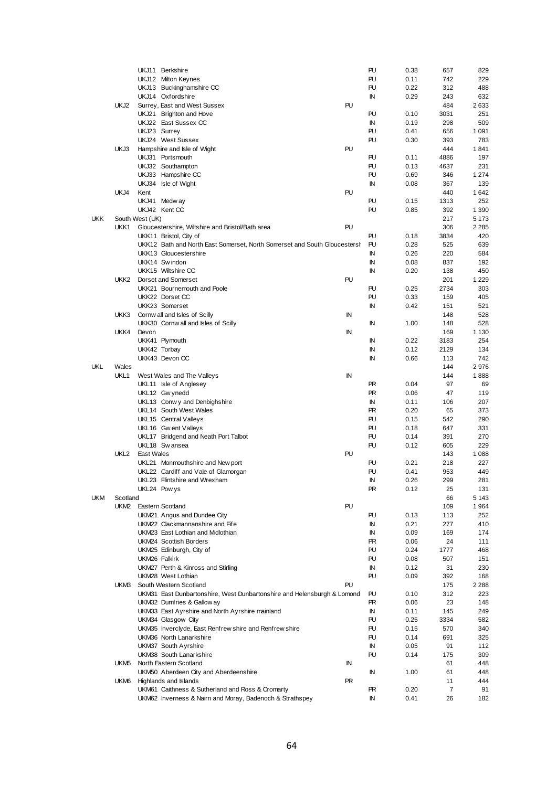|            |                  | UKJ11 Berkshire                                                           |    | PU<br>0.38        | 657  | 829     |
|------------|------------------|---------------------------------------------------------------------------|----|-------------------|------|---------|
|            |                  | UKJ12 Milton Keynes                                                       |    | PU<br>0.11        | 742  | 229     |
|            |                  | UKJ13 Buckinghamshire CC                                                  |    | PU<br>0.22        | 312  | 488     |
|            |                  | UKJ14 Oxfordshire                                                         |    | IN<br>0.29        | 243  | 632     |
|            | UKJ2             | Surrey, East and West Sussex                                              | PU |                   | 484  | 2633    |
|            |                  |                                                                           |    | PU<br>0.10        | 3031 | 251     |
|            |                  | UKJ21 Brighton and Hove                                                   |    |                   |      |         |
|            |                  | UKJ22 East Sussex CC                                                      |    | IN<br>0.19        | 298  | 509     |
|            |                  | UKJ23 Surrey                                                              |    | PU<br>0.41        | 656  | 1 0 9 1 |
|            |                  | UKJ24 West Sussex                                                         |    | PU<br>0.30        | 393  | 783     |
|            | UKJ3             | Hampshire and Isle of Wight                                               | PU |                   | 444  | 1841    |
|            |                  | UKJ31 Portsmouth                                                          |    | PU<br>0.11        | 4886 | 197     |
|            |                  | UKJ32 Southampton                                                         |    | PU<br>0.13        | 4637 | 231     |
|            |                  | UKJ33 Hampshire CC                                                        |    | PU<br>0.69        | 346  | 1 2 7 4 |
|            |                  | UKJ34 Isle of Wight                                                       |    | IN<br>0.08        | 367  | 139     |
|            | UKJ4             | Kent                                                                      | PU |                   | 440  | 1642    |
|            |                  | UKJ41 Medway                                                              |    | PU<br>0.15        | 1313 | 252     |
|            |                  | UKJ42 Kent CC                                                             |    | PU<br>0.85        | 392  | 1 3 9 0 |
| <b>UKK</b> |                  | South West (UK)                                                           |    |                   | 217  | 5 1 7 3 |
|            | UKK1             | Gloucestershire, Wiltshire and Bristol/Bath area                          | PU |                   | 306  | 2 2 8 5 |
|            |                  | UKK11 Bristol, City of                                                    |    | PU<br>0.18        | 3834 | 420     |
|            |                  | UKK12 Bath and North East Somerset, North Somerset and South Gloucesters! |    | PU<br>0.28        | 525  | 639     |
|            |                  | UKK13 Gloucestershire                                                     |    | IN<br>0.26        | 220  | 584     |
|            |                  | UKK14 Swindon                                                             |    | IN<br>0.08        |      | 192     |
|            |                  |                                                                           |    |                   | 837  |         |
|            |                  | UKK15 Wiltshire CC                                                        |    | IN<br>0.20        | 138  | 450     |
|            | UKK <sub>2</sub> | Dorset and Somerset                                                       | PU |                   | 201  | 1 2 2 9 |
|            |                  | UKK21 Bournemouth and Poole                                               |    | PU<br>0.25        | 2734 | 303     |
|            |                  | UKK22 Dorset CC                                                           |    | PU<br>0.33        | 159  | 405     |
|            |                  | UKK23 Somerset                                                            |    | IN<br>0.42        | 151  | 521     |
|            | UKK3             | Cornwall and Isles of Scilly                                              | IN |                   | 148  | 528     |
|            |                  | UKK30 Cornw all and Isles of Scilly                                       |    | IN<br>1.00        | 148  | 528     |
|            | UKK4             | Devon                                                                     | IN |                   | 169  | 1 1 3 0 |
|            |                  | UKK41 Plymouth                                                            |    | ΙN<br>0.22        | 3183 | 254     |
|            |                  | UKK42 Torbay                                                              |    | ΙN<br>0.12        | 2129 | 134     |
|            |                  | UKK43 Devon CC                                                            |    | IN<br>0.66        | 113  | 742     |
| UKL        | Wales            |                                                                           |    |                   | 144  | 2976    |
|            | UKL1             | West Wales and The Valleys                                                | IN |                   | 144  | 1888    |
|            |                  | UKL11 Isle of Anglesey                                                    |    | <b>PR</b><br>0.04 | 97   | 69      |
|            |                  | UKL12 Gw ynedd                                                            |    | <b>PR</b><br>0.06 | 47   | 119     |
|            |                  |                                                                           |    |                   |      |         |
|            |                  | UKL13 Conwy and Denbighshire                                              |    | IN<br>0.11        | 106  | 207     |
|            |                  | UKL14 South West Wales                                                    |    | <b>PR</b><br>0.20 | 65   | 373     |
|            |                  | UKL15 Central Valleys                                                     |    | PU<br>0.15        | 542  | 290     |
|            |                  | UKL16 Gw ent Valleys                                                      |    | PU<br>0.18        | 647  | 331     |
|            |                  | UKL17 Bridgend and Neath Port Talbot                                      |    | PU<br>0.14        | 391  | 270     |
|            |                  | UKL18 Swansea                                                             |    | PU<br>0.12        | 605  | 229     |
|            | UKL <sub>2</sub> | <b>East Wales</b>                                                         | PU |                   | 143  | 1 0 8 8 |
|            |                  | UKL21 Monmouthshire and New port                                          |    | PU<br>0.21        | 218  | 227     |
|            |                  | UKL22 Cardiff and Vale of Glamorgan                                       |    | PU<br>0.41        | 953  | 449     |
|            |                  | UKL23 Flintshire and Wrexham                                              |    | IN<br>0.26        | 299  | 281     |
|            |                  | UKL24 Powys                                                               |    | 0.12<br>PR.       | 25   | 131     |
| <b>UKM</b> | Scotland         |                                                                           |    |                   | 66   | 5 1 4 3 |
|            |                  | UKM2 Eastern Scotland                                                     | PU |                   | 109  | 1964    |
|            |                  | UKM21 Angus and Dundee City                                               |    | PU<br>0.13        | 113  | 252     |
|            |                  | UKM22 Clackmannanshire and Fife                                           |    | IN<br>0.21        | 277  | 410     |
|            |                  |                                                                           |    |                   |      |         |
|            |                  | UKM23 East Lothian and Midlothian                                         |    | 0.09<br>ΙN        | 169  | 174     |
|            |                  | UKM24 Scottish Borders                                                    |    | PR.<br>0.06       | 24   | 111     |
|            |                  | UKM25 Edinburgh, City of                                                  |    | PU<br>0.24        | 1777 | 468     |
|            |                  | UKM26 Falkirk                                                             |    | PU<br>0.08        | 507  | 151     |
|            |                  | UKM27 Perth & Kinross and Stirling                                        |    | IN<br>0.12        | 31   | 230     |
|            |                  | UKM28 West Lothian                                                        |    | PU<br>0.09        | 392  | 168     |
|            | UKM3             | South Western Scotland                                                    | PU |                   | 175  | 2 2 8 8 |
|            |                  | UKM31 East Dunbartonshire, West Dunbartonshire and Helensburgh & Lomond   |    | PU<br>0.10        | 312  | 223     |
|            |                  | UKM32 Dumfries & Gallow ay                                                |    | 0.06<br>PR        | 23   | 148     |
|            |                  | UKM33 East Ayrshire and North Ayrshire mainland                           |    | ΙN<br>0.11        | 145  | 249     |
|            |                  | UKM34 Glasgow City                                                        |    | PU<br>0.25        | 3334 | 582     |
|            |                  | UKM35 Inverclyde, East Renfrew shire and Renfrew shire                    |    | PU<br>0.15        | 570  | 340     |
|            |                  | UKM36 North Lanarkshire                                                   |    | PU<br>0.14        | 691  | 325     |
|            |                  | UKM37 South Ayrshire                                                      |    | IN<br>0.05        | 91   | 112     |
|            |                  |                                                                           |    | PU                | 175  | 309     |
|            |                  | UKM38 South Lanarkshire                                                   |    | 0.14              |      |         |
|            | UKM5             | North Eastern Scotland                                                    | IN |                   | 61   | 448     |
|            |                  | UKM50 Aberdeen City and Aberdeenshire                                     |    | IN<br>1.00        | 61   | 448     |
|            | UKM6             | Highlands and Islands                                                     | PR |                   | 11   | 444     |
|            |                  | UKM61 Caithness & Sutherland and Ross & Cromarty                          |    | PR.<br>0.20       | 7    | 91      |
|            |                  | UKM62 Inverness & Nairn and Moray, Badenoch & Strathspey                  |    | ΙN<br>0.41        | 26   | 182     |